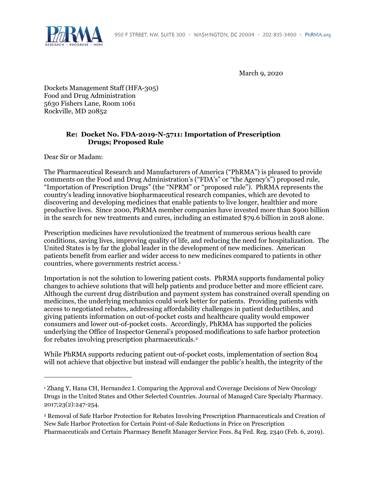

March 9, 2020

Dockets Management Staff (HFA-305) Food and Drug Administration 5630 Fishers Lane, Room 1061 Rockville, MD 20852

# **Re: Docket No. FDA-2019-N-5711: Importation of Prescription Drugs; Proposed Rule**

Dear Sir or Madam:

 $\overline{a}$ 

The Pharmaceutical Research and Manufacturers of America ("PhRMA") is pleased to provide comments on the Food and Drug Administration's ("FDA's" or "the Agency's") proposed rule, "Importation of Prescription Drugs" (the "NPRM" or "proposed rule"). PhRMA represents the country's leading innovative biopharmaceutical research companies, which are devoted to discovering and developing medicines that enable patients to live longer, healthier and more productive lives. Since 2000, PhRMA member companies have invested more than \$900 billion in the search for new treatments and cures, including an estimated \$79.6 billion in 2018 alone.

Prescription medicines have revolutionized the treatment of numerous serious health care conditions, saving lives, improving quality of life, and reducing the need for hospitalization. The United States is by far the global leader in the development of new medicines. American patients benefit from earlier and wider access to new medicines compared to patients in other countries, where governments restrict access.[1](#page-0-0)

Importation is not the solution to lowering patient costs. PhRMA supports fundamental policy changes to achieve solutions that will help patients and produce better and more efficient care. Although the current drug distribution and payment system has constrained overall spending on medicines, the underlying mechanics could work better for patients. Providing patients with access to negotiated rebates, addressing affordability challenges in patient deductibles, and giving patients information on out-of-pocket costs and healthcare quality would empower consumers and lower out-of-pocket costs. Accordingly, PhRMA has supported the policies underlying the Office of Inspector General's proposed modifications to safe harbor protection for rebates involving prescription pharmaceuticals.[2](#page-0-1)

While PhRMA supports reducing patient out-of-pocket costs, implementation of section 804 will not achieve that objective but instead will endanger the public's health, the integrity of the

<span id="page-0-0"></span><sup>1</sup> Zhang Y, Hana CH, Hernandez I. Comparing the Approval and Coverage Decisions of New Oncology Drugs in the United States and Other Selected Countries. Journal of Managed Care Specialty Pharmacy. 2017;23(2):247-254.

<span id="page-0-1"></span><sup>2</sup> Removal of Safe Harbor Protection for Rebates Involving Prescription Pharmaceuticals and Creation of New Safe Harbor Protection for Certain Point-of-Sale Reductions in Price on Prescription Pharmaceuticals and Certain Pharmacy Benefit Manager Service Fees. 84 Fed. Reg. 2340 (Feb. 6, 2019).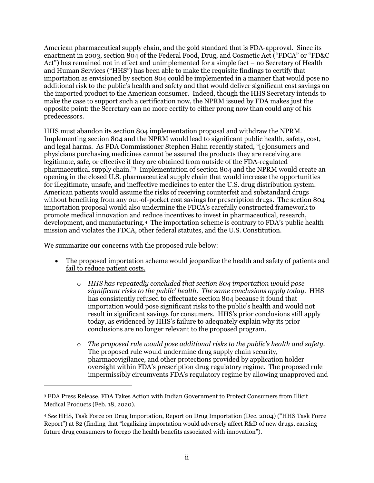American pharmaceutical supply chain, and the gold standard that is FDA-approval. Since its enactment in 2003, section 804 of the Federal Food, Drug, and Cosmetic Act ("FDCA" or "FD&C Act") has remained not in effect and unimplemented for a simple fact – no Secretary of Health and Human Services ("HHS") has been able to make the requisite findings to certify that importation as envisioned by section 804 could be implemented in a manner that would pose no additional risk to the public's health and safety and that would deliver significant cost savings on the imported product to the American consumer. Indeed, though the HHS Secretary intends to make the case to support such a certification now, the NPRM issued by FDA makes just the opposite point: the Secretary can no more certify to either prong now than could any of his predecessors.

HHS must abandon its section 804 implementation proposal and withdraw the NPRM. Implementing section 804 and the NPRM would lead to significant public health, safety, cost, and legal harms. As FDA Commissioner Stephen Hahn recently stated, "[c]onsumers and physicians purchasing medicines cannot be assured the products they are receiving are legitimate, safe, or effective if they are obtained from outside of the FDA-regulated pharmaceutical supply chain.["3](#page-1-0) Implementation of section 804 and the NPRM would create an opening in the closed U.S. pharmaceutical supply chain that would increase the opportunities for illegitimate, unsafe, and ineffective medicines to enter the U.S. drug distribution system. American patients would assume the risks of receiving counterfeit and substandard drugs without benefiting from any out-of-pocket cost savings for prescription drugs. The section 804 importation proposal would also undermine the FDCA's carefully constructed framework to promote medical innovation and reduce incentives to invest in pharmaceutical, research, development, and manufacturing.[4](#page-1-1) The importation scheme is contrary to FDA's public health mission and violates the FDCA, other federal statutes, and the U.S. Constitution.

We summarize our concerns with the proposed rule below:

- The proposed importation scheme would jeopardize the health and safety of patients and fail to reduce patient costs.
	- o *HHS has repeatedly concluded that section 804 importation would pose significant risks to the public' health. The same conclusions apply today.* HHS has consistently refused to effectuate section 804 because it found that importation would pose significant risks to the public's health and would not result in significant savings for consumers. HHS's prior conclusions still apply today, as evidenced by HHS's failure to adequately explain why its prior conclusions are no longer relevant to the proposed program.
	- o *The proposed rule would pose additional risks to the public's health and safety*. The proposed rule would undermine drug supply chain security, pharmacovigilance, and other protections provided by application holder oversight within FDA's prescription drug regulatory regime. The proposed rule impermissibly circumvents FDA's regulatory regime by allowing unapproved and

<span id="page-1-0"></span><sup>3</sup> FDA Press Release, FDA Takes Action with Indian Government to Protect Consumers from Illicit Medical Products (Feb. 18, 2020).

<span id="page-1-1"></span><sup>4</sup> *See* HHS, Task Force on Drug Importation, Report on Drug Importation (Dec. 2004) ("HHS Task Force Report") at 82 (finding that "legalizing importation would adversely affect R&D of new drugs, causing future drug consumers to forego the health benefits associated with innovation").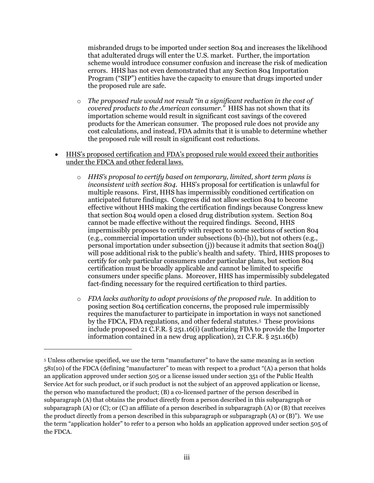misbranded drugs to be imported under section 804 and increases the likelihood that adulterated drugs will enter the U.S. market. Further, the importation scheme would introduce consumer confusion and increase the risk of medication errors. HHS has not even demonstrated that any Section 804 Importation Program ("SIP") entities have the capacity to ensure that drugs imported under the proposed rule are safe.

- o *The proposed rule would not result "in a significant reduction in the cost of covered products to the American consumer."* HHS has not shown that its importation scheme would result in significant cost savings of the covered products for the American consumer. The proposed rule does not provide any cost calculations, and instead, FDA admits that it is unable to determine whether the proposed rule will result in significant cost reductions.
- HHS's proposed certification and FDA's proposed rule would exceed their authorities under the FDCA and other federal laws.
	- o *HHS's proposal to certify based on temporary, limited, short term plans is inconsistent with section 804*. HHS's proposal for certification is unlawful for multiple reasons. First, HHS has impermissibly conditioned certification on anticipated future findings. Congress did not allow section 804 to become effective without HHS making the certification findings because Congress knew that section 804 would open a closed drug distribution system. Section 804 cannot be made effective without the required findings. Second, HHS impermissibly proposes to certify with respect to some sections of section 804 (e.g., commercial importation under subsections (b)-(h)), but not others (e.g., personal importation under subsection (j)) because it admits that section 804(j) will pose additional risk to the public's health and safety. Third, HHS proposes to certify for only particular consumers under particular plans, but section 804 certification must be broadly applicable and cannot be limited to specific consumers under specific plans. Moreover, HHS has impermissibly subdelegated fact-finding necessary for the required certification to third parties.
	- o *FDA lacks authority to adopt provisions of the proposed rule.* In addition to posing section 804 certification concerns, the proposed rule impermissibly requires the manufacturer to participate in importation in ways not sanctioned by the FDCA, FDA regulations, and other federal statutes.[5](#page-2-0) These provisions include proposed 21 C.F.R. § 251.16(i) (authorizing FDA to provide the Importer information contained in a new drug application), 21 C.F.R. § 251.16(b)

<span id="page-2-0"></span><sup>5</sup> Unless otherwise specified, we use the term "manufacturer" to have the same meaning as in section 581(10) of the FDCA (defining "manufacturer" to mean with respect to a product "(A) a person that holds an application approved under section 505 or a license issued under section 351 of the Public Health Service Act for such product, or if such product is not the subject of an approved application or license, the person who manufactured the product; (B) a co-licensed partner of the person described in subparagraph (A) that obtains the product directly from a person described in this subparagraph or subparagraph (A) or (C); or (C) an affiliate of a person described in subparagraph (A) or (B) that receives the product directly from a person described in this subparagraph or subparagraph (A) or (B)"). We use the term "application holder" to refer to a person who holds an application approved under section 505 of the FDCA.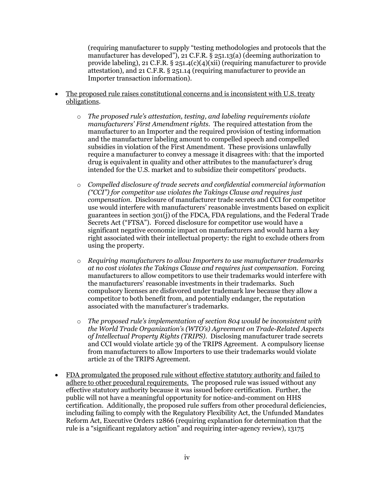(requiring manufacturer to supply "testing methodologies and protocols that the manufacturer has developed"), 21 C.F.R. § 251.13(a) (deeming authorization to provide labeling), 21 C.F.R.  $\S 251.4(c)(4)(xii)$  (requiring manufacturer to provide attestation), and 21 C.F.R. § 251.14 (requiring manufacturer to provide an Importer transaction information).

- The proposed rule raises constitutional concerns and is inconsistent with U.S. treaty obligations.
	- o *The proposed rule's attestation, testing, and labeling requirements violate manufacturers' First Amendment rights.* The required attestation from the manufacturer to an Importer and the required provision of testing information and the manufacturer labeling amount to compelled speech and compelled subsidies in violation of the First Amendment. These provisions unlawfully require a manufacturer to convey a message it disagrees with: that the imported drug is equivalent in quality and other attributes to the manufacturer's drug intended for the U.S. market and to subsidize their competitors' products.
	- o *Compelled disclosure of trade secrets and confidential commercial information ("CCI") for competitor use violates the Takings Clause and requires just compensation*. Disclosure of manufacturer trade secrets and CCI for competitor use would interfere with manufacturers' reasonable investments based on explicit guarantees in section 301(j) of the FDCA, FDA regulations, and the Federal Trade Secrets Act ("FTSA"). Forced disclosure for competitor use would have a significant negative economic impact on manufacturers and would harm a key right associated with their intellectual property: the right to exclude others from using the property.
	- o *Requiring manufacturers to allow Importers to use manufacturer trademarks at no cost violates the Takings Clause and requires just compensation.* Forcing manufacturers to allow competitors to use their trademarks would interfere with the manufacturers' reasonable investments in their trademarks. Such compulsory licenses are disfavored under trademark law because they allow a competitor to both benefit from, and potentially endanger, the reputation associated with the manufacturer's trademarks.
	- o *The proposed rule's implementation of section 804 would be inconsistent with the World Trade Organization's (WTO's) Agreement on Trade-Related Aspects of Intellectual Property Rights (TRIPS)*. Disclosing manufacturer trade secrets and CCI would violate article 39 of the TRIPS Agreement. A compulsory license from manufacturers to allow Importers to use their trademarks would violate article 21 of the TRIPS Agreement.
- FDA promulgated the proposed rule without effective statutory authority and failed to adhere to other procedural requirements. The proposed rule was issued without any effective statutory authority because it was issued before certification. Further, the public will not have a meaningful opportunity for notice-and-comment on HHS certification. Additionally, the proposed rule suffers from other procedural deficiencies, including failing to comply with the Regulatory Flexibility Act, the Unfunded Mandates Reform Act, Executive Orders 12866 (requiring explanation for determination that the rule is a "significant regulatory action" and requiring inter-agency review), 13175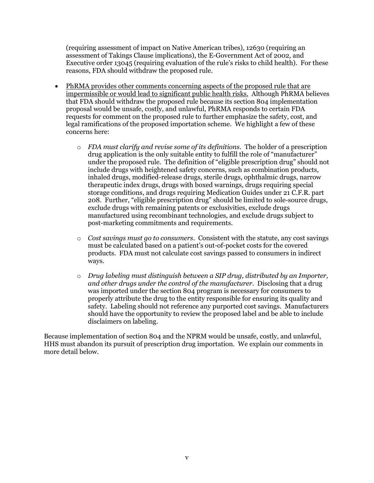(requiring assessment of impact on Native American tribes), 12630 (requiring an assessment of Takings Clause implications), the E-Government Act of 2002, and Executive order 13045 (requiring evaluation of the rule's risks to child health). For these reasons, FDA should withdraw the proposed rule.

- PhRMA provides other comments concerning aspects of the proposed rule that are impermissible or would lead to significant public health risks.Although PhRMA believes that FDA should withdraw the proposed rule because its section 804 implementation proposal would be unsafe, costly, and unlawful, PhRMA responds to certain FDA requests for comment on the proposed rule to further emphasize the safety, cost, and legal ramifications of the proposed importation scheme. We highlight a few of these concerns here:
	- o *FDA must clarify and revise some of its definitions*. The holder of a prescription drug application is the only suitable entity to fulfill the role of "manufacturer" under the proposed rule. The definition of "eligible prescription drug" should not include drugs with heightened safety concerns, such as combination products, inhaled drugs, modified-release drugs, sterile drugs, ophthalmic drugs, narrow therapeutic index drugs, drugs with boxed warnings, drugs requiring special storage conditions, and drugs requiring Medication Guides under 21 C.F.R. part 208. Further, "eligible prescription drug" should be limited to sole-source drugs, exclude drugs with remaining patents or exclusivities, exclude drugs manufactured using recombinant technologies, and exclude drugs subject to post-marketing commitments and requirements.
	- o *Cost savings must go to consumers*. Consistent with the statute, any cost savings must be calculated based on a patient's out-of-pocket costs for the covered products. FDA must not calculate cost savings passed to consumers in indirect ways.
	- o *Drug labeling must distinguish between a SIP drug, distributed by an Importer, and other drugs under the control of the manufacturer*. Disclosing that a drug was imported under the section 804 program is necessary for consumers to properly attribute the drug to the entity responsible for ensuring its quality and safety. Labeling should not reference any purported cost savings. Manufacturers should have the opportunity to review the proposed label and be able to include disclaimers on labeling.

Because implementation of section 804 and the NPRM would be unsafe, costly, and unlawful, HHS must abandon its pursuit of prescription drug importation. We explain our comments in more detail below.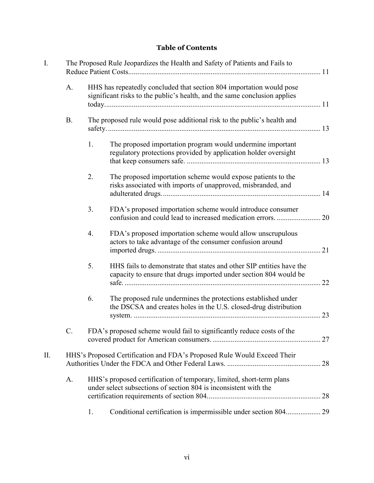# **Table of Contents**

| I. | The Proposed Rule Jeopardizes the Health and Safety of Patients and Fails to |                                                                         |                                                                                                                                                   |  |
|----|------------------------------------------------------------------------------|-------------------------------------------------------------------------|---------------------------------------------------------------------------------------------------------------------------------------------------|--|
|    | A.                                                                           |                                                                         | HHS has repeatedly concluded that section 804 importation would pose<br>significant risks to the public's health, and the same conclusion applies |  |
|    | <b>B.</b>                                                                    | The proposed rule would pose additional risk to the public's health and |                                                                                                                                                   |  |
|    |                                                                              | 1.                                                                      | The proposed importation program would undermine important<br>regulatory protections provided by application holder oversight                     |  |
|    |                                                                              | 2.                                                                      | The proposed importation scheme would expose patients to the<br>risks associated with imports of unapproved, misbranded, and                      |  |
|    |                                                                              | 3.                                                                      | FDA's proposed importation scheme would introduce consumer<br>confusion and could lead to increased medication errors.  20                        |  |
|    |                                                                              | 4.                                                                      | FDA's proposed importation scheme would allow unscrupulous<br>actors to take advantage of the consumer confusion around                           |  |
|    |                                                                              | 5.                                                                      | HHS fails to demonstrate that states and other SIP entities have the<br>capacity to ensure that drugs imported under section 804 would be         |  |
|    |                                                                              | 6.                                                                      | The proposed rule undermines the protections established under<br>the DSCSA and creates holes in the U.S. closed-drug distribution                |  |
|    |                                                                              |                                                                         | FDA's proposed scheme would fail to significantly reduce costs of the                                                                             |  |
| П. |                                                                              |                                                                         | HHS's Proposed Certification and FDA's Proposed Rule Would Exceed Their                                                                           |  |
|    | A.                                                                           |                                                                         | HHS's proposed certification of temporary, limited, short-term plans<br>under select subsections of section 804 is inconsistent with the          |  |
|    |                                                                              | 1.                                                                      | Conditional certification is impermissible under section 804 29                                                                                   |  |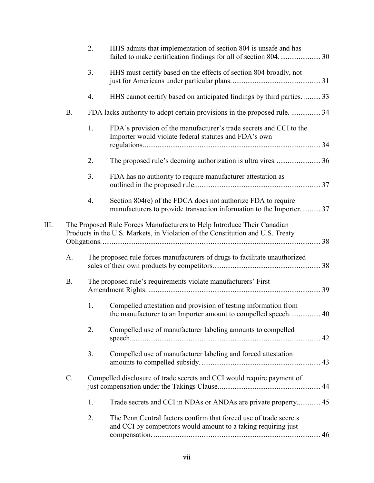|    |           | 2. | HHS admits that implementation of section 804 is unsafe and has<br>failed to make certification findings for all of section 804 30                        |  |
|----|-----------|----|-----------------------------------------------------------------------------------------------------------------------------------------------------------|--|
|    |           | 3. | HHS must certify based on the effects of section 804 broadly, not                                                                                         |  |
|    |           | 4. | HHS cannot certify based on anticipated findings by third parties.  33                                                                                    |  |
|    | <b>B.</b> |    | FDA lacks authority to adopt certain provisions in the proposed rule.  34                                                                                 |  |
|    |           | 1. | FDA's provision of the manufacturer's trade secrets and CCI to the<br>Importer would violate federal statutes and FDA's own                               |  |
|    |           | 2. | The proposed rule's deeming authorization is ultra vires36                                                                                                |  |
|    |           | 3. | FDA has no authority to require manufacturer attestation as                                                                                               |  |
|    |           | 4. | Section 804(e) of the FDCA does not authorize FDA to require<br>manufacturers to provide transaction information to the Importer 37                       |  |
| Ш. |           |    | The Proposed Rule Forces Manufacturers to Help Introduce Their Canadian<br>Products in the U.S. Markets, in Violation of the Constitution and U.S. Treaty |  |
|    | A.        |    | The proposed rule forces manufacturers of drugs to facilitate unauthorized                                                                                |  |
|    | <b>B.</b> |    | The proposed rule's requirements violate manufacturers' First                                                                                             |  |
|    |           | 1. | Compelled attestation and provision of testing information from<br>the manufacturer to an Importer amount to compelled speech 40                          |  |
|    |           | 2. | Compelled use of manufacturer labeling amounts to compelled                                                                                               |  |
|    |           | 3. | Compelled use of manufacturer labeling and forced attestation                                                                                             |  |
|    | C.        |    | Compelled disclosure of trade secrets and CCI would require payment of                                                                                    |  |
|    |           | 1. | Trade secrets and CCI in NDAs or ANDAs are private property 45                                                                                            |  |
|    |           | 2. | The Penn Central factors confirm that forced use of trade secrets<br>and CCI by competitors would amount to a taking requiring just                       |  |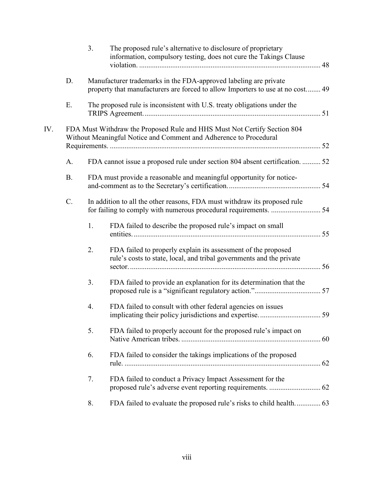|     |           | 3. | The proposed rule's alternative to disclosure of proprietary<br>information, compulsory testing, does not cure the Takings Clause                  |  |  |
|-----|-----------|----|----------------------------------------------------------------------------------------------------------------------------------------------------|--|--|
|     | D.        |    | Manufacturer trademarks in the FDA-approved labeling are private<br>property that manufacturers are forced to allow Importers to use at no cost 49 |  |  |
|     | Ε.        |    | The proposed rule is inconsistent with U.S. treaty obligations under the                                                                           |  |  |
| IV. |           |    | FDA Must Withdraw the Proposed Rule and HHS Must Not Certify Section 804<br>Without Meaningful Notice and Comment and Adherence to Procedural      |  |  |
|     | A.        |    | FDA cannot issue a proposed rule under section 804 absent certification.  52                                                                       |  |  |
|     | <b>B.</b> |    | FDA must provide a reasonable and meaningful opportunity for notice-                                                                               |  |  |
|     | C.        |    | In addition to all the other reasons, FDA must withdraw its proposed rule                                                                          |  |  |
|     |           | 1. | FDA failed to describe the proposed rule's impact on small                                                                                         |  |  |
|     |           | 2. | FDA failed to properly explain its assessment of the proposed<br>rule's costs to state, local, and tribal governments and the private              |  |  |
|     |           | 3. | FDA failed to provide an explanation for its determination that the                                                                                |  |  |
|     |           | 4. | FDA failed to consult with other federal agencies on issues                                                                                        |  |  |
|     |           | 5. | FDA failed to properly account for the proposed rule's impact on                                                                                   |  |  |
|     |           | 6. | FDA failed to consider the takings implications of the proposed                                                                                    |  |  |
|     |           | 7. | FDA failed to conduct a Privacy Impact Assessment for the                                                                                          |  |  |
|     |           | 8. | FDA failed to evaluate the proposed rule's risks to child health 63                                                                                |  |  |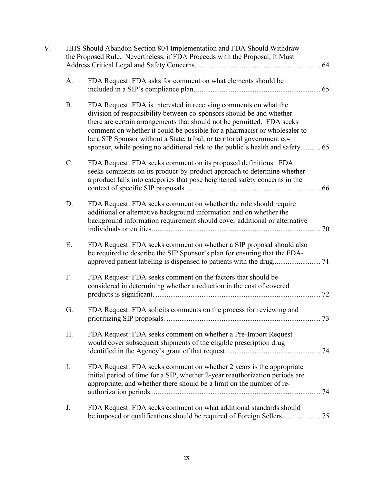| V. | HHS Should Abandon Section 804 Implementation and FDA Should Withdraw<br>the Proposed Rule. Nevertheless, if FDA Proceeds with the Proposal, It Must |                                                                                                                                                                                                                                                                                                                                                                                                                                                             |  |  |
|----|------------------------------------------------------------------------------------------------------------------------------------------------------|-------------------------------------------------------------------------------------------------------------------------------------------------------------------------------------------------------------------------------------------------------------------------------------------------------------------------------------------------------------------------------------------------------------------------------------------------------------|--|--|
|    | A.                                                                                                                                                   | FDA Request: FDA asks for comment on what elements should be                                                                                                                                                                                                                                                                                                                                                                                                |  |  |
|    | <b>B.</b>                                                                                                                                            | FDA Request: FDA is interested in receiving comments on what the<br>division of responsibility between co-sponsors should be and whether<br>there are certain arrangements that should not be permitted. FDA seeks<br>comment on whether it could be possible for a pharmacist or wholesaler to<br>be a SIP Sponsor without a State, tribal, or territorial government co-<br>sponsor, while posing no additional risk to the public's health and safety 65 |  |  |
|    | C.                                                                                                                                                   | FDA Request: FDA seeks comment on its proposed definitions. FDA<br>seeks comments on its product-by-product approach to determine whether<br>a product falls into categories that pose heightened safety concerns in the                                                                                                                                                                                                                                    |  |  |
|    | D.                                                                                                                                                   | FDA Request: FDA seeks comment on whether the rule should require<br>additional or alternative background information and on whether the<br>background information requirement should cover additional or alternative                                                                                                                                                                                                                                       |  |  |
|    | Ε.                                                                                                                                                   | FDA Request: FDA seeks comment on whether a SIP proposal should also<br>be required to describe the SIP Sponsor's plan for ensuring that the FDA-                                                                                                                                                                                                                                                                                                           |  |  |
|    | F.                                                                                                                                                   | FDA Request: FDA seeks comment on the factors that should be<br>considered in determining whether a reduction in the cost of covered                                                                                                                                                                                                                                                                                                                        |  |  |
|    | G.                                                                                                                                                   | FDA Request: FDA solicits comments on the process for reviewing and                                                                                                                                                                                                                                                                                                                                                                                         |  |  |
|    | Η.                                                                                                                                                   | FDA Request: FDA seeks comment on whether a Pre-Import Request<br>would cover subsequent shipments of the eligible prescription drug                                                                                                                                                                                                                                                                                                                        |  |  |
|    | I.                                                                                                                                                   | FDA Request: FDA seeks comment on whether 2 years is the appropriate<br>initial period of time for a SIP, whether 2-year reauthorization periods are<br>appropriate, and whether there should be a limit on the number of re-                                                                                                                                                                                                                               |  |  |
|    | J.                                                                                                                                                   | FDA Request: FDA seeks comment on what additional standards should                                                                                                                                                                                                                                                                                                                                                                                          |  |  |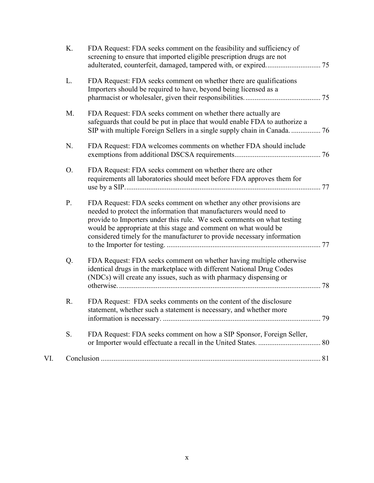|     | K. | FDA Request: FDA seeks comment on the feasibility and sufficiency of<br>screening to ensure that imported eligible prescription drugs are not                                                                                                                                                                                                                    |  |
|-----|----|------------------------------------------------------------------------------------------------------------------------------------------------------------------------------------------------------------------------------------------------------------------------------------------------------------------------------------------------------------------|--|
|     | L. | FDA Request: FDA seeks comment on whether there are qualifications<br>Importers should be required to have, beyond being licensed as a                                                                                                                                                                                                                           |  |
|     | M. | FDA Request: FDA seeks comment on whether there actually are<br>safeguards that could be put in place that would enable FDA to authorize a<br>SIP with multiple Foreign Sellers in a single supply chain in Canada 76                                                                                                                                            |  |
|     | N. | FDA Request: FDA welcomes comments on whether FDA should include                                                                                                                                                                                                                                                                                                 |  |
|     | O. | FDA Request: FDA seeks comment on whether there are other<br>requirements all laboratories should meet before FDA approves them for                                                                                                                                                                                                                              |  |
|     | P. | FDA Request: FDA seeks comment on whether any other provisions are<br>needed to protect the information that manufacturers would need to<br>provide to Importers under this rule. We seek comments on what testing<br>would be appropriate at this stage and comment on what would be<br>considered timely for the manufacturer to provide necessary information |  |
|     | Q. | FDA Request: FDA seeks comment on whether having multiple otherwise<br>identical drugs in the marketplace with different National Drug Codes<br>(NDCs) will create any issues, such as with pharmacy dispensing or                                                                                                                                               |  |
|     | R. | FDA Request: FDA seeks comments on the content of the disclosure<br>statement, whether such a statement is necessary, and whether more                                                                                                                                                                                                                           |  |
|     | S. | FDA Request: FDA seeks comment on how a SIP Sponsor, Foreign Seller,                                                                                                                                                                                                                                                                                             |  |
| VI. |    |                                                                                                                                                                                                                                                                                                                                                                  |  |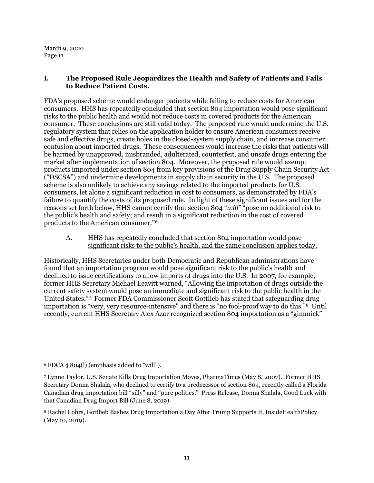# <span id="page-10-0"></span>**I. The Proposed Rule Jeopardizes the Health and Safety of Patients and Fails to Reduce Patient Costs.**

FDA's proposed scheme would endanger patients while failing to reduce costs for American consumers. HHS has repeatedly concluded that section 804 importation would pose significant risks to the public health and would not reduce costs in covered products for the American consumer. These conclusions are still valid today. The proposed rule would undermine the U.S. regulatory system that relies on the application holder to ensure American consumers receive safe and effective drugs, create holes in the closed-system supply chain, and increase consumer confusion about imported drugs. These consequences would increase the risks that patients will be harmed by unapproved, misbranded, adulterated, counterfeit, and unsafe drugs entering the market after implementation of section 804. Moreover, the proposed rule would exempt products imported under section 804 from key provisions of the Drug Supply Chain Security Act ("DSCSA") and undermine developments in supply chain security in the U.S. The proposed scheme is also unlikely to achieve any savings related to the imported products for U.S. consumers, let alone a significant reduction in cost to consumers, as demonstrated by FDA's failure to quantify the costs of its proposed rule. In light of these significant issues and for the reasons set forth below, HHS cannot certify that section 804 "*will*" "pose no additional risk to the public's health and safety; and result in a significant reduction in the cost of covered products to the American consumer."[6](#page-10-2)

A. HHS has repeatedly concluded that section 804 importation would pose significant risks to the public's health, and the same conclusion applies today.

<span id="page-10-1"></span>Historically, HHS Secretaries under both Democratic and Republican administrations have found that an importation program would pose significant risk to the public's health and declined to issue certifications to allow imports of drugs into the U.S. In 2007, for example, former HHS Secretary Michael Leavitt warned, "Allowing the importation of drugs outside the current safety system would pose an immediate and significant risk to the public health in the United States.["7](#page-10-3) Former FDA Commissioner Scott Gottlieb has stated that safeguarding drug importation is "very, very resource-intensive" and there is "no fool-proof way to do this."[8](#page-10-4) Until recently, current HHS Secretary Alex Azar recognized section 804 importation as a "gimmick"

<span id="page-10-2"></span><sup>6</sup> FDCA § 804(l) (emphasis added to "will").

<span id="page-10-3"></span><sup>7</sup> Lynne Taylor, U.S. Senate Kills Drug Importation Moves, PharmaTimes (May 8, 2007). Former HHS Secretary Donna Shalala, who declined to certify to a predecessor of section 804, recently called a Florida Canadian drug importation bill "silly" and "pure politics." Press Release, Donna Shalala, Good Luck with that Canadian Drug Import Bill (June 8, 2019).

<span id="page-10-4"></span><sup>8</sup> Rachel Cohrs, Gottlieb Bashes Drug Importation a Day After Trump Supports It, InsideHealthPolicy (May 10, 2019).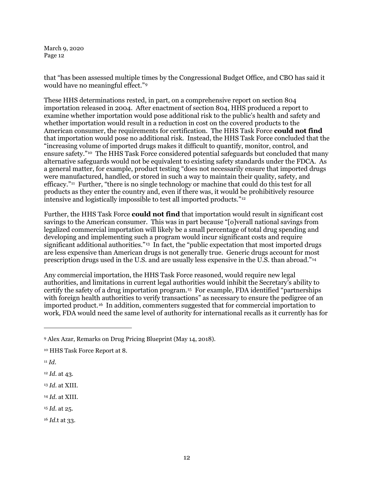that "has been assessed multiple times by the Congressional Budget Office, and CBO has said it would have no meaningful effect."[9](#page-11-0)

These HHS determinations rested, in part, on a comprehensive report on section 804 importation released in 2004. After enactment of section 804, HHS produced a report to examine whether importation would pose additional risk to the public's health and safety and whether importation would result in a reduction in cost on the covered products to the American consumer, the requirements for certification. The HHS Task Force **could not find** that importation would pose no additional risk. Instead, the HHS Task Force concluded that the "increasing volume of imported drugs makes it difficult to quantify, monitor, control, and ensure safety."[10](#page-11-1) The HHS Task Force considered potential safeguards but concluded that many alternative safeguards would not be equivalent to existing safety standards under the FDCA. As a general matter, for example, product testing "does not necessarily ensure that imported drugs were manufactured, handled, or stored in such a way to maintain their quality, safety, and efficacy."[11](#page-11-2) Further, "there is no single technology or machine that could do this test for all products as they enter the country and, even if there was, it would be prohibitively resource intensive and logistically impossible to test all imported products.["12](#page-11-3)

Further, the HHS Task Force **could not find** that importation would result in significant cost savings to the American consumer. This was in part because "[o]verall national savings from legalized commercial importation will likely be a small percentage of total drug spending and developing and implementing such a program would incur significant costs and require significant additional authorities."<sup>[13](#page-11-4)</sup> In fact, the "public expectation that most imported drugs are less expensive than American drugs is not generally true. Generic drugs account for most prescription drugs used in the U.S. and are usually less expensive in the U.S. than abroad."[14](#page-11-5)

Any commercial importation, the HHS Task Force reasoned, would require new legal authorities, and limitations in current legal authorities would inhibit the Secretary's ability to certify the safety of a drug importation program.[15](#page-11-6) For example, FDA identified "partnerships with foreign health authorities to verify transactions" as necessary to ensure the pedigree of an imported product.[16](#page-11-7) In addition, commenters suggested that for commercial importation to work, FDA would need the same level of authority for international recalls as it currently has for

- <span id="page-11-6"></span><sup>15</sup> *Id*. at 25.
- <span id="page-11-7"></span><sup>16</sup> *Id*.t at 33.

<span id="page-11-0"></span><sup>9</sup> Alex Azar, Remarks on Drug Pricing Blueprint (May 14, 2018).

<span id="page-11-1"></span><sup>10</sup> HHS Task Force Report at 8.

<span id="page-11-2"></span><sup>11</sup> *Id*.

<span id="page-11-3"></span><sup>12</sup> *Id*. at 43.

<span id="page-11-4"></span><sup>13</sup> *Id*. at XIII.

<span id="page-11-5"></span><sup>14</sup> *Id*. at XIII.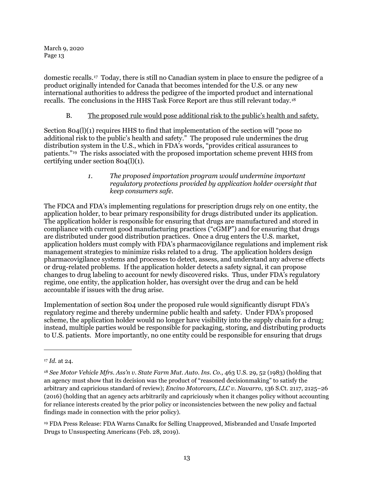domestic recalls.[17](#page-12-2) Today, there is still no Canadian system in place to ensure the pedigree of a product originally intended for Canada that becomes intended for the U.S. or any new international authorities to address the pedigree of the imported product and international recalls. The conclusions in the HHS Task Force Report are thus still relevant today.[18](#page-12-3)

# B. The proposed rule would pose additional risk to the public's health and safety.

<span id="page-12-0"></span>Section 804(l)(1) requires HHS to find that implementation of the section will "pose no additional risk to the public's health and safety." The proposed rule undermines the drug distribution system in the U.S., which in FDA's words, "provides critical assurances to patients."[19](#page-12-4) The risks associated with the proposed importation scheme prevent HHS from certifying under section 804(l)(1).

### *1. The proposed importation program would undermine important regulatory protections provided by application holder oversight that keep consumers safe.*

<span id="page-12-1"></span>The FDCA and FDA's implementing regulations for prescription drugs rely on one entity, the application holder, to bear primary responsibility for drugs distributed under its application. The application holder is responsible for ensuring that drugs are manufactured and stored in compliance with current good manufacturing practices ("cGMP") and for ensuring that drugs are distributed under good distribution practices. Once a drug enters the U.S. market, application holders must comply with FDA's pharmacovigilance regulations and implement risk management strategies to minimize risks related to a drug. The application holders design pharmacovigilance systems and processes to detect, assess, and understand any adverse effects or drug-related problems. If the application holder detects a safety signal, it can propose changes to drug labeling to account for newly discovered risks. Thus, under FDA's regulatory regime, one entity, the application holder, has oversight over the drug and can be held accountable if issues with the drug arise.

Implementation of section 804 under the proposed rule would significantly disrupt FDA's regulatory regime and thereby undermine public health and safety. Under FDA's proposed scheme, the application holder would no longer have visibility into the supply chain for a drug; instead, multiple parties would be responsible for packaging, storing, and distributing products to U.S. patients. More importantly, no one entity could be responsible for ensuring that drugs

<span id="page-12-2"></span><sup>17</sup> *Id*. at 24.

<span id="page-12-3"></span><sup>&</sup>lt;sup>18</sup> *See Motor Vehicle Mfrs. Ass'n v. State Farm Mut. Auto. Ins. Co., 463 U.S. 29, 52 (1983) (holding that* an agency must show that its decision was the product of "reasoned decisionmaking" to satisfy the arbitrary and capricious standard of review); *Encino Motorcars, LLC v. Navarro,* 136 S.Ct. 2117, 2125–26 (2016) (holding that an agency acts arbitrarily and capriciously when it changes policy without accounting for reliance interests created by the prior policy or inconsistencies between the new policy and factual findings made in connection with the prior policy).

<span id="page-12-4"></span><sup>19</sup> FDA Press Release: FDA Warns CanaRx for Selling Unapproved, Misbranded and Unsafe Imported Drugs to Unsuspecting Americans (Feb. 28, 2019).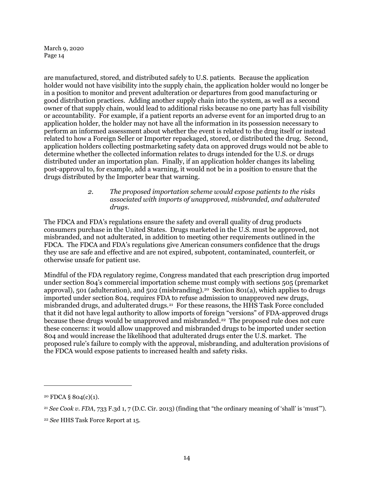are manufactured, stored, and distributed safely to U.S. patients. Because the application holder would not have visibility into the supply chain, the application holder would no longer be in a position to monitor and prevent adulteration or departures from good manufacturing or good distribution practices. Adding another supply chain into the system, as well as a second owner of that supply chain, would lead to additional risks because no one party has full visibility or accountability. For example, if a patient reports an adverse event for an imported drug to an application holder, the holder may not have all the information in its possession necessary to perform an informed assessment about whether the event is related to the drug itself or instead related to how a Foreign Seller or Importer repackaged, stored, or distributed the drug. Second, application holders collecting postmarketing safety data on approved drugs would not be able to determine whether the collected information relates to drugs intended for the U.S. or drugs distributed under an importation plan. Finally, if an application holder changes its labeling post-approval to, for example, add a warning, it would not be in a position to ensure that the drugs distributed by the Importer bear that warning.

## *2. The proposed importation scheme would expose patients to the risks associated with imports of unapproved, misbranded, and adulterated drugs.*

<span id="page-13-0"></span>The FDCA and FDA's regulations ensure the safety and overall quality of drug products consumers purchase in the United States. Drugs marketed in the U.S. must be approved, not misbranded, and not adulterated, in addition to meeting other requirements outlined in the FDCA. The FDCA and FDA's regulations give American consumers confidence that the drugs they use are safe and effective and are not expired, subpotent, contaminated, counterfeit, or otherwise unsafe for patient use.

Mindful of the FDA regulatory regime, Congress mandated that each prescription drug imported under section 804's commercial importation scheme must comply with sections 505 (premarket approval), 501 (adulteration), and 502 (misbranding).<sup>[20](#page-13-1)</sup> Section 801(a), which applies to drugs imported under section 804, requires FDA to refuse admission to unapproved new drugs, misbranded drugs, and adulterated drugs.[21](#page-13-2) For these reasons, the HHS Task Force concluded that it did not have legal authority to allow imports of foreign "versions" of FDA-approved drugs because these drugs would be unapproved and misbranded.[22](#page-13-3) The proposed rule does not cure these concerns: it would allow unapproved and misbranded drugs to be imported under section 804 and would increase the likelihood that adulterated drugs enter the U.S. market. The proposed rule's failure to comply with the approval, misbranding, and adulteration provisions of the FDCA would expose patients to increased health and safety risks.

<span id="page-13-1"></span> $20$  FDCA § 804(c)(1).

<span id="page-13-2"></span><sup>21</sup> *See Cook v. FDA,* 733 F.3d 1, 7 (D.C. Cir. 2013) (finding that "the ordinary meaning of 'shall' is 'must'").

<span id="page-13-3"></span><sup>22</sup> *See* HHS Task Force Report at 15.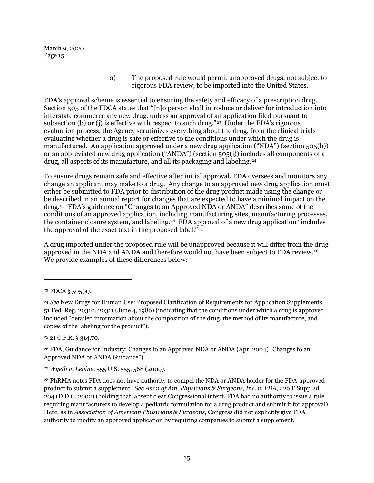> a) The proposed rule would permit unapproved drugs, not subject to rigorous FDA review, to be imported into the United States.

FDA's approval scheme is essential to ensuring the safety and efficacy of a prescription drug. Section 505 of the FDCA states that "[n]o person shall introduce or deliver for introduction into interstate commerce any new drug, unless an approval of an application filed pursuant to subsection (b) or (j) is effective with respect to such drug."<sup>[23](#page-14-0)</sup> Under the FDA's rigorous evaluation process, the Agency scrutinizes everything about the drug, from the clinical trials evaluating whether a drug is safe or effective to the conditions under which the drug is manufactured. An application approved under a new drug application ("NDA") (section 505(b)) or an abbreviated new drug application ("ANDA") (section 505(j)) includes all components of a drug, all aspects of its manufacture, and all its packaging and labeling.[24](#page-14-1)

To ensure drugs remain safe and effective after initial approval, FDA oversees and monitors any change an applicant may make to a drug. Any change to an approved new drug application must either be submitted to FDA prior to distribution of the drug product made using the change or be described in an annual report for changes that are expected to have a minimal impact on the drug.[25](#page-14-2) FDA's guidance on "Changes to an Approved NDA or ANDA" describes some of the conditions of an approved application, including manufacturing sites, manufacturing processes, the container closure system, and labeling.<sup>[26](#page-14-3)</sup> FDA approval of a new drug application "includes" the approval of the exact text in the proposed label."<sup>27</sup>

A drug imported under the proposed rule will be unapproved because it will differ from the drug approved in the NDA and ANDA and therefore would not have been subject to FDA review.<sup>28</sup> We provide examples of these differences below:

1

<span id="page-14-2"></span><sup>25</sup> 21 C.F.R. § 314.70.

<span id="page-14-3"></span><sup>26</sup> FDA, Guidance for Industry: Changes to an Approved NDA or ANDA (Apr. 2004) (Changes to an Approved NDA or ANDA Guidance").

<span id="page-14-4"></span><sup>27</sup> *Wyeth v. Levine,* 555 U.S. 555, 568 (2009).

<span id="page-14-5"></span><sup>28</sup> PhRMA notes FDA does not have authority to compel the NDA or ANDA holder for the FDA-approved product to submit a supplement. *See Ass'n of Am. Physicians & Surgeons, Inc. v. FDA*, 226 F.Supp.2d 204 (D.D.C. 2002) (holding that, absent clear Congressional intent, FDA had no authority to issue a rule requiring manufacturers to develop a pediatric formulation for a drug product and submit it for approval). Here, as in *Association of American Physicians & Surgeons,* Congress did not explicitly give FDA authority to modify an approved application by requiring companies to submit a supplement.

<span id="page-14-0"></span><sup>23</sup> FDCA § 505(a).

<span id="page-14-1"></span><sup>24</sup> *See* New Drugs for Human Use: Proposed Clarification of Requirements for Application Supplements, 51 Fed. Reg. 20310, 20311 (June 4, 1986) (indicating that the conditions under which a drug is approved included "detailed information about the composition of the drug, the method of its manufacture, and copies of the labeling for the product").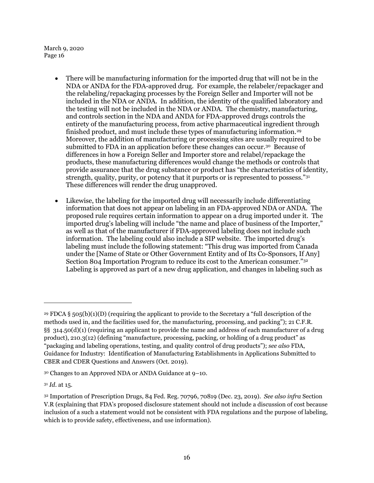- There will be manufacturing information for the imported drug that will not be in the NDA or ANDA for the FDA-approved drug. For example, the relabeler/repackager and the relabeling/repackaging processes by the Foreign Seller and Importer will not be included in the NDA or ANDA. In addition, the identity of the qualified laboratory and the testing will not be included in the NDA or ANDA. The chemistry, manufacturing, and controls section in the NDA and ANDA for FDA-approved drugs controls the entirety of the manufacturing process, from active pharmaceutical ingredient through finished product, and must include these types of manufacturing information.[29](#page-15-0) Moreover, the addition of manufacturing or processing sites are usually required to be submitted to FDA in an application before these changes can occur.<sup>[30](#page-15-1)</sup> Because of differences in how a Foreign Seller and Importer store and relabel/repackage the products, these manufacturing differences would change the methods or controls that provide assurance that the drug substance or product has "the characteristics of identity, strength, quality, purity, or potency that it purports or is represented to possess."31 These differences will render the drug unapproved.
- Likewise, the labeling for the imported drug will necessarily include differentiating information that does not appear on labeling in an FDA-approved NDA or ANDA. The proposed rule requires certain information to appear on a drug imported under it. The imported drug's labeling will include "the name and place of business of the Importer," as well as that of the manufacturer if FDA-approved labeling does not include such information. The labeling could also include a SIP website. The imported drug's labeling must include the following statement: "This drug was imported from Canada under the [Name of State or Other Government Entity and of Its Co-Sponsors, If Any] Section 804 Importation Program to reduce its cost to the American consumer."[32](#page-15-3) Labeling is approved as part of a new drug application, and changes in labeling such as

<span id="page-15-0"></span><sup>29</sup> FDCA § 505(b)(1)(D) (requiring the applicant to provide to the Secretary a "full description of the methods used in, and the facilities used for, the manufacturing, processing, and packing"); 21 C.F.R. §§ 314.50(d)(1) (requiring an applicant to provide the name and address of each manufacturer of a drug product), 210.3(12) (defining "manufacture, processing, packing, or holding of a drug product" as "packaging and labeling operations, testing, and quality control of drug products"); *see also* FDA, Guidance for Industry: Identification of Manufacturing Establishments in Applications Submitted to CBER and CDER Questions and Answers (Oct. 2019).

<span id="page-15-1"></span><sup>30</sup> Changes to an Approved NDA or ANDA Guidance at 9–10.

<span id="page-15-2"></span><sup>31</sup> *Id*. at 15.

<span id="page-15-3"></span><sup>32</sup> Importation of Prescription Drugs, 84 Fed. Reg. 70796, 70819 (Dec. 23, 2019). *See also infra* Section [V.R](#page-78-0) (explaining that FDA's proposed disclosure statement should not include a discussion of cost because inclusion of a such a statement would not be consistent with FDA regulations and the purpose of labeling, which is to provide safety, effectiveness, and use information).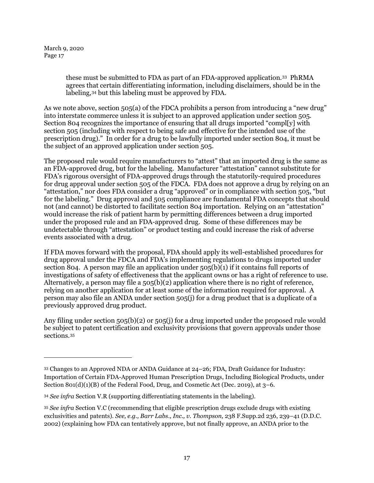1

these must be submitted to FDA as part of an FDA-approved application.[33](#page-16-0) PhRMA agrees that certain differentiating information, including disclaimers, should be in the labeling,[34](#page-16-1) but this labeling must be approved by FDA.

As we note above, section 505(a) of the FDCA prohibits a person from introducing a "new drug" into interstate commerce unless it is subject to an approved application under section 505. Section 804 recognizes the importance of ensuring that all drugs imported "compl[y] with section 505 (including with respect to being safe and effective for the intended use of the prescription drug)." In order for a drug to be lawfully imported under section 804, it must be the subject of an approved application under section 505.

The proposed rule would require manufacturers to "attest" that an imported drug is the same as an FDA-approved drug, but for the labeling. Manufacturer "attestation" cannot substitute for FDA's rigorous oversight of FDA-approved drugs through the statutorily-required procedures for drug approval under section 505 of the FDCA. FDA does not approve a drug by relying on an "attestation," nor does FDA consider a drug "approved" or in compliance with section 505, "but for the labeling." Drug approval and 505 compliance are fundamental FDA concepts that should not (and cannot) be distorted to facilitate section 804 importation. Relying on an "attestation" would increase the risk of patient harm by permitting differences between a drug imported under the proposed rule and an FDA-approved drug. Some of these differences may be undetectable through "attestation" or product testing and could increase the risk of adverse events associated with a drug.

If FDA moves forward with the proposal, FDA should apply its well-established procedures for drug approval under the FDCA and FDA's implementing regulations to drugs imported under section 804. A person may file an application under  $505(b)(1)$  if it contains full reports of investigations of safety of effectiveness that the applicant owns or has a right of reference to use. Alternatively, a person may file a  $505(b)(2)$  application where there is no right of reference, relying on another application for at least some of the information required for approval. A person may also file an ANDA under section 505(j) for a drug product that is a duplicate of a previously approved drug product.

Any filing under section  $505(b)(2)$  or  $505(i)$  for a drug imported under the proposed rule would be subject to patent certification and exclusivity provisions that govern approvals under those sections.[35](#page-16-2)

<span id="page-16-0"></span><sup>33</sup> Changes to an Approved NDA or ANDA Guidance at 24–26; FDA, Draft Guidance for Industry: Importation of Certain FDA-Approved Human Prescription Drugs, Including Biological Products, under Section  $801(d)(1)(B)$  of the Federal Food, Drug, and Cosmetic Act (Dec. 2019), at  $3-6$ .

<span id="page-16-1"></span><sup>34</sup> *See infra* Section [V.R](#page-78-0) (supporting differentiating statements in the labeling).

<span id="page-16-2"></span><sup>35</sup> *See infra* Section [V.C](#page-65-0) (recommending that eligible prescription drugs exclude drugs with existing exclusivities and patents). *See, e.g., Barr Labs., Inc., v. Thompson,* 238 F.Supp.2d 236, 239–41 (D.D.C. 2002) (explaining how FDA can tentatively approve, but not finally approve, an ANDA prior to the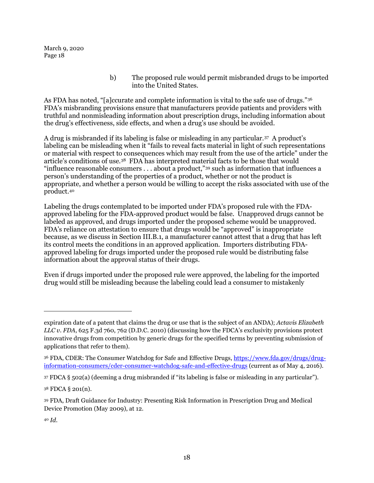> b) The proposed rule would permit misbranded drugs to be imported into the United States.

As FDA has noted, "[a]ccurate and complete information is vital to the safe use of drugs."<sup>36</sup> FDA's misbranding provisions ensure that manufacturers provide patients and providers with truthful and nonmisleading information about prescription drugs, including information about the drug's effectiveness, side effects, and when a drug's use should be avoided.

A drug is misbranded if its labeling is false or misleading in any particular.[37](#page-17-1) A product's labeling can be misleading when it "fails to reveal facts material in light of such representations or material with respect to consequences which may result from the use of the article" under the article's conditions of use.[38](#page-17-2) FDA has interpreted material facts to be those that would "influence reasonable consumers . . . about a product,"[39](#page-17-3) such as information that influences a person's understanding of the properties of a product, whether or not the product is appropriate, and whether a person would be willing to accept the risks associated with use of the product.[40](#page-17-4)

Labeling the drugs contemplated to be imported under FDA's proposed rule with the FDAapproved labeling for the FDA-approved product would be false. Unapproved drugs cannot be labeled as approved, and drugs imported under the proposed scheme would be unapproved. FDA's reliance on attestation to ensure that drugs would be "approved" is inappropriate because, as we discuss in Section [III.B.1,](#page-39-0) a manufacturer cannot attest that a drug that has left its control meets the conditions in an approved application. Importers distributing FDAapproved labeling for drugs imported under the proposed rule would be distributing false information about the approval status of their drugs.

Even if drugs imported under the proposed rule were approved, the labeling for the imported drug would still be misleading because the labeling could lead a consumer to mistakenly

expiration date of a patent that claims the drug or use that is the subject of an ANDA); *Actavis Elizabeth LLC v. FDA*, 625 F.3d 760, 762 (D.D.C. 2010) (discussing how the FDCA's exclusivity provisions protect innovative drugs from competition by generic drugs for the specified terms by preventing submission of applications that refer to them).

<span id="page-17-0"></span><sup>36</sup> FDA, CDER: The Consumer Watchdog for Safe and Effective Drugs[, https://www.fda.gov/drugs/drug](https://www.fda.gov/drugs/drug-information-consumers/cder-consumer-watchdog-safe-and-effective-drugs)[information-consumers/cder-consumer-watchdog-safe-and-effective-drugs](https://www.fda.gov/drugs/drug-information-consumers/cder-consumer-watchdog-safe-and-effective-drugs) (current as of May 4, 2016).

<span id="page-17-1"></span><sup>37</sup> FDCA § 502(a) (deeming a drug misbranded if "its labeling is false or misleading in any particular").

<span id="page-17-2"></span><sup>38</sup> FDCA § 201(n).

<span id="page-17-3"></span><sup>39</sup> FDA, Draft Guidance for Industry: Presenting Risk Information in Prescription Drug and Medical Device Promotion (May 2009), at 12.

<span id="page-17-4"></span><sup>40</sup> *Id*.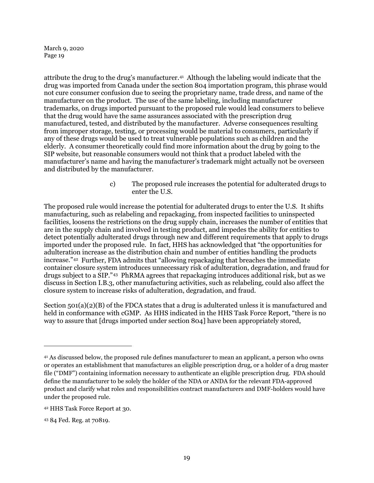attribute the drug to the drug's manufacturer.[41](#page-18-0) Although the labeling would indicate that the drug was imported from Canada under the section 804 importation program, this phrase would not cure consumer confusion due to seeing the proprietary name, trade dress, and name of the manufacturer on the product. The use of the same labeling, including manufacturer trademarks, on drugs imported pursuant to the proposed rule would lead consumers to believe that the drug would have the same assurances associated with the prescription drug manufactured, tested, and distributed by the manufacturer. Adverse consequences resulting from improper storage, testing, or processing would be material to consumers, particularly if any of these drugs would be used to treat vulnerable populations such as children and the elderly. A consumer theoretically could find more information about the drug by going to the SIP website, but reasonable consumers would not think that a product labeled with the manufacturer's name and having the manufacturer's trademark might actually not be overseen and distributed by the manufacturer.

> c) The proposed rule increases the potential for adulterated drugs to enter the U.S.

The proposed rule would increase the potential for adulterated drugs to enter the U.S. It shifts manufacturing, such as relabeling and repackaging, from inspected facilities to uninspected facilities, loosens the restrictions on the drug supply chain, increases the number of entities that are in the supply chain and involved in testing product, and impedes the ability for entities to detect potentially adulterated drugs through new and different requirements that apply to drugs imported under the proposed rule. In fact, HHS has acknowledged that "the opportunities for adulteration increase as the distribution chain and number of entities handling the products increase."[42](#page-18-1) Further, FDA admits that "allowing repackaging that breaches the immediate container closure system introduces unnecessary risk of adulteration, degradation, and fraud for drugs subject to a SIP."[43](#page-18-2) PhRMA agrees that repackaging introduces additional risk, but as we discuss in Sectio[n I.B.3,](#page-19-0) other manufacturing activities, such as relabeling, could also affect the closure system to increase risks of adulteration, degradation, and fraud.

Section 501(a)(2)(B) of the FDCA states that a drug is adulterated unless it is manufactured and held in conformance with cGMP. As HHS indicated in the HHS Task Force Report, "there is no way to assure that [drugs imported under section 804] have been appropriately stored,

<span id="page-18-0"></span><sup>41</sup> As discussed below, the proposed rule defines manufacturer to mean an applicant, a person who owns or operates an establishment that manufactures an eligible prescription drug, or a holder of a drug master file ("DMF") containing information necessary to authenticate an eligible prescription drug. FDA should define the manufacturer to be solely the holder of the NDA or ANDA for the relevant FDA-approved product and clarify what roles and responsibilities contract manufacturers and DMF-holders would have under the proposed rule.

<span id="page-18-1"></span><sup>42</sup> HHS Task Force Report at 30.

<span id="page-18-2"></span><sup>43</sup> 84 Fed. Reg. at 70819.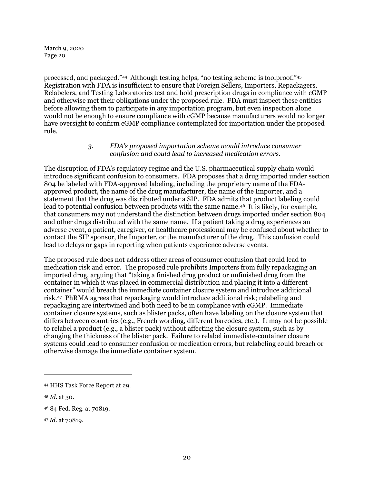processed, and packaged."[44](#page-19-1) Although testing helps, "no testing scheme is foolproof."[45](#page-19-2)  Registration with FDA is insufficient to ensure that Foreign Sellers, Importers, Repackagers, Relabelers, and Testing Laboratories test and hold prescription drugs in compliance with cGMP and otherwise met their obligations under the proposed rule. FDA must inspect these entities before allowing them to participate in any importation program, but even inspection alone would not be enough to ensure compliance with cGMP because manufacturers would no longer have oversight to confirm cGMP compliance contemplated for importation under the proposed rule.

## *3. FDA's proposed importation scheme would introduce consumer confusion and could lead to increased medication errors.*

<span id="page-19-0"></span>The disruption of FDA's regulatory regime and the U.S. pharmaceutical supply chain would introduce significant confusion to consumers. FDA proposes that a drug imported under section 804 be labeled with FDA-approved labeling, including the proprietary name of the FDAapproved product, the name of the drug manufacturer, the name of the Importer, and a statement that the drug was distributed under a SIP. FDA admits that product labeling could lead to potential confusion between products with the same name.[46](#page-19-3) It is likely, for example, that consumers may not understand the distinction between drugs imported under section 804 and other drugs distributed with the same name. If a patient taking a drug experiences an adverse event, a patient, caregiver, or healthcare professional may be confused about whether to contact the SIP sponsor, the Importer, or the manufacturer of the drug. This confusion could lead to delays or gaps in reporting when patients experience adverse events.

The proposed rule does not address other areas of consumer confusion that could lead to medication risk and error. The proposed rule prohibits Importers from fully repackaging an imported drug, arguing that "taking a finished drug product or unfinished drug from the container in which it was placed in commercial distribution and placing it into a different container" would breach the immediate container closure system and introduce additional risk.[47](#page-19-4) PhRMA agrees that repackaging would introduce additional risk; relabeling and repackaging are intertwined and both need to be in compliance with cGMP. Immediate container closure systems, such as blister packs, often have labeling on the closure system that differs between countries (e.g., French wording, different barcodes, etc.). It may not be possible to relabel a product (e.g., a blister pack) without affecting the closure system, such as by changing the thickness of the blister pack. Failure to relabel immediate-container closure systems could lead to consumer confusion or medication errors, but relabeling could breach or otherwise damage the immediate container system.

1

<span id="page-19-4"></span><sup>47</sup> *Id*. at 70819.

<span id="page-19-1"></span><sup>44</sup> HHS Task Force Report at 29.

<span id="page-19-2"></span><sup>45</sup> *Id*. at 30.

<span id="page-19-3"></span><sup>46</sup> 84 Fed. Reg. at 70819.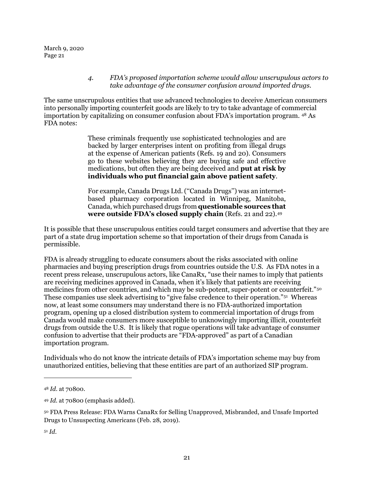#### *4. FDA's proposed importation scheme would allow unscrupulous actors to take advantage of the consumer confusion around imported drugs.*

<span id="page-20-0"></span>The same unscrupulous entities that use advanced technologies to deceive American consumers into personally importing counterfeit goods are likely to try to take advantage of commercial importation by capitalizing on consumer confusion about FDA's importation program. [48](#page-20-1) As FDA notes:

> These criminals frequently use sophisticated technologies and are backed by larger enterprises intent on profiting from illegal drugs at the expense of American patients (Refs. 19 and 20). Consumers go to these websites believing they are buying safe and effective medications, but often they are being deceived and **put at risk by individuals who put financial gain above patient safety**.

> For example, Canada Drugs Ltd. (''Canada Drugs'') was an internetbased pharmacy corporation located in Winnipeg, Manitoba, Canada, which purchased drugs from **questionable sources that were outside FDA's closed supply chain** (Refs. 21 and 22).[49](#page-20-2)

It is possible that these unscrupulous entities could target consumers and advertise that they are part of a state drug importation scheme so that importation of their drugs from Canada is permissible.

FDA is already struggling to educate consumers about the risks associated with online pharmacies and buying prescription drugs from countries outside the U.S. As FDA notes in a recent press release, unscrupulous actors, like CanaRx, "use their names to imply that patients are receiving medicines approved in Canada, when it's likely that patients are receiving medicines from other countries, and which may be sub-potent, super-potent or counterfeit."[50](#page-20-3)  These companies use sleek advertising to "give false credence to their operation."[51](#page-20-4) Whereas now, at least some consumers may understand there is no FDA-authorized importation program, opening up a closed distribution system to commercial importation of drugs from Canada would make consumers more susceptible to unknowingly importing illicit, counterfeit drugs from outside the U.S. It is likely that rogue operations will take advantage of consumer confusion to advertise that their products are "FDA-approved" as part of a Canadian importation program.

Individuals who do not know the intricate details of FDA's importation scheme may buy from unauthorized entities, believing that these entities are part of an authorized SIP program.

<span id="page-20-1"></span><sup>48</sup> *Id*. at 70800.

<span id="page-20-2"></span><sup>49</sup> *Id*. at 70800 (emphasis added).

<span id="page-20-3"></span><sup>50</sup> FDA Press Release: FDA Warns CanaRx for Selling Unapproved, Misbranded, and Unsafe Imported Drugs to Unsuspecting Americans (Feb. 28, 2019).

<span id="page-20-4"></span><sup>51</sup> *Id*.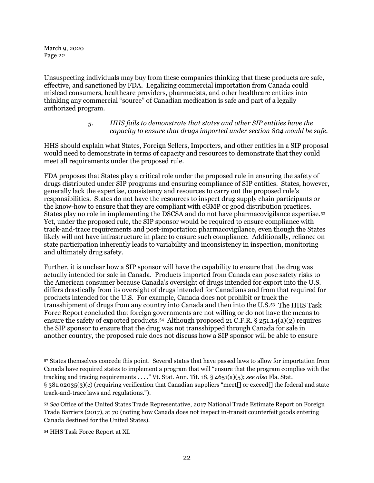Unsuspecting individuals may buy from these companies thinking that these products are safe, effective, and sanctioned by FDA. Legalizing commercial importation from Canada could mislead consumers, healthcare providers, pharmacists, and other healthcare entities into thinking any commercial "source" of Canadian medication is safe and part of a legally authorized program.

## *5. HHS fails to demonstrate that states and other SIP entities have the capacity to ensure that drugs imported under section 804 would be safe.*

<span id="page-21-0"></span>HHS should explain what States, Foreign Sellers, Importers, and other entities in a SIP proposal would need to demonstrate in terms of capacity and resources to demonstrate that they could meet all requirements under the proposed rule.

FDA proposes that States play a critical role under the proposed rule in ensuring the safety of drugs distributed under SIP programs and ensuring compliance of SIP entities. States, however, generally lack the expertise, consistency and resources to carry out the proposed rule's responsibilities. States do not have the resources to inspect drug supply chain participants or the know-how to ensure that they are compliant with cGMP or good distribution practices. States play no role in implementing the DSCSA and do not have pharmacovigilance expertise.[52](#page-21-1) Yet, under the proposed rule, the SIP sponsor would be required to ensure compliance with track-and-trace requirements and post-importation pharmacovigilance, even though the States likely will not have infrastructure in place to ensure such compliance. Additionally, reliance on state participation inherently leads to variability and inconsistency in inspection, monitoring and ultimately drug safety.

Further, it is unclear how a SIP sponsor will have the capability to ensure that the drug was actually intended for sale in Canada. Products imported from Canada can pose safety risks to the American consumer because Canada's oversight of drugs intended for export into the U.S. differs drastically from its oversight of drugs intended for Canadians and from that required for products intended for the U.S. For example, Canada does not prohibit or track the transshipment of drugs from any country into Canada and then into the U.S.[53](#page-21-2) The HHS Task Force Report concluded that foreign governments are not willing or do not have the means to ensure the safety of exported products.<sup>54</sup> Although proposed 21 C.F.R. § 251.14(a)(2) requires the SIP sponsor to ensure that the drug was not transshipped through Canada for sale in another country, the proposed rule does not discuss how a SIP sponsor will be able to ensure

<span id="page-21-1"></span><sup>52</sup> States themselves concede this point. Several states that have passed laws to allow for importation from Canada have required states to implement a program that will "ensure that the program complies with the tracking and tracing requirements . . . ." Vt. Stat. Ann. Tit. 18, § 4651(a)(5); *see also* Fla. Stat. § 381.02035(3)(c) (requiring verification that Canadian suppliers "meet[] or exceed[] the federal and state track-and-trace laws and regulations.").

<span id="page-21-2"></span><sup>53</sup> *See* Office of the United States Trade Representative, 2017 National Trade Estimate Report on Foreign Trade Barriers (2017), at 70 (noting how Canada does not inspect in-transit counterfeit goods entering Canada destined for the United States).

<span id="page-21-3"></span><sup>54</sup> HHS Task Force Report at XI.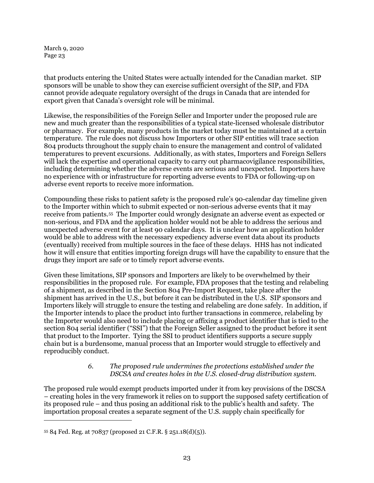that products entering the United States were actually intended for the Canadian market. SIP sponsors will be unable to show they can exercise sufficient oversight of the SIP, and FDA cannot provide adequate regulatory oversight of the drugs in Canada that are intended for export given that Canada's oversight role will be minimal.

Likewise, the responsibilities of the Foreign Seller and Importer under the proposed rule are new and much greater than the responsibilities of a typical state-licensed wholesale distributor or pharmacy. For example, many products in the market today must be maintained at a certain temperature. The rule does not discuss how Importers or other SIP entities will trace section 804 products throughout the supply chain to ensure the management and control of validated temperatures to prevent excursions. Additionally, as with states, Importers and Foreign Sellers will lack the expertise and operational capacity to carry out pharmacovigilance responsibilities, including determining whether the adverse events are serious and unexpected. Importers have no experience with or infrastructure for reporting adverse events to FDA or following-up on adverse event reports to receive more information.

Compounding these risks to patient safety is the proposed rule's 90-calendar day timeline given to the Importer within which to submit expected or non-serious adverse events that it may receive from patients.[55](#page-22-1) The Importer could wrongly designate an adverse event as expected or non-serious, and FDA and the application holder would not be able to address the serious and unexpected adverse event for at least 90 calendar days. It is unclear how an application holder would be able to address with the necessary expediency adverse event data about its products (eventually) received from multiple sources in the face of these delays. HHS has not indicated how it will ensure that entities importing foreign drugs will have the capability to ensure that the drugs they import are safe or to timely report adverse events.

Given these limitations, SIP sponsors and Importers are likely to be overwhelmed by their responsibilities in the proposed rule. For example, FDA proposes that the testing and relabeling of a shipment, as described in the Section 804 Pre-Import Request, take place after the shipment has arrived in the U.S., but before it can be distributed in the U.S. SIP sponsors and Importers likely will struggle to ensure the testing and relabeling are done safely. In addition, if the Importer intends to place the product into further transactions in commerce, relabeling by the Importer would also need to include placing or affixing a product identifier that is tied to the section 804 serial identifier ("SSI") that the Foreign Seller assigned to the product before it sent that product to the Importer. Tying the SSI to product identifiers supports a secure supply chain but is a burdensome, manual process that an Importer would struggle to effectively and reproducibly conduct.

### *6. The proposed rule undermines the protections established under the DSCSA and creates holes in the U.S. closed-drug distribution system.*

<span id="page-22-0"></span>The proposed rule would exempt products imported under it from key provisions of the DSCSA – creating holes in the very framework it relies on to support the supposed safety certification of its proposed rule – and thus posing an additional risk to the public's health and safety. The importation proposal creates a separate segment of the U.S. supply chain specifically for

<span id="page-22-1"></span><sup>55</sup> 84 Fed. Reg. at 70837 (proposed 21 C.F.R. § 251.18(d)(5)).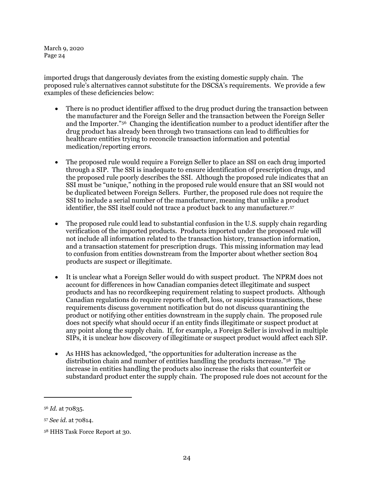imported drugs that dangerously deviates from the existing domestic supply chain. The proposed rule's alternatives cannot substitute for the DSCSA's requirements. We provide a few examples of these deficiencies below:

- There is no product identifier affixed to the drug product during the transaction between the manufacturer and the Foreign Seller and the transaction between the Foreign Seller and the Importer.["56](#page-23-0) Changing the identification number to a product identifier after the drug product has already been through two transactions can lead to difficulties for healthcare entities trying to reconcile transaction information and potential medication/reporting errors.
- The proposed rule would require a Foreign Seller to place an SSI on each drug imported through a SIP. The SSI is inadequate to ensure identification of prescription drugs, and the proposed rule poorly describes the SSI. Although the proposed rule indicates that an SSI must be "unique," nothing in the proposed rule would ensure that an SSI would not be duplicated between Foreign Sellers. Further, the proposed rule does not require the SSI to include a serial number of the manufacturer, meaning that unlike a product identifier, the SSI itself could not trace a product back to any manufacturer.[57](#page-23-1)
- The proposed rule could lead to substantial confusion in the U.S. supply chain regarding verification of the imported products. Products imported under the proposed rule will not include all information related to the transaction history, transaction information, and a transaction statement for prescription drugs. This missing information may lead to confusion from entities downstream from the Importer about whether section 804 products are suspect or illegitimate.
- It is unclear what a Foreign Seller would do with suspect product. The NPRM does not account for differences in how Canadian companies detect illegitimate and suspect products and has no recordkeeping requirement relating to suspect products. Although Canadian regulations do require reports of theft, loss, or suspicious transactions, these requirements discuss government notification but do not discuss quarantining the product or notifying other entities downstream in the supply chain. The proposed rule does not specify what should occur if an entity finds illegitimate or suspect product at any point along the supply chain. If, for example, a Foreign Seller is involved in multiple SIPs, it is unclear how discovery of illegitimate or suspect product would affect each SIP.
- As HHS has acknowledged, "the opportunities for adulteration increase as the distribution chain and number of entities handling the products increase."[58](#page-23-2) The increase in entities handling the products also increase the risks that counterfeit or substandard product enter the supply chain. The proposed rule does not account for the

<span id="page-23-0"></span><sup>56</sup> *Id*. at 70835.

<span id="page-23-1"></span><sup>57</sup> *See id*. at 70814.

<span id="page-23-2"></span><sup>58</sup> HHS Task Force Report at 30.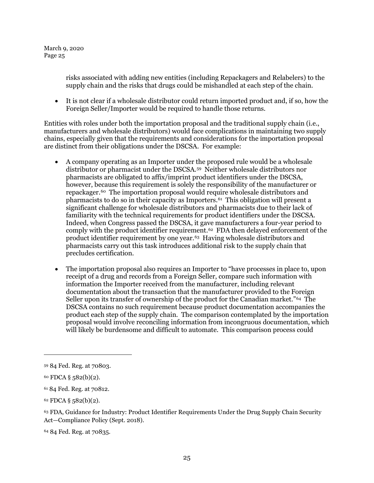> risks associated with adding new entities (including Repackagers and Relabelers) to the supply chain and the risks that drugs could be mishandled at each step of the chain.

• It is not clear if a wholesale distributor could return imported product and, if so, how the Foreign Seller/Importer would be required to handle those returns.

Entities with roles under both the importation proposal and the traditional supply chain (i.e., manufacturers and wholesale distributors) would face complications in maintaining two supply chains, especially given that the requirements and considerations for the importation proposal are distinct from their obligations under the DSCSA. For example:

- A company operating as an Importer under the proposed rule would be a wholesale distributor or pharmacist under the DSCSA.[59](#page-24-0) Neither wholesale distributors nor pharmacists are obligated to affix/imprint product identifiers under the DSCSA, however, because this requirement is solely the responsibility of the manufacturer or repackager.[60](#page-24-1) The importation proposal would require wholesale distributors and pharmacists to do so in their capacity as Importers.<sup>61</sup> This obligation will present a significant challenge for wholesale distributors and pharmacists due to their lack of familiarity with the technical requirements for product identifiers under the DSCSA. Indeed, when Congress passed the DSCSA, it gave manufacturers a four-year period to comply with the product identifier requirement.[62](#page-24-3) FDA then delayed enforcement of the product identifier requirement by one year.[63](#page-24-4) Having wholesale distributors and pharmacists carry out this task introduces additional risk to the supply chain that precludes certification.
- The importation proposal also requires an Importer to "have processes in place to, upon receipt of a drug and records from a Foreign Seller, compare such information with information the Importer received from the manufacturer, including relevant documentation about the transaction that the manufacturer provided to the Foreign Seller upon its transfer of ownership of the product for the Canadian market."[64](#page-24-5) The DSCSA contains no such requirement because product documentation accompanies the product each step of the supply chain. The comparison contemplated by the importation proposal would involve reconciling information from incongruous documentation, which will likely be burdensome and difficult to automate. This comparison process could

1

<span id="page-24-3"></span> $62$  FDCA § 582(b)(2).

<span id="page-24-4"></span><sup>63</sup> FDA, Guidance for Industry: Product Identifier Requirements Under the Drug Supply Chain Security Act—Compliance Policy (Sept. 2018).

<span id="page-24-5"></span><sup>64</sup> 84 Fed. Reg. at 70835.

<span id="page-24-0"></span><sup>59</sup> 84 Fed. Reg. at 70803.

<span id="page-24-1"></span> $60$  FDCA § 582(b)(2).

<span id="page-24-2"></span><sup>61</sup> 84 Fed. Reg. at 70812.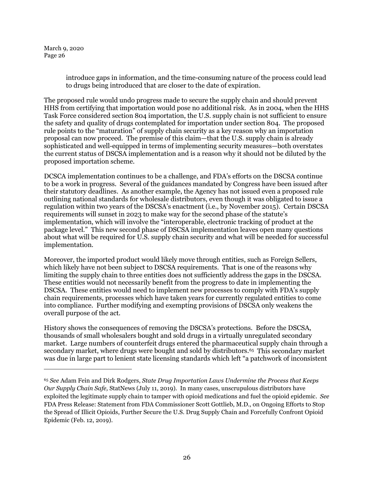<span id="page-25-1"></span>1

introduce gaps in information, and the time-consuming nature of the process could lead to drugs being introduced that are closer to the date of expiration.

The proposed rule would undo progress made to secure the supply chain and should prevent HHS from certifying that importation would pose no additional risk. As in 2004, when the HHS Task Force considered section 804 importation, the U.S. supply chain is not sufficient to ensure the safety and quality of drugs contemplated for importation under section 804. The proposed rule points to the "maturation" of supply chain security as a key reason why an importation proposal can now proceed. The premise of this claim—that the U.S. supply chain is already sophisticated and well-equipped in terms of implementing security measures—both overstates the current status of DSCSA implementation and is a reason why it should not be diluted by the proposed importation scheme.

DCSCA implementation continues to be a challenge, and FDA's efforts on the DSCSA continue to be a work in progress. Several of the guidances mandated by Congress have been issued after their statutory deadlines. As another example, the Agency has not issued even a proposed rule outlining national standards for wholesale distributors, even though it was obligated to issue a regulation within two years of the DSCSA's enactment (i.e., by November 2015). Certain DSCSA requirements will sunset in 2023 to make way for the second phase of the statute's implementation, which will involve the "interoperable, electronic tracking of product at the package level." This new second phase of DSCSA implementation leaves open many questions about what will be required for U.S. supply chain security and what will be needed for successful implementation.

Moreover, the imported product would likely move through entities, such as Foreign Sellers, which likely have not been subject to DSCSA requirements. That is one of the reasons why limiting the supply chain to three entities does not sufficiently address the gaps in the DSCSA. These entities would not necessarily benefit from the progress to date in implementing the DSCSA. These entities would need to implement new processes to comply with FDA's supply chain requirements, processes which have taken years for currently regulated entities to come into compliance. Further modifying and exempting provisions of DSCSA only weakens the overall purpose of the act.

History shows the consequences of removing the DSCSA's protections. Before the DSCSA, thousands of small wholesalers bought and sold drugs in a virtually unregulated secondary market. Large numbers of counterfeit drugs entered the pharmaceutical supply chain through a secondary market, where drugs were bought and sold by distributors.[65](#page-25-0) This secondary market was due in large part to lenient state licensing standards which left "a patchwork of inconsistent

<span id="page-25-0"></span><sup>65</sup> *See* Adam Fein and Dirk Rodgers, *State Drug Importation Laws Undermine the Process that Keeps Our Supply Chain Safe,* StatNews (July 11, 2019). In many cases, unscrupulous distributors have exploited the legitimate supply chain to tamper with opioid medications and fuel the opioid epidemic. *See*  FDA Press Release: Statement from FDA Commissioner Scott Gottlieb, M.D., on Ongoing Efforts to Stop the Spread of Illicit Opioids, Further Secure the U.S. Drug Supply Chain and Forcefully Confront Opioid Epidemic (Feb. 12, 2019).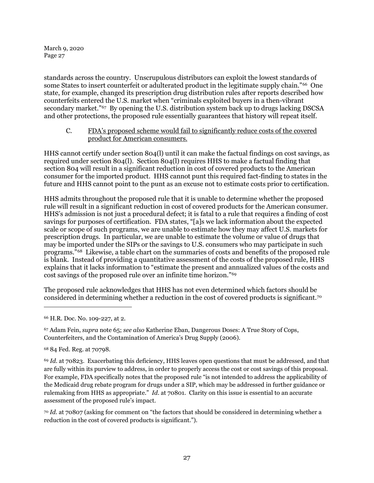standards across the country. Unscrupulous distributors can exploit the lowest standards of some States to insert counterfeit or adulterated product in the legitimate supply chain."[66](#page-26-1) One state, for example, changed its prescription drug distribution rules after reports described how counterfeits entered the U.S. market when "criminals exploited buyers in a then-vibrant secondary market."[67](#page-26-2) By opening the U.S. distribution system back up to drugs lacking DSCSA and other protections, the proposed rule essentially guarantees that history will repeat itself.

#### C. FDA's proposed scheme would fail to significantly reduce costs of the covered product for American consumers.

<span id="page-26-0"></span>HHS cannot certify under section 804(l) until it can make the factual findings on cost savings, as required under section 804(l). Section 804(l) requires HHS to make a factual finding that section 804 will result in a significant reduction in cost of covered products to the American consumer for the imported product. HHS cannot punt this required fact-finding to states in the future and HHS cannot point to the punt as an excuse not to estimate costs prior to certification.

HHS admits throughout the proposed rule that it is unable to determine whether the proposed rule will result in a significant reduction in cost of covered products for the American consumer. HHS's admission is not just a procedural defect; it is fatal to a rule that requires a finding of cost savings for purposes of certification. FDA states, "[a]s we lack information about the expected scale or scope of such programs, we are unable to estimate how they may affect U.S. markets for prescription drugs. In particular, we are unable to estimate the volume or value of drugs that may be imported under the SIPs or the savings to U.S. consumers who may participate in such programs."[68](#page-26-3) Likewise, a table chart on the summaries of costs and benefits of the proposed rule is blank. Instead of providing a quantitative assessment of the costs of the proposed rule, HHS explains that it lacks information to "estimate the present and annualized values of the costs and cost savings of the proposed rule over an infinite time horizon.["69](#page-26-4)

The proposed rule acknowledges that HHS has not even determined which factors should be considered in determining whether a reduction in the cost of covered products is significant.[70](#page-26-5) 

1

<span id="page-26-5"></span><sup>70</sup> *Id*. at 70807 (asking for comment on "the factors that should be considered in determining whether a reduction in the cost of covered products is significant.").

<span id="page-26-1"></span><sup>66</sup> H.R. Doc. No. 109-227, at 2.

<span id="page-26-2"></span><sup>67</sup> Adam Fein, *supra* note [65;](#page-25-1) *see also* Katherine Eban, Dangerous Doses: A True Story of Cops, Counterfeiters, and the Contamination of America's Drug Supply (2006).

<span id="page-26-3"></span><sup>68</sup> 84 Fed. Reg. at 70798.

<span id="page-26-4"></span><sup>69</sup> *Id*. at 70823. Exacerbating this deficiency, HHS leaves open questions that must be addressed, and that are fully within its purview to address, in order to properly access the cost or cost savings of this proposal. For example, FDA specifically notes that the proposed rule "is not intended to address the applicability of the Medicaid drug rebate program for drugs under a SIP, which may be addressed in further guidance or rulemaking from HHS as appropriate." *Id*. at 70801. Clarity on this issue is essential to an accurate assessment of the proposed rule's impact.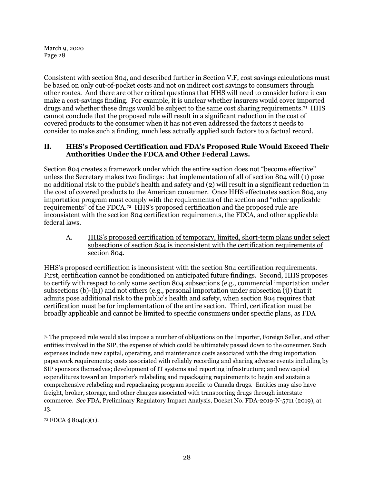Consistent with section 804, and described further in Section [V.F,](#page-71-0) cost savings calculations must be based on only out-of-pocket costs and not on indirect cost savings to consumers through other routes. And there are other critical questions that HHS will need to consider before it can make a cost-savings finding. For example, it is unclear whether insurers would cover imported drugs and whether these drugs would be subject to the same cost sharing requirements.[71](#page-27-2) HHS cannot conclude that the proposed rule will result in a significant reduction in the cost of covered products to the consumer when it has not even addressed the factors it needs to consider to make such a finding, much less actually applied such factors to a factual record.

# <span id="page-27-0"></span>**II. HHS's Proposed Certification and FDA's Proposed Rule Would Exceed Their Authorities Under the FDCA and Other Federal Laws.**

Section 804 creates a framework under which the entire section does not "become effective" unless the Secretary makes two findings: that implementation of all of section 804 will (1) pose no additional risk to the public's health and safety and (2) will result in a significant reduction in the cost of covered products to the American consumer. Once HHS effectuates section 804, any importation program must comply with the requirements of the section and "other applicable requirements" of the FDCA.[72](#page-27-3) HHS's proposed certification and the proposed rule are inconsistent with the section 804 certification requirements, the FDCA, and other applicable federal laws.

<span id="page-27-1"></span>A. HHS's proposed certification of temporary, limited, short-term plans under select subsections of section 804 is inconsistent with the certification requirements of section 804.

HHS's proposed certification is inconsistent with the section 804 certification requirements. First, certification cannot be conditioned on anticipated future findings. Second, HHS proposes to certify with respect to only some section 804 subsections (e.g., commercial importation under subsections (b)- $(\overline{h})$ ) and not others (e.g., personal importation under subsection (j)) that it admits pose additional risk to the public's health and safety, when section 804 requires that certification must be for implementation of the entire section. Third, certification must be broadly applicable and cannot be limited to specific consumers under specific plans, as FDA

<span id="page-27-3"></span><sup>72</sup> FDCA § 804(c)(1).

<span id="page-27-2"></span><sup>71</sup> The proposed rule would also impose a number of obligations on the Importer, Foreign Seller, and other entities involved in the SIP, the expense of which could be ultimately passed down to the consumer. Such expenses include new capital, operating, and maintenance costs associated with the drug importation paperwork requirements; costs associated with reliably recording and sharing adverse events including by SIP sponsors themselves; development of IT systems and reporting infrastructure; and new capital expenditures toward an Importer's relabeling and repackaging requirements to begin and sustain a comprehensive relabeling and repackaging program specific to Canada drugs. Entities may also have freight, broker, storage, and other charges associated with transporting drugs through interstate commerce. *See* FDA, Preliminary Regulatory Impact Analysis, Docket No. FDA-2019-N-5711 (2019), at 13.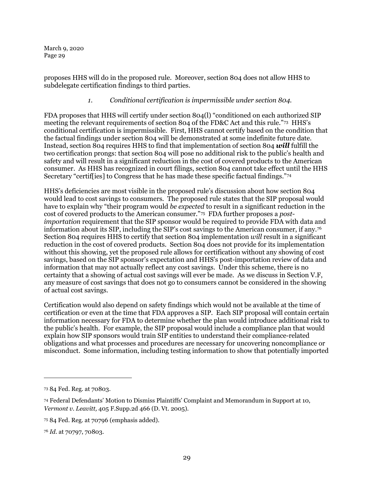proposes HHS will do in the proposed rule. Moreover, section 804 does not allow HHS to subdelegate certification findings to third parties.

## *1. Conditional certification is impermissible under section 804.*

<span id="page-28-0"></span>FDA proposes that HHS will certify under section 804(l) "conditioned on each authorized SIP meeting the relevant requirements of section 804 of the FD&C Act and this rule."[73](#page-28-1) HHS's conditional certification is impermissible. First, HHS cannot certify based on the condition that the factual findings under section 804 will be demonstrated at some indefinite future date. Instead, section 804 requires HHS to find that implementation of section 804 *will* fulfill the two certification prongs: that section 804 will pose no additional risk to the public's health and safety and will result in a significant reduction in the cost of covered products to the American consumer. As HHS has recognized in court filings, section 804 cannot take effect until the HHS Secretary "certif[ies] to Congress that he has made these specific factual findings."[74](#page-28-2)

HHS's deficiencies are most visible in the proposed rule's discussion about how section 804 would lead to cost savings to consumers. The proposed rule states that the SIP proposal would have to explain why "their program would *be expected* to result in a significant reduction in the cost of covered products to the American consumer."[75](#page-28-3) FDA further proposes a *postimportation* requirement that the SIP sponsor would be required to provide FDA with data and information about its SIP, including the SIP's cost savings to the American consumer, if any*.*[76](#page-28-4)  Section 804 requires HHS to certify that section 804 implementation *will* result in a significant reduction in the cost of covered products. Section 804 does not provide for its implementation without this showing, yet the proposed rule allows for certification without any showing of cost savings, based on the SIP sponsor's expectation and HHS's post-importation review of data and information that may not actually reflect any cost savings. Under this scheme, there is no certainty that a showing of actual cost savings will ever be made. As we discuss in Section [V.F,](#page-71-0) any measure of cost savings that does not go to consumers cannot be considered in the showing of actual cost savings.

Certification would also depend on safety findings which would not be available at the time of certification or even at the time that FDA approves a SIP. Each SIP proposal will contain certain information necessary for FDA to determine whether the plan would introduce additional risk to the public's health. For example, the SIP proposal would include a compliance plan that would explain how SIP sponsors would train SIP entities to understand their compliance-related obligations and what processes and procedures are necessary for uncovering noncompliance or misconduct. Some information, including testing information to show that potentially imported

<span id="page-28-1"></span><sup>73</sup> 84 Fed. Reg. at 70803.

<span id="page-28-2"></span><sup>74</sup> Federal Defendants' Motion to Dismiss Plaintiffs' Complaint and Memorandum in Support at 10, *Vermont v. Leavitt,* 405 F.Supp.2d 466 (D. Vt. 2005).

<span id="page-28-3"></span><sup>75</sup> 84 Fed. Reg. at 70796 (emphasis added).

<span id="page-28-4"></span><sup>76</sup> *Id*. at 70797, 70803.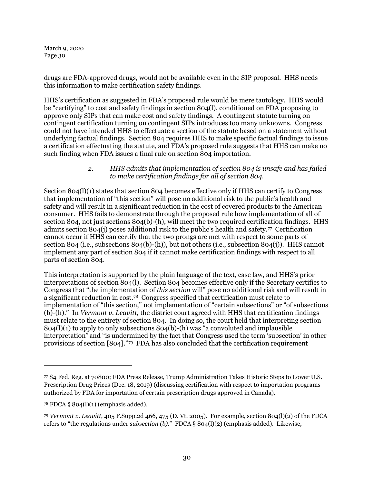drugs are FDA-approved drugs, would not be available even in the SIP proposal. HHS needs this information to make certification safety findings.

HHS's certification as suggested in FDA's proposed rule would be mere tautology. HHS would be "certifying" to cost and safety findings in section 804(l), conditioned on FDA proposing to approve only SIPs that can make cost and safety findings. A contingent statute turning on contingent certification turning on contingent SIPs introduces too many unknowns. Congress could not have intended HHS to effectuate a section of the statute based on a statement without underlying factual findings. Section 804 requires HHS to make specific factual findings to issue a certification effectuating the statute, and FDA's proposed rule suggests that HHS can make no such finding when FDA issues a final rule on section 804 importation.

#### *2. HHS admits that implementation of section 804 is unsafe and has failed to make certification findings for all of section 804.*

<span id="page-29-0"></span>Section 804(l)(1) states that section 804 becomes effective only if HHS can certify to Congress that implementation of "this section" will pose no additional risk to the public's health and safety and will result in a significant reduction in the cost of covered products to the American consumer. HHS fails to demonstrate through the proposed rule how implementation of all of section 804, not just sections 804(b)-(h), will meet the two required certification findings. HHS admits section 804(j) poses additional risk to the public's health and safety[.77](#page-29-1) Certification cannot occur if HHS can certify that the two prongs are met with respect to some parts of section 804 (i.e., subsections 804(b)-(h)), but not others (i.e., subsection 804(j)). HHS cannot implement any part of section 804 if it cannot make certification findings with respect to all parts of section 804.

This interpretation is supported by the plain language of the text, case law, and HHS's prior interpretations of section 804(l). Section 804 becomes effective only if the Secretary certifies to Congress that "the implementation of *this section* will" pose no additional risk and will result in a significant reduction in cost.[78](#page-29-2) Congress specified that certification must relate to implementation of "this section," not implementation of "certain subsections" or "of subsections (b)-(h)." In *Vermont v. Leavitt,* the district court agreed with HHS that certification findings must relate to the entirety of section 804. In doing so, the court held that interpreting section 804(l)(1) to apply to only subsections 804(b)-(h) was "a convoluted and implausible interpretation" and "is undermined by the fact that Congress used the term 'subsection' in other provisions of section [804]."[79](#page-29-3) FDA has also concluded that the certification requirement

<span id="page-29-1"></span><sup>77</sup> 84 Fed. Reg. at 70800; FDA Press Release, Trump Administration Takes Historic Steps to Lower U.S. Prescription Drug Prices (Dec. 18, 2019) (discussing certification with respect to importation programs authorized by FDA for importation of certain prescription drugs approved in Canada).

<span id="page-29-2"></span> $78$  FDCA § 804(l)(1) (emphasis added).

<span id="page-29-3"></span><sup>79</sup> *Vermont v. Leavitt*, 405 F.Supp.2d 466, 475 (D. Vt. 2005). For example, section 804(l)(2) of the FDCA refers to "the regulations under *subsection (b)*." FDCA § 804(l)(2) (emphasis added). Likewise,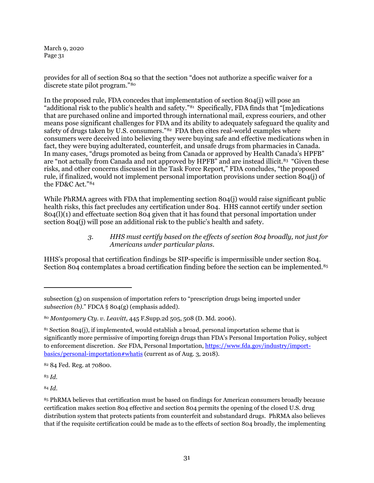provides for all of section 804 so that the section "does not authorize a specific waiver for a discrete state pilot program."[80](#page-30-1)

In the proposed rule, FDA concedes that implementation of section 804(j) will pose an "additional risk to the public's health and safety."[81](#page-30-2) Specifically, FDA finds that "[m]edications that are purchased online and imported through international mail, express couriers, and other means pose significant challenges for FDA and its ability to adequately safeguard the quality and safety of drugs taken by U.S. consumers."<sup>[82](#page-30-3)</sup> FDA then cites real-world examples where consumers were deceived into believing they were buying safe and effective medications when in fact, they were buying adulterated, counterfeit, and unsafe drugs from pharmacies in Canada. In many cases, "drugs promoted as being from Canada or approved by Health Canada's HPFB" are "not actually from Canada and not approved by HPFB" and are instead illicit.[83](#page-30-4) "Given these risks, and other concerns discussed in the Task Force Report," FDA concludes, "the proposed rule, if finalized, would not implement personal importation provisions under section 804(j) of the FD&C Act."[84](#page-30-5)

While PhRMA agrees with FDA that implementing section 804(j) would raise significant public health risks, this fact precludes any certification under 804. HHS cannot certify under section 804(l)(1) and effectuate section 804 given that it has found that personal importation under section 804(j) will pose an additional risk to the public's health and safety.

#### *3. HHS must certify based on the effects of section 804 broadly, not just for Americans under particular plans.*

<span id="page-30-0"></span>HHS's proposal that certification findings be SIP-specific is impermissible under section 804. Section 804 contemplates a broad certification finding before the section can be implemented.<sup>[85](#page-30-6)</sup>

<span id="page-30-3"></span><sup>82</sup> 84 Fed. Reg. at 70800.

<span id="page-30-4"></span><sup>83</sup> *Id*.

 $\overline{a}$ 

<span id="page-30-5"></span><sup>84</sup> *Id*.

subsection (g) on suspension of importation refers to "prescription drugs being imported under *subsection (b)*." FDCA § 804(g) (emphasis added).

<span id="page-30-1"></span><sup>80</sup> *Montgomery Cty. v. Leavitt*, 445 F.Supp.2d 505, 508 (D. Md. 2006).

<span id="page-30-2"></span> $81$  Section 804(j), if implemented, would establish a broad, personal importation scheme that is significantly more permissive of importing foreign drugs than FDA's Personal Importation Policy, subject to enforcement discretion. *See* FDA, Personal Importation, [https://www.fda.gov/industry/import](https://www.fda.gov/industry/import-basics/personal-importation#whatis)[basics/personal-importation#whatis](https://www.fda.gov/industry/import-basics/personal-importation#whatis) (current as of Aug. 3, 2018).

<span id="page-30-6"></span><sup>85</sup> PhRMA believes that certification must be based on findings for American consumers broadly because certification makes section 804 effective and section 804 permits the opening of the closed U.S. drug distribution system that protects patients from counterfeit and substandard drugs. PhRMA also believes that if the requisite certification could be made as to the effects of section 804 broadly, the implementing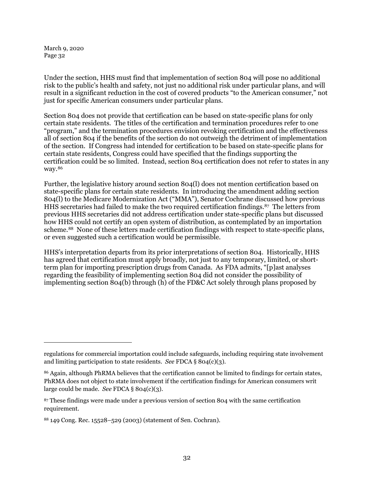$\overline{a}$ 

Under the section, HHS must find that implementation of section 804 will pose no additional risk to the public's health and safety, not just no additional risk under particular plans, and will result in a significant reduction in the cost of covered products "to the American consumer," not just for specific American consumers under particular plans.

Section 804 does not provide that certification can be based on state-specific plans for only certain state residents. The titles of the certification and termination procedures refer to one "program," and the termination procedures envision revoking certification and the effectiveness all of section 804 if the benefits of the section do not outweigh the detriment of implementation of the section. If Congress had intended for certification to be based on state-specific plans for certain state residents, Congress could have specified that the findings supporting the certification could be so limited. Instead, section 804 certification does not refer to states in any way.[86](#page-31-0)

Further, the legislative history around section 804(l) does not mention certification based on state-specific plans for certain state residents. In introducing the amendment adding section 804(l) to the Medicare Modernization Act ("MMA"), Senator Cochrane discussed how previous HHS secretaries had failed to make the two required certification findings.[87](#page-31-1) The letters from previous HHS secretaries did not address certification under state-specific plans but discussed how HHS could not certify an open system of distribution, as contemplated by an importation scheme.[88](#page-31-2) None of these letters made certification findings with respect to state-specific plans, or even suggested such a certification would be permissible.

HHS's interpretation departs from its prior interpretations of section 804. Historically, HHS has agreed that certification must apply broadly, not just to any temporary, limited, or shortterm plan for importing prescription drugs from Canada. As FDA admits, "[p]ast analyses regarding the feasibility of implementing section 804 did not consider the possibility of implementing section 804(b) through (h) of the FD&C Act solely through plans proposed by

regulations for commercial importation could include safeguards, including requiring state involvement and limiting participation to state residents. *See* FDCA § 804(c)(3).

<span id="page-31-0"></span><sup>86</sup> Again, although PhRMA believes that the certification cannot be limited to findings for certain states, PhRMA does not object to state involvement if the certification findings for American consumers writ large could be made. *See* FDCA § 804(c)(3).

<span id="page-31-1"></span><sup>87</sup> These findings were made under a previous version of section 804 with the same certification requirement.

<span id="page-31-2"></span><sup>88</sup> 149 Cong. Rec. 15528–529 (2003) (statement of Sen. Cochran).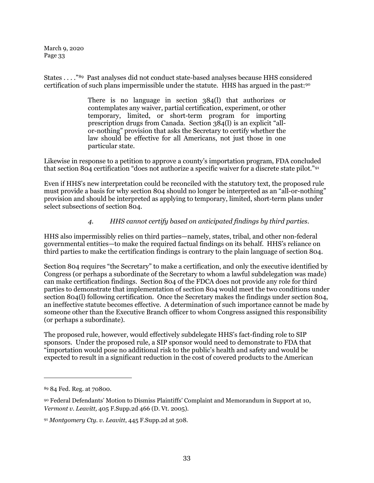States . . . ."[89](#page-32-1) Past analyses did not conduct state-based analyses because HHS considered certification of such plans impermissible under the statute. HHS has argued in the past:[90](#page-32-2)

> There is no language in section 384(l) that authorizes or contemplates any waiver, partial certification, experiment, or other temporary, limited, or short-term program for importing prescription drugs from Canada. Section 384(l) is an explicit "allor-nothing" provision that asks the Secretary to certify whether the law should be effective for all Americans, not just those in one particular state.

Likewise in response to a petition to approve a county's importation program, FDA concluded that section 804 certification "does not authorize a specific waiver for a discrete state pilot."[91](#page-32-3) 

Even if HHS's new interpretation could be reconciled with the statutory text, the proposed rule must provide a basis for why section 804 should no longer be interpreted as an "all-or-nothing" provision and should be interpreted as applying to temporary, limited, short-term plans under select subsections of section 804.

# *4. HHS cannot certify based on anticipated findings by third parties.*

<span id="page-32-0"></span>HHS also impermissibly relies on third parties—namely, states, tribal, and other non-federal governmental entities—to make the required factual findings on its behalf. HHS's reliance on third parties to make the certification findings is contrary to the plain language of section 804.

Section 804 requires "the Secretary" to make a certification, and only the executive identified by Congress (or perhaps a subordinate of the Secretary to whom a lawful subdelegation was made) can make certification findings. Section 804 of the FDCA does not provide any role for third parties to demonstrate that implementation of section 804 would meet the two conditions under section 804(l) following certification. Once the Secretary makes the findings under section 804, an ineffective statute becomes effective. A determination of such importance cannot be made by someone other than the Executive Branch officer to whom Congress assigned this responsibility (or perhaps a subordinate).

The proposed rule, however, would effectively subdelegate HHS's fact-finding role to SIP sponsors. Under the proposed rule, a SIP sponsor would need to demonstrate to FDA that "importation would pose no additional risk to the public's health and safety and would be expected to result in a significant reduction in the cost of covered products to the American

<span id="page-32-1"></span><sup>89</sup> 84 Fed. Reg. at 70800.

<span id="page-32-2"></span><sup>90</sup> Federal Defendants' Motion to Dismiss Plaintiffs' Complaint and Memorandum in Support at 10, *Vermont v. Leavitt,* 405 F.Supp.2d 466 (D. Vt. 2005).

<span id="page-32-3"></span><sup>91</sup> *Montgomery Cty. v. Leavitt*, 445 F.Supp.2d at 508.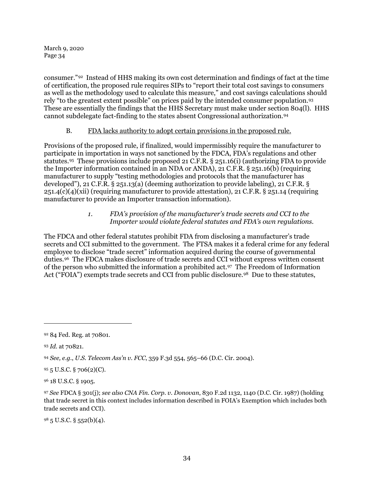consumer."[92](#page-33-2) Instead of HHS making its own cost determination and findings of fact at the time of certification, the proposed rule requires SIPs to "report their total cost savings to consumers as well as the methodology used to calculate this measure," and cost savings calculations should rely "to the greatest extent possible" on prices paid by the intended consumer population.[93](#page-33-3) These are essentially the findings that the HHS Secretary must make under section 804(l). HHS cannot subdelegate fact-finding to the states absent Congressional authorization.[94](#page-33-4)

# B. FDA lacks authority to adopt certain provisions in the proposed rule.

<span id="page-33-0"></span>Provisions of the proposed rule, if finalized, would impermissibly require the manufacturer to participate in importation in ways not sanctioned by the FDCA, FDA's regulations and other statutes.[95](#page-33-5) These provisions include proposed 21 C.F.R. § 251.16(i) (authorizing FDA to provide the Importer information contained in an NDA or ANDA), 21 C.F.R. § 251.16(b) (requiring manufacturer to supply "testing methodologies and protocols that the manufacturer has developed"), 21 C.F.R. § 251.13(a) (deeming authorization to provide labeling), 21 C.F.R. § 251.4(c)(4)(xii) (requiring manufacturer to provide attestation), 21 C.F.R. § 251.14 (requiring manufacturer to provide an Importer transaction information).

# *1. FDA's provision of the manufacturer's trade secrets and CCI to the Importer would violate federal statutes and FDA's own regulations.*

<span id="page-33-1"></span>The FDCA and other federal statutes prohibit FDA from disclosing a manufacturer's trade secrets and CCI submitted to the government. The FTSA makes it a federal crime for any federal employee to disclose "trade secret" information acquired during the course of governmental duties.[96](#page-33-6) The FDCA makes disclosure of trade secrets and CCI without express written consent of the person who submitted the information a prohibited act[.97](#page-33-7) The Freedom of Information Act ("FOIA") exempts trade secrets and CCI from public disclosure.<sup>98</sup> Due to these statutes,

1

<span id="page-33-8"></span> $98\,5$  U.S.C. § 552(b)(4).

<span id="page-33-2"></span><sup>92</sup> 84 Fed. Reg. at 70801.

<span id="page-33-3"></span><sup>93</sup> *Id*. at 70821.

<span id="page-33-4"></span><sup>94</sup> *See, e.g.*, *U.S. Telecom Ass'n v. FCC*, 359 F.3d 554, 565–66 (D.C. Cir. 2004).

<span id="page-33-5"></span><sup>95</sup> 5 U.S.C. § 706(2)(C).

<span id="page-33-6"></span><sup>96</sup> 18 U.S.C. § 1905.

<span id="page-33-7"></span><sup>97</sup> *See* FDCA § 301(j); *see also CNA Fin. Corp. v. Donovan*, 830 F.2d 1132, 1140 (D.C. Cir. 1987) (holding that trade secret in this context includes information described in FOIA's Exemption which includes both trade secrets and CCI).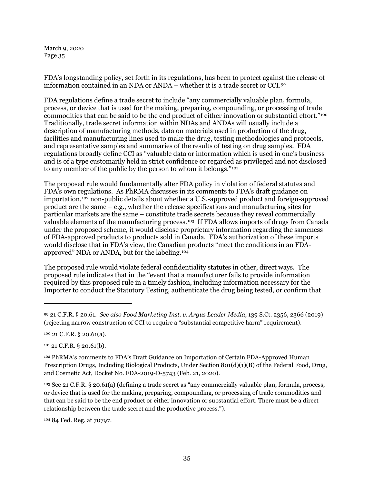FDA's longstanding policy, set forth in its regulations, has been to protect against the release of information contained in an NDA or ANDA – whether it is a trade secret or CCI.[99](#page-34-0)

FDA regulations define a trade secret to include "any commercially valuable plan, formula, process, or device that is used for the making, preparing, compounding, or processing of trade commodities that can be said to be the end product of either innovation or substantial effort."[100](#page-34-1) Traditionally, trade secret information within NDAs and ANDAs will usually include a description of manufacturing methods, data on materials used in production of the drug, facilities and manufacturing lines used to make the drug, testing methodologies and protocols, and representative samples and summaries of the results of testing on drug samples. FDA regulations broadly define CCI as "valuable data or information which is used in one's business and is of a type customarily held in strict confidence or regarded as privileged and not disclosed to any member of the public by the person to whom it belongs."[101](#page-34-2)

The proposed rule would fundamentally alter FDA policy in violation of federal statutes and FDA's own regulations. As PhRMA discusses in its comments to FDA's draft guidance on importation,[102](#page-34-3) non-public details about whether a U.S.-approved product and foreign-approved product are the same – e.g., whether the release specifications and manufacturing sites for particular markets are the same – constitute trade secrets because they reveal commercially valuable elements of the manufacturing process.<sup>[103](#page-34-4)</sup> If FDA allows imports of drugs from Canada under the proposed scheme, it would disclose proprietary information regarding the sameness of FDA-approved products to products sold in Canada. FDA's authorization of these imports would disclose that in FDA's view, the Canadian products "meet the conditions in an FDAapproved" NDA or ANDA, but for the labeling[.104](#page-34-5)

The proposed rule would violate federal confidentiality statutes in other, direct ways. The proposed rule indicates that in the "event that a manufacturer fails to provide information required by this proposed rule in a timely fashion, including information necessary for the Importer to conduct the Statutory Testing, authenticate the drug being tested, or confirm that

1

<span id="page-34-2"></span> $101$  21 C.F.R. § 20.61(b).

<span id="page-34-4"></span><sup>103</sup> See 21 C.F.R. § 20.61(a) (defining a trade secret as "any commercially valuable plan, formula, process, or device that is used for the making, preparing, compounding, or processing of trade commodities and that can be said to be the end product or either innovation or substantial effort. There must be a direct relationship between the trade secret and the productive process.").

<span id="page-34-5"></span><sup>104</sup> 84 Fed. Reg. at 70797.

<span id="page-34-0"></span><sup>99</sup> 21 C.F.R. § 20.61. *See also Food Marketing Inst. v. Argus Leader Media*, 139 S.Ct. 2356, 2366 (2019) (rejecting narrow construction of CCI to require a "substantial competitive harm" requirement).

<span id="page-34-1"></span><sup>100</sup> 21 C.F.R. § 20.61(a).

<span id="page-34-3"></span><sup>102</sup> PhRMA's comments to FDA's Draft Guidance on Importation of Certain FDA-Approved Human Prescription Drugs, Including Biological Products, Under Section 801(d)(1)(B) of the Federal Food, Drug, and Cosmetic Act, Docket No. FDA-2019-D-5743 (Feb. 21, 2020).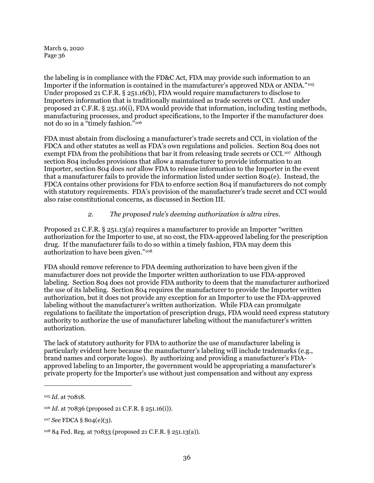the labeling is in compliance with the FD&C Act, FDA may provide such information to an Importer if the information is contained in the manufacturer's approved NDA or ANDA."[105](#page-35-1)  Under proposed 21 C.F.R. § 251.16(b), FDA would require manufacturers to disclose to Importers information that is traditionally maintained as trade secrets or CCI. And under proposed 21 C.F.R. § 251.16(i), FDA would provide that information, including testing methods, manufacturing processes, and product specifications, to the Importer if the manufacturer does not do so in a "timely fashion."[106](#page-35-2) 

FDA must abstain from disclosing a manufacturer's trade secrets and CCI, in violation of the FDCA and other statutes as well as FDA's own regulations and policies. Section 804 does not exempt FDA from the prohibitions that bar it from releasing trade secrets or CCI.<sup>[107](#page-35-3)</sup> Although section 804 includes provisions that allow a manufacturer to provide information to an Importer, section 804 does *not* allow FDA to release information to the Importer in the event that a manufacturer fails to provide the information listed under section 804(e). Instead, the FDCA contains other provisions for FDA to enforce section 804 if manufacturers do not comply with statutory requirements. FDA's provision of the manufacturer's trade secret and CCI would also raise constitutional concerns, as discussed in Sectio[n III.](#page-37-0)

# *2. The proposed rule's deeming authorization is ultra vires.*

<span id="page-35-0"></span>Proposed 21 C.F.R. § 251.13(a) requires a manufacturer to provide an Importer "written authorization for the Importer to use, at no cost, the FDA-approved labeling for the prescription drug. If the manufacturer fails to do so within a timely fashion, FDA may deem this authorization to have been given."[108](#page-35-4)

FDA should remove reference to FDA deeming authorization to have been given if the manufacturer does not provide the Importer written authorization to use FDA-approved labeling. Section 804 does not provide FDA authority to deem that the manufacturer authorized the use of its labeling. Section 804 requires the manufacturer to provide the Importer written authorization, but it does not provide any exception for an Importer to use the FDA-approved labeling without the manufacturer's written authorization. While FDA can promulgate regulations to facilitate the importation of prescription drugs, FDA would need express statutory authority to authorize the use of manufacturer labeling without the manufacturer's written authorization.

The lack of statutory authority for FDA to authorize the use of manufacturer labeling is particularly evident here because the manufacturer's labeling will include trademarks (e.g., brand names and corporate logos). By authorizing and providing a manufacturer's FDAapproved labeling to an Importer, the government would be appropriating a manufacturer's private property for the Importer's use without just compensation and without any express

<span id="page-35-1"></span><sup>105</sup> *Id*. at 70818.

<span id="page-35-2"></span><sup>106</sup> *Id*. at 70836 (proposed 21 C.F.R. § 251.16(i)).

<span id="page-35-3"></span><sup>107</sup> *See* FDCA § 804(e)(3).

<span id="page-35-4"></span><sup>108</sup> 84 Fed. Reg. at 70833 (proposed 21 C.F.R. § 251.13(a)).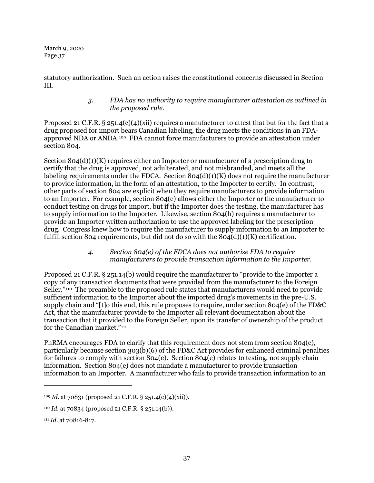statutory authorization. Such an action raises the constitutional concerns discussed in Section III.

### *3. FDA has no authority to require manufacturer attestation as outlined in the proposed rule.*

Proposed 21 C.F.R. § 251.4(c)(4)(xii) requires a manufacturer to attest that but for the fact that a drug proposed for import bears Canadian labeling, the drug meets the conditions in an FDAapproved NDA or ANDA.[109](#page-36-0) FDA cannot force manufacturers to provide an attestation under section 804.

Section  $804(d)(1)(K)$  requires either an Importer or manufacturer of a prescription drug to certify that the drug is approved, not adulterated, and not misbranded, and meets all the labeling requirements under the FDCA. Section  $804(d)(1)(K)$  does not require the manufacturer to provide information, in the form of an attestation, to the Importer to certify. In contrast, other parts of section 804 are explicit when they require manufacturers to provide information to an Importer. For example, section 804(e) allows either the Importer or the manufacturer to conduct testing on drugs for import, but if the Importer does the testing, the manufacturer has to supply information to the Importer. Likewise, section 804(h) requires a manufacturer to provide an Importer written authorization to use the approved labeling for the prescription drug. Congress knew how to require the manufacturer to supply information to an Importer to fulfill section 804 requirements, but did not do so with the  $804(d)(1)(K)$  certification.

#### *4. Section 804(e) of the FDCA does not authorize FDA to require manufacturers to provide transaction information to the Importer.*

Proposed 21 C.F.R. § 251.14(b) would require the manufacturer to "provide to the Importer a copy of any transaction documents that were provided from the manufacturer to the Foreign Seller."<sup>110</sup> The preamble to the proposed rule states that manufacturers would need to provide sufficient information to the Importer about the imported drug's movements in the pre-U.S. supply chain and "[t]o this end, this rule proposes to require, under section 804(e) of the FD&C Act, that the manufacturer provide to the Importer all relevant documentation about the transaction that it provided to the Foreign Seller, upon its transfer of ownership of the product for the Canadian market."<sup>[111](#page-36-2)</sup>

PhRMA encourages FDA to clarify that this requirement does not stem from section 804(e), particularly because section 303(b)(6) of the FD&C Act provides for enhanced criminal penalties for failures to comply with section 804(e). Section 804(e) relates to testing, not supply chain information. Section 804(e) does not mandate a manufacturer to provide transaction information to an Importer. A manufacturer who fails to provide transaction information to an

<span id="page-36-0"></span><sup>109</sup> *Id*. at 70831 (proposed 21 C.F.R. § 251.4(c)(4)(xii)).

<span id="page-36-1"></span><sup>110</sup> *Id*. at 70834 (proposed 21 C.F.R. § 251.14(b)).

<span id="page-36-2"></span><sup>111</sup> *Id*. at 70816-817.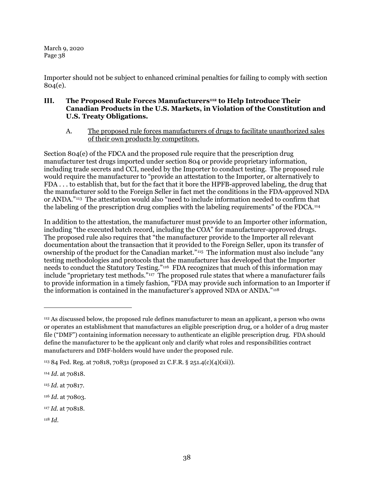Importer should not be subject to enhanced criminal penalties for failing to comply with section 804(e).

# **III. The Proposed Rule Forces Manufacturers[112](#page-37-0) to Help Introduce Their Canadian Products in the U.S. Markets, in Violation of the Constitution and U.S. Treaty Obligations.**

A. The proposed rule forces manufacturers of drugs to facilitate unauthorized sales of their own products by competitors.

Section 804(e) of the FDCA and the proposed rule require that the prescription drug manufacturer test drugs imported under section 804 or provide proprietary information, including trade secrets and CCI, needed by the Importer to conduct testing. The proposed rule would require the manufacturer to "provide an attestation to the Importer, or alternatively to FDA . . . to establish that, but for the fact that it bore the HPFB-approved labeling, the drug that the manufacturer sold to the Foreign Seller in fact met the conditions in the FDA-approved NDA or ANDA."[113](#page-37-1) The attestation would also "need to include information needed to confirm that the labeling of the prescription drug complies with the labeling requirements" of the FDCA.[114](#page-37-2)

In addition to the attestation, the manufacturer must provide to an Importer other information, including "the executed batch record, including the COA" for manufacturer-approved drugs. The proposed rule also requires that "the manufacturer provide to the Importer all relevant documentation about the transaction that it provided to the Foreign Seller, upon its transfer of ownership of the product for the Canadian market."[115](#page-37-3) The information must also include "any testing methodologies and protocols that the manufacturer has developed that the Importer needs to conduct the Statutory Testing."[116](#page-37-4) FDA recognizes that much of this information may include "proprietary test methods.["117](#page-37-5) The proposed rule states that where a manufacturer fails to provide information in a timely fashion, "FDA may provide such information to an Importer if the information is contained in the manufacturer's approved NDA or ANDA."[118](#page-37-6)

<span id="page-37-0"></span><sup>112</sup> As discussed below, the proposed rule defines manufacturer to mean an applicant, a person who owns or operates an establishment that manufactures an eligible prescription drug, or a holder of a drug master file ("DMF") containing information necessary to authenticate an eligible prescription drug. FDA should define the manufacturer to be the applicant only and clarify what roles and responsibilities contract manufacturers and DMF-holders would have under the proposed rule.

<span id="page-37-1"></span><sup>113</sup> 84 Fed. Reg. at 70818, 70831 (proposed 21 C.F.R. § 251.4(c)(4)(xii)).

<span id="page-37-2"></span><sup>114</sup> *Id*. at 70818.

<span id="page-37-3"></span><sup>115</sup> *Id*. at 70817.

<span id="page-37-4"></span><sup>116</sup> *Id*. at 70803.

<span id="page-37-5"></span><sup>117</sup> *Id*. at 70818.

<span id="page-37-6"></span><sup>118</sup> *Id*.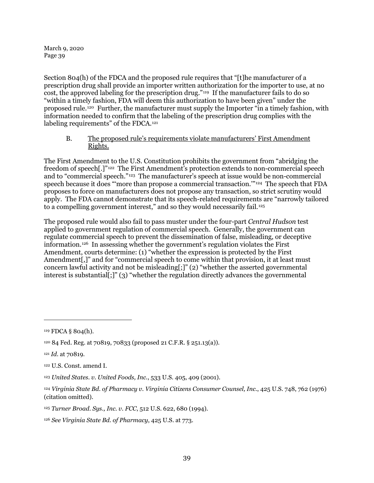Section 804(h) of the FDCA and the proposed rule requires that "[t]he manufacturer of a prescription drug shall provide an importer written authorization for the importer to use, at no cost, the approved labeling for the prescription drug."[119](#page-38-0) If the manufacturer fails to do so "within a timely fashion, FDA will deem this authorization to have been given" under the proposed rule.[120](#page-38-1) Further, the manufacturer must supply the Importer "in a timely fashion, with information needed to confirm that the labeling of the prescription drug complies with the labeling requirements" of the FDCA.<sup>[121](#page-38-2)</sup>

### B. The proposed rule's requirements violate manufacturers' First Amendment Rights.

The First Amendment to the U.S. Constitution prohibits the government from "abridging the freedom of speech[.]"[122](#page-38-3) The First Amendment's protection extends to non-commercial speech and to "commercial speech."[123](#page-38-4) The manufacturer's speech at issue would be non-commercial speech because it does "more than propose a commercial transaction."<sup>[124](#page-38-5)</sup> The speech that FDA proposes to force on manufacturers does not propose any transaction, so strict scrutiny would apply. The FDA cannot demonstrate that its speech-related requirements are "narrowly tailored to a compelling government interest," and so they would necessarily fail.<sup>[125](#page-38-6)</sup>

The proposed rule would also fail to pass muster under the four-part *Central Hudson* test applied to government regulation of commercial speech. Generally, the government can regulate commercial speech to prevent the dissemination of false, misleading, or deceptive information.[126](#page-38-7) In assessing whether the government's regulation violates the First Amendment, courts determine: (1) "whether the expression is protected by the First Amendment<sup>[1]</sup>, and for "commercial speech to come within that provision, it at least must concern lawful activity and not be misleading[;]" (2) "whether the asserted governmental interest is substantial[;]" (3) "whether the regulation directly advances the governmental

<span id="page-38-0"></span><sup>119</sup> FDCA § 804(h).

<span id="page-38-1"></span><sup>120</sup> 84 Fed. Reg. at 70819, 70833 (proposed 21 C.F.R. § 251.13(a)).

<span id="page-38-2"></span><sup>121</sup> *Id*. at 70819.

<span id="page-38-3"></span><sup>122</sup> U.S. Const. amend I.

<span id="page-38-4"></span><sup>123</sup> *United States. v. United Foods, Inc.*, 533 U.S. 405, 409 (2001).

<span id="page-38-5"></span><sup>124</sup> *Virginia State Bd. of Pharmacy v. Virginia Citizens Consumer Counsel, Inc.*, 425 U.S. 748, 762 (1976) (citation omitted).

<span id="page-38-6"></span><sup>125</sup> *Turner Broad. Sys., Inc. v. FCC*, 512 U.S. 622, 680 (1994).

<span id="page-38-7"></span><sup>126</sup> *See Virginia State Bd. of Pharmacy*, 425 U.S. at 773.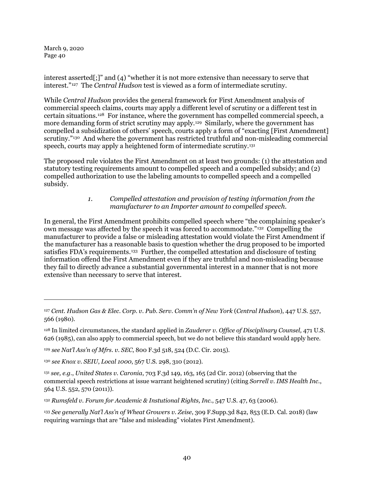1

interest asserted[;]" and (4) "whether it is not more extensive than necessary to serve that interest."[127](#page-39-0) The *Central Hudson* test is viewed as a form of intermediate scrutiny.

While *Central Hudson* provides the general framework for First Amendment analysis of commercial speech claims, courts may apply a different level of scrutiny or a different test in certain situations.[128](#page-39-1) For instance, where the government has compelled commercial speech, a more demanding form of strict scrutiny may apply.<sup>[129](#page-39-2)</sup> Similarly, where the government has compelled a subsidization of others' speech, courts apply a form of "exacting [First Amendment] scrutiny."[130](#page-39-3) And where the government has restricted truthful and non-misleading commercial speech, courts may apply a heightened form of intermediate scrutiny.<sup>[131](#page-39-4)</sup>

The proposed rule violates the First Amendment on at least two grounds: (1) the attestation and statutory testing requirements amount to compelled speech and a compelled subsidy; and (2) compelled authorization to use the labeling amounts to compelled speech and a compelled subsidy.

## *1. Compelled attestation and provision of testing information from the manufacturer to an Importer amount to compelled speech.*

In general, the First Amendment prohibits compelled speech where "the complaining speaker's own message was affected by the speech it was forced to accommodate."[132](#page-39-5) Compelling the manufacturer to provide a false or misleading attestation would violate the First Amendment if the manufacturer has a reasonable basis to question whether the drug proposed to be imported satisfies FDA's requirements.<sup>[133](#page-39-6)</sup> Further, the compelled attestation and disclosure of testing information offend the First Amendment even if they are truthful and non-misleading because they fail to directly advance a substantial governmental interest in a manner that is not more extensive than necessary to serve that interest.

<span id="page-39-0"></span><sup>127</sup> *Cent. Hudson Gas & Elec. Corp. v. Pub. Serv. Comm'n of New York* (*Central Hudson*), 447 U.S. 557, 566 (1980).

<span id="page-39-1"></span><sup>128</sup> In limited circumstances, the standard applied in *Zauderer v. Office of Disciplinary Counsel,* 471 U.S. 626 (1985), can also apply to commercial speech, but we do not believe this standard would apply here.

<span id="page-39-2"></span><sup>129</sup> *see Nat'l Ass'n of Mfrs. v. SEC*, 800 F.3d 518, 524 (D.C. Cir. 2015).

<span id="page-39-3"></span><sup>130</sup> *see Knox v. SEIU*, *Local 1000*, 567 U.S. 298, 310 (2012).

<span id="page-39-4"></span><sup>131</sup> *see, e.g.*, *United States v. Caronia*, 703 F.3d 149, 163, 165 (2d Cir. 2012) (observing that the commercial speech restrictions at issue warrant heightened scrutiny) (citing *Sorrell v. IMS Health Inc.*, 564 U.S. 552, 570 (2011)).

<span id="page-39-5"></span><sup>132</sup> *Rumsfeld v. Forum for Academic & Instutional Rights, Inc.*, 547 U.S. 47, 63 (2006).

<span id="page-39-6"></span><sup>133</sup> *See generally Nat'l Ass'n of Wheat Growers v. Zeise*, 309 F.Supp.3d 842, 853 (E.D. Cal. 2018) (law requiring warnings that are "false and misleading" violates First Amendment).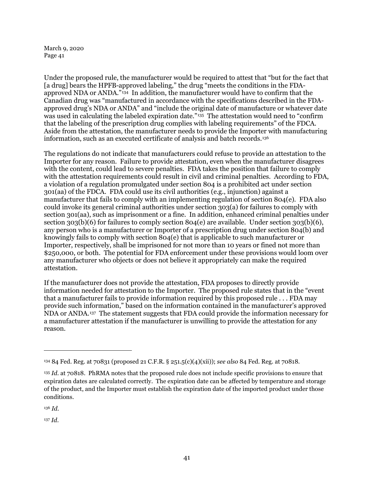Under the proposed rule, the manufacturer would be required to attest that "but for the fact that [a drug] bears the HPFB-approved labeling," the drug "meets the conditions in the FDAapproved NDA or ANDA."[134](#page-40-0) In addition, the manufacturer would have to confirm that the Canadian drug was "manufactured in accordance with the specifications described in the FDAapproved drug's NDA or ANDA" and "include the original date of manufacture or whatever date was used in calculating the labeled expiration date."<sup>[135](#page-40-1)</sup> The attestation would need to "confirm" that the labeling of the prescription drug complies with labeling requirements" of the FDCA. Aside from the attestation, the manufacturer needs to provide the Importer with manufacturing information, such as an executed certificate of analysis and batch records.[136](#page-40-2)

The regulations do not indicate that manufacturers could refuse to provide an attestation to the Importer for any reason. Failure to provide attestation, even when the manufacturer disagrees with the content, could lead to severe penalties. FDA takes the position that failure to comply with the attestation requirements could result in civil and criminal penalties. According to FDA, a violation of a regulation promulgated under section 804 is a prohibited act under section 301(aa) of the FDCA. FDA could use its civil authorities (e.g., injunction) against a manufacturer that fails to comply with an implementing regulation of section 804(e). FDA also could invoke its general criminal authorities under section 303(a) for failures to comply with section 301(aa), such as imprisonment or a fine. In addition, enhanced criminal penalties under section  $303(b)(6)$  for failures to comply section  $804(e)$  are available. Under section  $303(b)(6)$ , any person who is a manufacturer or Importer of a prescription drug under section 804(b) and knowingly fails to comply with section 804(e) that is applicable to such manufacturer or Importer, respectively, shall be imprisoned for not more than 10 years or fined not more than \$250,000, or both. The potential for FDA enforcement under these provisions would loom over any manufacturer who objects or does not believe it appropriately can make the required attestation.

If the manufacturer does not provide the attestation, FDA proposes to directly provide information needed for attestation to the Importer. The proposed rule states that in the "event that a manufacturer fails to provide information required by this proposed rule . . . FDA may provide such information," based on the information contained in the manufacturer's approved NDA or ANDA.[137](#page-40-3) The statement suggests that FDA could provide the information necessary for a manufacturer attestation if the manufacturer is unwilling to provide the attestation for any reason.

<span id="page-40-2"></span><sup>136</sup> *Id*.

1

<span id="page-40-3"></span><sup>137</sup> *Id*.

<span id="page-40-0"></span><sup>134</sup> 84 Fed. Reg. at 70831 (proposed 21 C.F.R. § 251.5(c)(4)(xii)); *see also* 84 Fed. Reg. at 70818.

<span id="page-40-1"></span><sup>135</sup> *Id*. at 70818. PhRMA notes that the proposed rule does not include specific provisions to ensure that expiration dates are calculated correctly. The expiration date can be affected by temperature and storage of the product, and the Importer must establish the expiration date of the imported product under those conditions.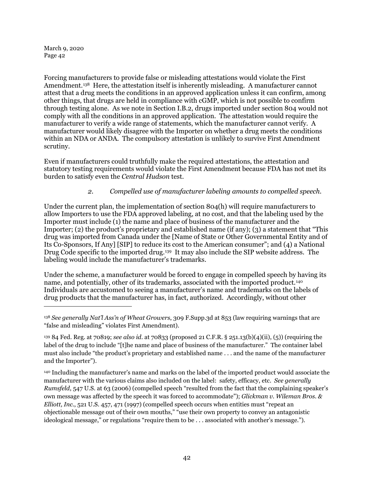1

Forcing manufacturers to provide false or misleading attestations would violate the First Amendment.<sup>[138](#page-41-0)</sup> Here, the attestation itself is inherently misleading. A manufacturer cannot attest that a drug meets the conditions in an approved application unless it can confirm, among other things, that drugs are held in compliance with cGMP, which is not possible to confirm through testing alone. As we note in Section [I.B.2,](#page-13-0) drugs imported under section 804 would not comply with all the conditions in an approved application. The attestation would require the manufacturer to verify a wide range of statements, which the manufacturer cannot verify. A manufacturer would likely disagree with the Importer on whether a drug meets the conditions within an NDA or ANDA. The compulsory attestation is unlikely to survive First Amendment scrutiny.

Even if manufacturers could truthfully make the required attestations, the attestation and statutory testing requirements would violate the First Amendment because FDA has not met its burden to satisfy even the *Central Hudson* test.

# *2. Compelled use of manufacturer labeling amounts to compelled speech.*

Under the current plan, the implementation of section 804(h) will require manufacturers to allow Importers to use the FDA approved labeling, at no cost, and that the labeling used by the Importer must include (1) the name and place of business of the manufacturer and the Importer; (2) the product's proprietary and established name (if any); (3) a statement that "This drug was imported from Canada under the [Name of State or Other Governmental Entity and of Its Co-Sponsors, If Any] [SIP] to reduce its cost to the American consumer"; and (4) a National Drug Code specific to the imported drug.<sup>139</sup> It may also include the SIP website address. The labeling would include the manufacturer's trademarks.

Under the scheme, a manufacturer would be forced to engage in compelled speech by having its name, and potentially, other of its trademarks, associated with the imported product.[140](#page-41-2)  Individuals are accustomed to seeing a manufacturer's name and trademarks on the labels of drug products that the manufacturer has, in fact, authorized. Accordingly, without other

<span id="page-41-2"></span><sup>140</sup> Including the manufacturer's name and marks on the label of the imported product would associate the manufacturer with the various claims also included on the label: safety, efficacy, etc. *See generally Rumsfeld*, 547 U.S. at 63 (2006) (compelled speech "resulted from the fact that the complaining speaker's own message was affected by the speech it was forced to accommodate"); *Glickman v. Wileman Bros. & Elliott, Inc.*, 521 U.S. 457, 471 (1997) (compelled speech occurs when entities must "repeat an objectionable message out of their own mouths," "use their own property to convey an antagonistic ideological message," or regulations "require them to be . . . associated with another's message.").

<span id="page-41-0"></span><sup>138</sup> *See generally Nat'l Ass'n of Wheat Growers*, 309 F.Supp.3d at 853 (law requiring warnings that are "false and misleading" violates First Amendment).

<span id="page-41-1"></span><sup>139</sup> 84 Fed. Reg. at 70819; *see also id*. at 70833 (proposed 21 C.F.R. § 251.13(b)(4)(ii), (5)) (requiring the label of the drug to include "[t]he name and place of business of the manufacturer." The container label must also include "the product's proprietary and established name . . . and the name of the manufacturer and the Importer").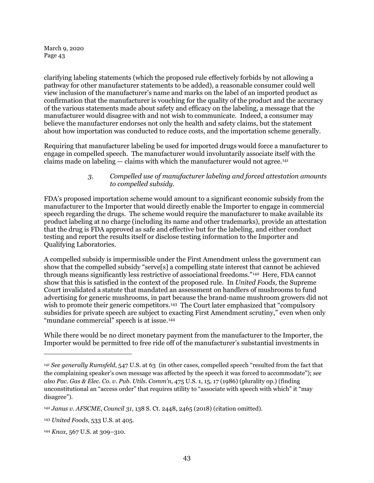clarifying labeling statements (which the proposed rule effectively forbids by not allowing a pathway for other manufacturer statements to be added), a reasonable consumer could well view inclusion of the manufacturer's name and marks on the label of an imported product as confirmation that the manufacturer is vouching for the quality of the product and the accuracy of the various statements made about safety and efficacy on the labeling, a message that the manufacturer would disagree with and not wish to communicate. Indeed, a consumer may believe the manufacturer endorses not only the health and safety claims, but the statement about how importation was conducted to reduce costs, and the importation scheme generally.

Requiring that manufacturer labeling be used for imported drugs would force a manufacturer to engage in compelled speech. The manufacturer would involuntarily associate itself with the claims made on labeling  $-$  claims with which the manufacturer would not agree.<sup>[141](#page-42-0)</sup>

## *3. Compelled use of manufacturer labeling and forced attestation amounts to compelled subsidy.*

FDA's proposed importation scheme would amount to a significant economic subsidy from the manufacturer to the Importer that would directly enable the Importer to engage in commercial speech regarding the drugs. The scheme would require the manufacturer to make available its product labeling at no charge (including its name and other trademarks), provide an attestation that the drug is FDA approved as safe and effective but for the labeling, and either conduct testing and report the results itself or disclose testing information to the Importer and Qualifying Laboratories.

A compelled subsidy is impermissible under the First Amendment unless the government can show that the compelled subsidy "serve[s] a compelling state interest that cannot be achieved through means significantly less restrictive of associational freedoms."[142](#page-42-1) Here, FDA cannot show that this is satisfied in the context of the proposed rule. In *United Foods,* the Supreme Court invalidated a statute that mandated an assessment on handlers of mushrooms to fund advertising for generic mushrooms, in part because the brand-name mushroom growers did not wish to promote their generic competitors.<sup>[143](#page-42-2)</sup> The Court later emphasized that "compulsory subsidies for private speech are subject to exacting First Amendment scrutiny," even when only "mundane commercial" speech is at issue.[144](#page-42-3) 

While there would be no direct monetary payment from the manufacturer to the Importer, the Importer would be permitted to free ride off of the manufacturer's substantial investments in

<span id="page-42-0"></span><sup>141</sup> *See generally Rumsfeld*, 547 U.S. at 63 (in other cases, compelled speech "resulted from the fact that the complaining speaker's own message was affected by the speech it was forced to accommodate"); *see also Pac. Gas & Elec. Co. v. Pub. Utils. Comm'n*, 475 U.S. 1, 15, 17 (1986) (plurality op.) (finding unconstitutional an "access order" that requires utility to "associate with speech with which" it "may disagree").

<span id="page-42-1"></span><sup>142</sup> *Janus v. AFSCME*, *Council 31*, 138 S. Ct. 2448, 2465 (2018) (citation omitted).

<span id="page-42-2"></span><sup>143</sup> *United Foods*, 533 U.S. at 405.

<span id="page-42-3"></span><sup>144</sup> *Knox*, 567 U.S. at 309–310.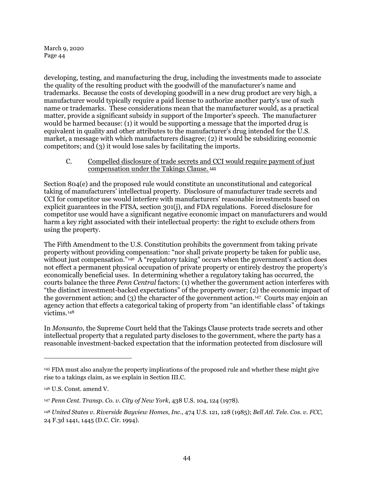developing, testing, and manufacturing the drug, including the investments made to associate the quality of the resulting product with the goodwill of the manufacturer's name and trademarks. Because the costs of developing goodwill in a new drug product are very high, a manufacturer would typically require a paid license to authorize another party's use of such name or trademarks. These considerations mean that the manufacturer would, as a practical matter, provide a significant subsidy in support of the Importer's speech. The manufacturer would be harmed because: (1) it would be supporting a message that the imported drug is equivalent in quality and other attributes to the manufacturer's drug intended for the U.S. market, a message with which manufacturers disagree; (2) it would be subsidizing economic competitors; and (3) it would lose sales by facilitating the imports.

#### <span id="page-43-0"></span>C. Compelled disclosure of trade secrets and CCI would require payment of just compensation under the Takings Clause. [145](#page-43-1)

Section 804(e) and the proposed rule would constitute an unconstitutional and categorical taking of manufacturers' intellectual property. Disclosure of manufacturer trade secrets and CCI for competitor use would interfere with manufacturers' reasonable investments based on explicit guarantees in the FTSA, section 301(j), and FDA regulations. Forced disclosure for competitor use would have a significant negative economic impact on manufacturers and would harm a key right associated with their intellectual property: the right to exclude others from using the property.

The Fifth Amendment to the U.S. Constitution prohibits the government from taking private property without providing compensation: "nor shall private property be taken for public use, without just compensation."<sup>[146](#page-43-2)</sup> A "regulatory taking" occurs when the government's action does not effect a permanent physical occupation of private property or entirely destroy the property's economically beneficial uses. In determining whether a regulatory taking has occurred, the courts balance the three *Penn Central* factors: (1) whether the government action interferes with "the distinct investment-backed expectations" of the property owner; (2) the economic impact of the government action; and  $(3)$  the character of the government action.<sup>[147](#page-43-3)</sup> Courts may enjoin an agency action that effects a categorical taking of property from "an identifiable class" of takings victims.[148](#page-43-4)

In *Monsanto,* the Supreme Court held that the Takings Clause protects trade secrets and other intellectual property that a regulated party discloses to the government, where the party has a reasonable investment-backed expectation that the information protected from disclosure will

<span id="page-43-1"></span><sup>145</sup> FDA must also analyze the property implications of the proposed rule and whether these might give rise to a takings claim, as we explain in Sectio[n III.C.](#page-43-0) 

<span id="page-43-2"></span><sup>146</sup> U.S. Const. amend V.

<span id="page-43-3"></span><sup>147</sup> *Penn Cent. Transp. Co. v. City of New York*, 438 U.S. 104, 124 (1978).

<span id="page-43-4"></span><sup>148</sup> *United States v. Riverside Bayview Homes, Inc.*, 474 U.S. 121, 128 (1985); *Bell Atl. Tele. Cos. v. FCC*, 24 F.3d 1441, 1445 (D.C. Cir. 1994).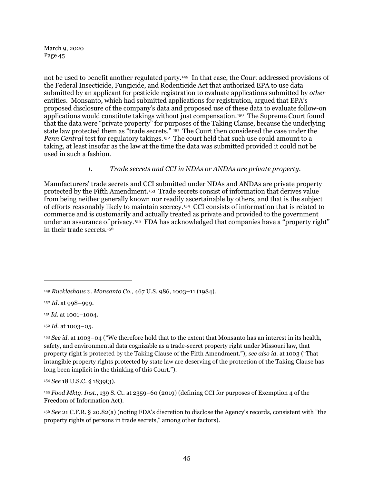not be used to benefit another regulated party.[149](#page-44-0) In that case, the Court addressed provisions of the Federal Insecticide, Fungicide, and Rodenticide Act that authorized EPA to use data submitted by an applicant for pesticide registration to evaluate applications submitted by *other* entities. Monsanto, which had submitted applications for registration, argued that EPA's proposed disclosure of the company's data and proposed use of these data to evaluate follow-on applications would constitute takings without just compensation.[150](#page-44-1) The Supreme Court found that the data were "private property" for purposes of the Taking Clause, because the underlying state law protected them as "trade secrets." [151](#page-44-2) The Court then considered the case under the *Penn Central* test for regulatory takings.<sup>[152](#page-44-3)</sup> The court held that such use could amount to a taking, at least insofar as the law at the time the data was submitted provided it could not be used in such a fashion.

## *1. Trade secrets and CCI in NDAs or ANDAs are private property.*

Manufacturers' trade secrets and CCI submitted under NDAs and ANDAs are private property protected by the Fifth Amendment.[153](#page-44-4) Trade secrets consist of information that derives value from being neither generally known nor readily ascertainable by others, and that is the subject of efforts reasonably likely to maintain secrecy.[154](#page-44-5) CCI consists of information that is related to commerce and is customarily and actually treated as private and provided to the government under an assurance of privacy.<sup>155</sup> FDA has acknowledged that companies have a "property right" in their trade secrets.[156](#page-44-7)

 $\overline{a}$ 

<span id="page-44-5"></span><sup>154</sup> *See* 18 U.S.C. § 1839(3).

<span id="page-44-6"></span><sup>155</sup> *Food Mktg. Inst.*, 139 S. Ct. at 2359–60 (2019) (defining CCI for purposes of Exemption 4 of the Freedom of Information Act).

<span id="page-44-7"></span><sup>156</sup> *See* 21 C.F.R. § 20.82(a) (noting FDA's discretion to disclose the Agency's records, consistent with "the property rights of persons in trade secrets," among other factors).

<span id="page-44-0"></span><sup>149</sup> *Ruckleshaus v. Monsanto Co*., 467 U.S. 986, 1003–11 (1984).

<span id="page-44-1"></span><sup>150</sup> *Id.* at 998–999.

<span id="page-44-2"></span><sup>151</sup> *Id.* at 1001–1004.

<span id="page-44-3"></span><sup>152</sup> *Id.* at 1003–05.

<span id="page-44-4"></span><sup>153</sup> *See id.* at 1003–04 ("We therefore hold that to the extent that Monsanto has an interest in its health, safety, and environmental data cognizable as a trade-secret property right under Missouri law, that property right is protected by the Taking Clause of the Fifth Amendment."); *see also id.* at 1003 ("That intangible property rights protected by state law are deserving of the protection of the Taking Clause has long been implicit in the thinking of this Court.").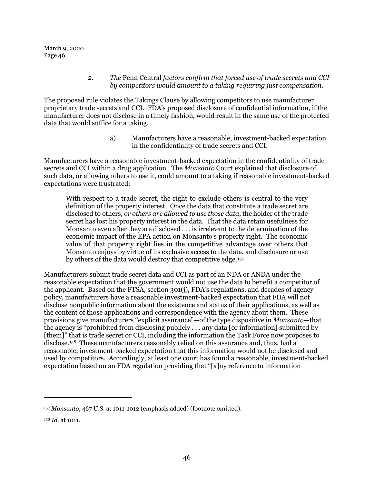### *2. The* Penn Central *factors confirm that forced use of trade secrets and CCI by competitors would amount to a taking requiring just compensation.*

The proposed rule violates the Takings Clause by allowing competitors to use manufacturer proprietary trade secrets and CCI. FDA's proposed disclosure of confidential information, if the manufacturer does not disclose in a timely fashion, would result in the same use of the protected data that would suffice for a taking.

> a) Manufacturers have a reasonable, investment-backed expectation in the confidentiality of trade secrets and CCI.

Manufacturers have a reasonable investment-backed expectation in the confidentiality of trade secrets and CCI within a drug application. The *Monsanto* Court explained that disclosure of such data, or allowing others to use it, could amount to a taking if reasonable investment-backed expectations were frustrated:

With respect to a trade secret, the right to exclude others is central to the very definition of the property interest. Once the data that constitute a trade secret are disclosed to others, *or others are allowed to use those data*, the holder of the trade secret has lost his property interest in the data. That the data retain usefulness for Monsanto even after they are disclosed . . . is irrelevant to the determination of the economic impact of the EPA action on Monsanto's property right. The economic value of that property right lies in the competitive advantage over others that Monsanto enjoys by virtue of its exclusive access to the data, and disclosure or use by others of the data would destroy that competitive edge.[157](#page-45-0)

Manufacturers submit trade secret data and CCI as part of an NDA or ANDA under the reasonable expectation that the government would not use the data to benefit a competitor of the applicant. Based on the FTSA, section 301(j), FDA's regulations, and decades of agency policy, manufacturers have a reasonable investment-backed expectation that FDA will not disclose nonpublic information about the existence and status of their applications, as well as the content of those applications and correspondence with the agency about them. These provisions give manufacturers "explicit assurance"—of the type dispositive in *Monsanto*—that the agency is "prohibited from disclosing publicly . . . any data [or information] submitted by [them]" that is trade secret or CCI, including the information the Task Force now proposes to disclose.<sup>158</sup> These manufacturers reasonably relied on this assurance and, thus, had a reasonable, investment-backed expectation that this information would not be disclosed and used by competitors. Accordingly, at least one court has found a reasonable, investment-backed expectation based on an FDA regulation providing that "[a]ny reference to information

<span id="page-45-0"></span><sup>157</sup> *Monsanto*, 467 U.S. at 1011-1012 (emphasis added) (footnote omitted).

<span id="page-45-1"></span><sup>158</sup> *Id.* at 1011.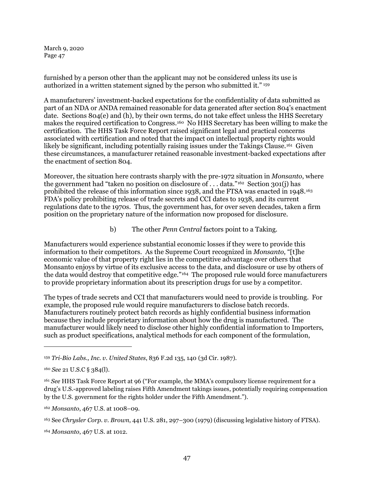furnished by a person other than the applicant may not be considered unless its use is authorized in a written statement signed by the person who submitted it." [159](#page-46-0)

A manufacturers' investment-backed expectations for the confidentiality of data submitted as part of an NDA or ANDA remained reasonable for data generated after section 804's enactment date. Sections 804(e) and (h), by their own terms, do not take effect unless the HHS Secretary makes the required certification to Congress.[160](#page-46-1) No HHS Secretary has been willing to make the certification. The HHS Task Force Report raised significant legal and practical concerns associated with certification and noted that the impact on intellectual property rights would likely be significant, including potentially raising issues under the Takings Clause.<sup>161</sup> Given these circumstances, a manufacturer retained reasonable investment-backed expectations after the enactment of section 804.

Moreover, the situation here contrasts sharply with the pre-1972 situation in *Monsanto*, where the government had "taken no position on disclosure of ... data."<sup>162</sup> Section 301(j) has prohibited the release of this information since 1938, and the FTSA was enacted in 1948.[163](#page-46-4) FDA's policy prohibiting release of trade secrets and CCI dates to 1938, and its current regulations date to the 1970s. Thus, the government has, for over seven decades, taken a firm position on the proprietary nature of the information now proposed for disclosure.

b) The other *Penn Central* factors point to a Taking.

Manufacturers would experience substantial economic losses if they were to provide this information to their competitors. As the Supreme Court recognized in *Monsanto*, "[t]he economic value of that property right lies in the competitive advantage over others that Monsanto enjoys by virtue of its exclusive access to the data, and disclosure or use by others of the data would destroy that competitive edge."[164](#page-46-5) The proposed rule would force manufacturers to provide proprietary information about its prescription drugs for use by a competitor.

The types of trade secrets and CCI that manufacturers would need to provide is troubling. For example, the proposed rule would require manufacturers to disclose batch records. Manufacturers routinely protect batch records as highly confidential business information because they include proprietary information about how the drug is manufactured. The manufacturer would likely need to disclose other highly confidential information to Importers, such as product specifications, analytical methods for each component of the formulation,

<span id="page-46-0"></span><sup>159</sup> *Tri-Bio Labs., Inc. v. United States*, 836 F.2d 135, 140 (3d Cir. 1987).

<span id="page-46-1"></span><sup>160</sup> *See* 21 U.S.C § 384(l).

<span id="page-46-2"></span><sup>161</sup> *See* HHS Task Force Report at 96 ("For example, the MMA's compulsory license requirement for a drug's U.S.-approved labeling raises Fifth Amendment takings issues, potentially requiring compensation by the U.S. government for the rights holder under the Fifth Amendment.").

<span id="page-46-3"></span><sup>162</sup> *Monsanto*, 467 U.S. at 1008–09.

<span id="page-46-4"></span><sup>163</sup> See *Chrysler Corp. v. Brown*, 441 U.S. 281, 297–300 (1979) (discussing legislative history of FTSA).

<span id="page-46-5"></span><sup>164</sup> *Monsanto*, 467 U.S. at 1012.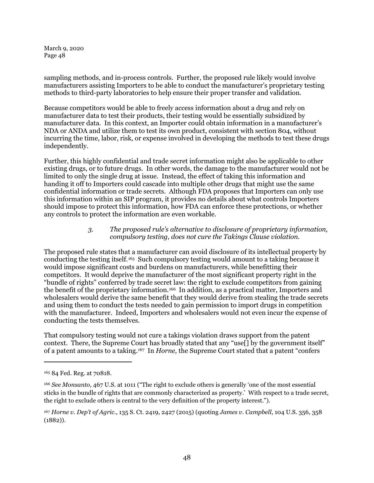sampling methods, and in-process controls. Further, the proposed rule likely would involve manufacturers assisting Importers to be able to conduct the manufacturer's proprietary testing methods to third-party laboratories to help ensure their proper transfer and validation.

Because competitors would be able to freely access information about a drug and rely on manufacturer data to test their products, their testing would be essentially subsidized by manufacturer data. In this context, an Importer could obtain information in a manufacturer's NDA or ANDA and utilize them to test its own product, consistent with section 804, without incurring the time, labor, risk, or expense involved in developing the methods to test these drugs independently.

Further, this highly confidential and trade secret information might also be applicable to other existing drugs, or to future drugs. In other words, the damage to the manufacturer would not be limited to only the single drug at issue. Instead, the effect of taking this information and handing it off to Importers could cascade into multiple other drugs that might use the same confidential information or trade secrets. Although FDA proposes that Importers can only use this information within an SIP program, it provides no details about what controls Importers should impose to protect this information, how FDA can enforce these protections, or whether any controls to protect the information are even workable.

# *3. The proposed rule's alternative to disclosure of proprietary information, compulsory testing, does not cure the Takings Clause violation.*

The proposed rule states that a manufacturer can avoid disclosure of its intellectual property by conducting the testing itself.[165](#page-47-0) Such compulsory testing would amount to a taking because it would impose significant costs and burdens on manufacturers, while benefitting their competitors. It would deprive the manufacturer of the most significant property right in the "bundle of rights" conferred by trade secret law: the right to exclude competitors from gaining the benefit of the proprietary information.<sup>[166](#page-47-1)</sup> In addition, as a practical matter, Importers and wholesalers would derive the same benefit that they would derive from stealing the trade secrets and using them to conduct the tests needed to gain permission to import drugs in competition with the manufacturer. Indeed, Importers and wholesalers would not even incur the expense of conducting the tests themselves.

That compulsory testing would not cure a takings violation draws support from the patent context. There, the Supreme Court has broadly stated that any "use<sup>[]</sup> by the government itself" of a patent amounts to a taking.[167](#page-47-2) In *Horne,* the Supreme Court stated that a patent "confers

<span id="page-47-0"></span><sup>165</sup> 84 Fed. Reg. at 70818.

<span id="page-47-1"></span><sup>166</sup> *See Monsanto*, 467 U.S. at 1011 ("The right to exclude others is generally 'one of the most essential sticks in the bundle of rights that are commonly characterized as property.' With respect to a trade secret, the right to exclude others is central to the very definition of the property interest.").

<span id="page-47-2"></span><sup>167</sup> *Horne v. Dep't of Agric.*, 135 S. Ct. 2419, 2427 (2015) (quoting *James v. Campbell*, 104 U.S. 356, 358 (1882)).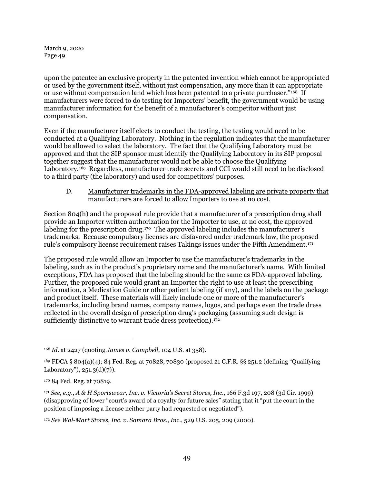upon the patentee an exclusive property in the patented invention which cannot be appropriated or used by the government itself, without just compensation, any more than it can appropriate or use without compensation land which has been patented to a private purchaser."[168](#page-48-0) If manufacturers were forced to do testing for Importers' benefit, the government would be using manufacturer information for the benefit of a manufacturer's competitor without just compensation.

Even if the manufacturer itself elects to conduct the testing, the testing would need to be conducted at a Qualifying Laboratory. Nothing in the regulation indicates that the manufacturer would be allowed to select the laboratory. The fact that the Qualifying Laboratory must be approved and that the SIP sponsor must identify the Qualifying Laboratory in its SIP proposal together suggest that the manufacturer would not be able to choose the Qualifying Laboratory.[169](#page-48-1) Regardless, manufacturer trade secrets and CCI would still need to be disclosed to a third party (the laboratory) and used for competitors' purposes.

D. Manufacturer trademarks in the FDA-approved labeling are private property that manufacturers are forced to allow Importers to use at no cost.

<span id="page-48-5"></span>Section 804(h) and the proposed rule provide that a manufacturer of a prescription drug shall provide an Importer written authorization for the Importer to use, at no cost, the approved labeling for the prescription drug.<sup>[170](#page-48-2)</sup> The approved labeling includes the manufacturer's trademarks. Because compulsory licenses are disfavored under trademark law, the proposed rule's compulsory license requirement raises Takings issues under the Fifth Amendment.[171](#page-48-3)

The proposed rule would allow an Importer to use the manufacturer's trademarks in the labeling, such as in the product's proprietary name and the manufacturer's name. With limited exceptions, FDA has proposed that the labeling should be the same as FDA-approved labeling. Further, the proposed rule would grant an Importer the right to use at least the prescribing information, a Medication Guide or other patient labeling (if any), and the labels on the package and product itself. These materials will likely include one or more of the manufacturer's trademarks, including brand names, company names, logos, and perhaps even the trade dress reflected in the overall design of prescription drug's packaging (assuming such design is sufficiently distinctive to warrant trade dress protection).<sup>172</sup>

<span id="page-48-0"></span><sup>168</sup> *Id.* at 2427 (quoting *James v. Campbell*, 104 U.S. at 358).

<span id="page-48-1"></span><sup>169</sup> FDCA § 804(a)(4); 84 Fed. Reg. at 70828, 70830 (proposed 21 C.F.R. §§ 251.2 (defining "Qualifying Laboratory"),  $251.3(d)(7)$ ).

<span id="page-48-2"></span><sup>170</sup> 84 Fed. Reg. at 70819.

<span id="page-48-3"></span><sup>171</sup> *See, e.g.*, *A & H Sportswear, Inc. v. Victoria's Secret Stores, Inc.*, 166 F.3d 197, 208 (3d Cir. 1999) (disapproving of lower "court's award of a royalty for future sales" stating that it "put the court in the position of imposing a license neither party had requested or negotiated").

<span id="page-48-4"></span><sup>172</sup> *See Wal-Mart Stores, Inc. v. Samara Bros., Inc.*, 529 U.S. 205, 209 (2000).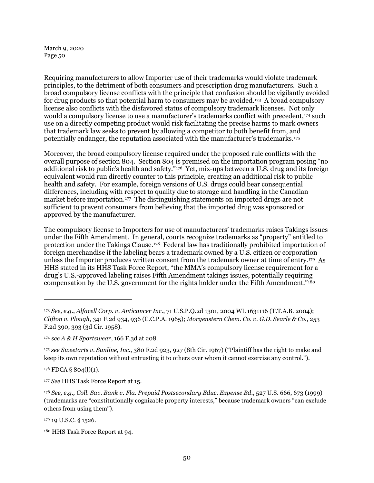Requiring manufacturers to allow Importer use of their trademarks would violate trademark principles, to the detriment of both consumers and prescription drug manufacturers. Such a broad compulsory license conflicts with the principle that confusion should be vigilantly avoided for drug products so that potential harm to consumers may be avoided.<sup>[173](#page-49-0)</sup> A broad compulsory license also conflicts with the disfavored status of compulsory trademark licenses. Not only would a compulsory license to use a manufacturer's trademarks conflict with precedent,[174](#page-49-1) such use on a directly competing product would risk facilitating the precise harms to mark owners that trademark law seeks to prevent by allowing a competitor to both benefit from, and potentially endanger, the reputation associated with the manufacturer's trademarks.[175](#page-49-2)

Moreover, the broad compulsory license required under the proposed rule conflicts with the overall purpose of section 804. Section 804 is premised on the importation program posing "no additional risk to public's health and safety."[176](#page-49-3) Yet, mix-ups between a U.S. drug and its foreign equivalent would run directly counter to this principle, creating an additional risk to public health and safety. For example, foreign versions of U.S. drugs could bear consequential differences, including with respect to quality due to storage and handling in the Canadian market before importation.<sup>[177](#page-49-4)</sup> The distinguishing statements on imported drugs are not sufficient to prevent consumers from believing that the imported drug was sponsored or approved by the manufacturer.

The compulsory license to Importers for use of manufacturers' trademarks raises Takings issues under the Fifth Amendment. In general, courts recognize trademarks as "property" entitled to protection under the Takings Clause.[178](#page-49-5) Federal law has traditionally prohibited importation of foreign merchandise if the labeling bears a trademark owned by a U.S. citizen or corporation unless the Importer produces written consent from the trademark owner at time of entry.[179](#page-49-6) As HHS stated in its HHS Task Force Report, "the MMA's compulsory license requirement for a drug's U.S.-approved labeling raises Fifth Amendment takings issues, potentially requiring compensation by the U.S. government for the rights holder under the Fifth Amendment."<sup>180</sup>

<span id="page-49-3"></span> $176$  FDCA § 804(l)(1).

1

<span id="page-49-6"></span><sup>179</sup> 19 U.S.C. § 1526.

<span id="page-49-0"></span><sup>173</sup> *See, e.g.*, *Alfacell Corp. v. Anticancer Inc.*, 71 U.S.P.Q.2d 1301, 2004 WL 1631116 (T.T.A.B. 2004); *Clifton v. Plough*, 341 F.2d 934, 936 (C.C.P.A. 1965); *Morgenstern Chem. Co. v. G.D. Searle & Co.*, 253 F.2d 390, 393 (3d Cir. 1958).

<span id="page-49-1"></span><sup>174</sup> *see A & H Sportswear*, 166 F.3d at 208.

<span id="page-49-2"></span><sup>175</sup> *see Sweetarts v. Sunline, Inc.*, 380 F.2d 923, 927 (8th Cir. 1967) ("Plaintiff has the right to make and keep its own reputation without entrusting it to others over whom it cannot exercise any control.").

<span id="page-49-4"></span><sup>177</sup> *See* HHS Task Force Report at 15.

<span id="page-49-5"></span><sup>178</sup> *See, e.g., Coll. Sav. Bank v. Fla. Prepaid Postsecondary Educ. Expense Bd.*, 527 U.S. 666, 673 (1999) (trademarks are "constitutionally cognizable property interests," because trademark owners "can exclude others from using them").

<span id="page-49-7"></span><sup>180</sup> HHS Task Force Report at 94.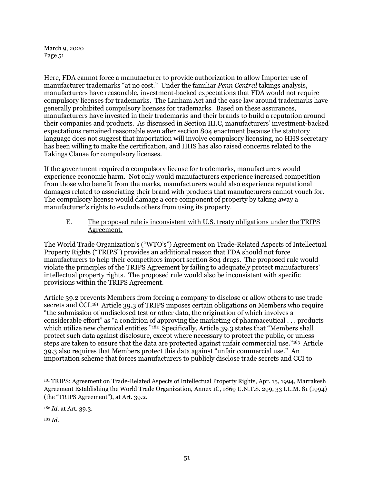Here, FDA cannot force a manufacturer to provide authorization to allow Importer use of manufacturer trademarks "at no cost." Under the familiar *Penn Central* takings analysis, manufacturers have reasonable, investment-backed expectations that FDA would not require compulsory licenses for trademarks. The Lanham Act and the case law around trademarks have generally prohibited compulsory licenses for trademarks. Based on these assurances, manufacturers have invested in their trademarks and their brands to build a reputation around their companies and products. As discussed in Section [III.C,](#page-43-0) manufacturers' investment-backed expectations remained reasonable even after section 804 enactment because the statutory language does not suggest that importation will involve compulsory licensing, no HHS secretary has been willing to make the certification, and HHS has also raised concerns related to the Takings Clause for compulsory licenses.

If the government required a compulsory license for trademarks, manufacturers would experience economic harm. Not only would manufacturers experience increased competition from those who benefit from the marks, manufacturers would also experience reputational damages related to associating their brand with products that manufacturers cannot vouch for. The compulsory license would damage a core component of property by taking away a manufacturer's rights to exclude others from using its property.

E. The proposed rule is inconsistent with U.S. treaty obligations under the TRIPS Agreement.

The World Trade Organization's ("WTO's") Agreement on Trade-Related Aspects of Intellectual Property Rights ("TRIPS") provides an additional reason that FDA should not force manufacturers to help their competitors import section 804 drugs. The proposed rule would violate the principles of the TRIPS Agreement by failing to adequately protect manufacturers' intellectual property rights. The proposed rule would also be inconsistent with specific provisions within the TRIPS Agreement.

Article 39.2 prevents Members from forcing a company to disclose or allow others to use trade secrets and CCI.<sup>[181](#page-50-0)</sup> Article 39.3 of TRIPS imposes certain obligations on Members who require "the submission of undisclosed test or other data, the origination of which involves a considerable effort" as "a condition of approving the marketing of pharmaceutical . . . products which utilize new chemical entities."<sup>182</sup> Specifically, Article 39.3 states that "Members shall protect such data against disclosure, except where necessary to protect the public, or unless steps are taken to ensure that the data are protected against unfair commercial use."[183](#page-50-2) Article 39.3 also requires that Members protect this data against "unfair commercial use." An importation scheme that forces manufacturers to publicly disclose trade secrets and CCI to

<span id="page-50-1"></span><sup>182</sup> *Id.* at Art. 39.3.

<span id="page-50-2"></span><sup>183</sup> *Id*.

<span id="page-50-0"></span><sup>181</sup> TRIPS: Agreement on Trade-Related Aspects of Intellectual Property Rights, Apr. 15, 1994, Marrakesh Agreement Establishing the World Trade Organization, Annex 1C, 1869 U.N.T.S. 299, 33 I.L.M. 81 (1994) (the "TRIPS Agreement"), at Art. 39.2.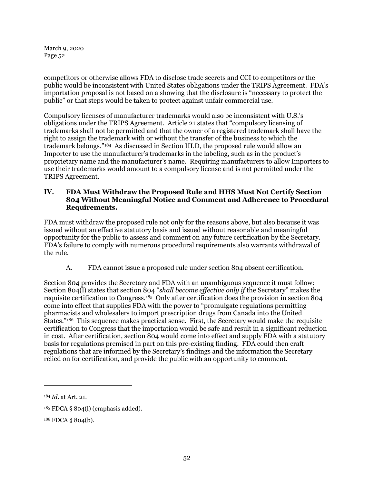competitors or otherwise allows FDA to disclose trade secrets and CCI to competitors or the public would be inconsistent with United States obligations under the TRIPS Agreement. FDA's importation proposal is not based on a showing that the disclosure is "necessary to protect the public" or that steps would be taken to protect against unfair commercial use.

Compulsory licenses of manufacturer trademarks would also be inconsistent with U.S.'s obligations under the TRIPS Agreement. Article 21 states that "compulsory licensing of trademarks shall not be permitted and that the owner of a registered trademark shall have the right to assign the trademark with or without the transfer of the business to which the trademark belongs."[184](#page-51-0) As discussed in Section [III.D,](#page-48-5) the proposed rule would allow an Importer to use the manufacturer's trademarks in the labeling, such as in the product's proprietary name and the manufacturer's name. Requiring manufacturers to allow Importers to use their trademarks would amount to a compulsory license and is not permitted under the TRIPS Agreement.

# **IV. FDA Must Withdraw the Proposed Rule and HHS Must Not Certify Section 804 Without Meaningful Notice and Comment and Adherence to Procedural Requirements.**

FDA must withdraw the proposed rule not only for the reasons above, but also because it was issued without an effective statutory basis and issued without reasonable and meaningful opportunity for the public to assess and comment on any future certification by the Secretary. FDA's failure to comply with numerous procedural requirements also warrants withdrawal of the rule.

# A. FDA cannot issue a proposed rule under section 804 absent certification.

Section 804 provides the Secretary and FDA with an unambiguous sequence it must follow: Section 804(l) states that section 804 "*shall become effective only if* the Secretary" makes the requisite certification to Congress.[185](#page-51-1) Only after certification does the provision in section 804 come into effect that supplies FDA with the power to "promulgate regulations permitting pharmacists and wholesalers to import prescription drugs from Canada into the United States."[186](#page-51-2) This sequence makes practical sense. First, the Secretary would make the requisite certification to Congress that the importation would be safe and result in a significant reduction in cost. After certification, section 804 would come into effect and supply FDA with a statutory basis for regulations premised in part on this pre-existing finding. FDA could then craft regulations that are informed by the Secretary's findings and the information the Secretary relied on for certification, and provide the public with an opportunity to comment.

<span id="page-51-0"></span><sup>184</sup> *Id.* at Art. 21.

<span id="page-51-1"></span> $185$  FDCA § 804(l) (emphasis added).

<span id="page-51-2"></span><sup>186</sup> FDCA § 804(b).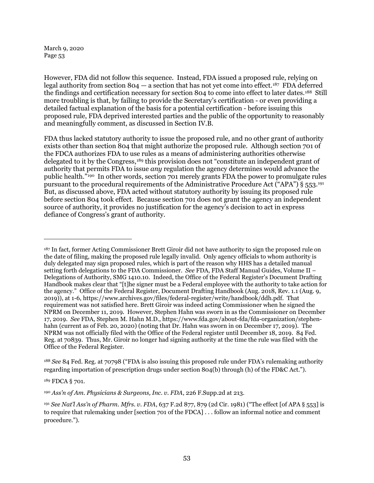However, FDA did not follow this sequence. Instead, FDA issued a proposed rule, relying on legal authority from section  $804 - a$  section that has not yet come into effect.<sup>[187](#page-52-0)</sup> FDA deferred the findings and certification necessary for section 804 to come into effect to later dates.[188](#page-52-1) Still more troubling is that, by failing to provide the Secretary's certification - or even providing a detailed factual explanation of the basis for a potential certification - before issuing this proposed rule, FDA deprived interested parties and the public of the opportunity to reasonably and meaningfully comment, as discussed in Sectio[n IV.B.](#page-53-0)

FDA thus lacked statutory authority to issue the proposed rule, and no other grant of authority exists other than section 804 that might authorize the proposed rule. Although section 701 of the FDCA authorizes FDA to use rules as a means of administering authorities otherwise delegated to it by the Congress,[189](#page-52-2) this provision does not "constitute an independent grant of authority that permits FDA to issue *any* regulation the agency determines would advance the public health.["190](#page-52-3) In other words, section 701 merely grants FDA the power to promulgate rules pursuant to the procedural requirements of the Administrative Procedure Act ("APA") § 553.[191](#page-52-4)  But, as discussed above, FDA acted without statutory authority by issuing its proposed rule before section 804 took effect. Because section 701 does not grant the agency an independent source of authority, it provides no justification for the agency's decision to act in express defiance of Congress's grant of authority.

<span id="page-52-1"></span><sup>188</sup> *See* 84 Fed. Reg. at 70798 ("FDA is also issuing this proposed rule under FDA's rulemaking authority regarding importation of prescription drugs under section 804(b) through (h) of the FD&C Act.").

<span id="page-52-2"></span><sup>189</sup> FDCA § 701.

<span id="page-52-0"></span><sup>187</sup> In fact, former Acting Commissioner Brett Giroir did not have authority to sign the proposed rule on the date of filing, making the proposed rule legally invalid. Only agency officials to whom authority is duly delegated may sign proposed rules, which is part of the reason why HHS has a detailed manual setting forth delegations to the FDA Commissioner. *See* FDA, FDA Staff Manual Guides, Volume II – Delegations of Authority, SMG 1410.10. Indeed, the Office of the Federal Register's Document Drafting Handbook makes clear that "[t]he signer must be a Federal employee with the authority to take action for the agency." Office of the Federal Register, Document Drafting Handbook (Aug. 2018, Rev. 1.1 (Aug. 9, 2019)), at 1-6, https://www.archives.gov/files/federal-register/write/handbook/ddh.pdf. That requirement was not satisfied here. Brett Giroir was indeed acting Commissioner when he signed the NPRM on December 11, 2019. However, Stephen Hahn was sworn in as the Commissioner on December 17, 2019. *See* FDA, Stephen M. Hahn M.D., https://www.fda.gov/about-fda/fda-organization/stephenhahn (current as of Feb. 20, 2020) (noting that Dr. Hahn was sworn in on December 17, 2019). The NPRM was not officially filed with the Office of the Federal register until December 18, 2019. 84 Fed. Reg. at 70839. Thus, Mr. Giroir no longer had signing authority at the time the rule was filed with the Office of the Federal Register.

<span id="page-52-3"></span><sup>190</sup> *Ass'n of Am. Physicians & Surgeons, Inc. v. FDA*, 226 F.Supp.2d at 213.

<span id="page-52-4"></span><sup>191</sup> *See Nat'l Ass'n of Pharm. Mfrs. v. FDA*, 637 F.2d 877, 879 (2d Cir. 1981) ("The effect [of APA § 553] is to require that rulemaking under [section 701 of the FDCA] . . . follow an informal notice and comment procedure.").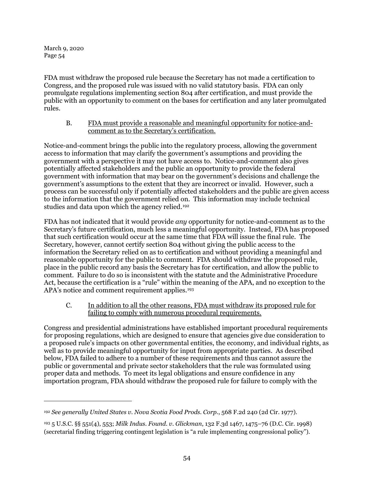$\overline{a}$ 

FDA must withdraw the proposed rule because the Secretary has not made a certification to Congress, and the proposed rule was issued with no valid statutory basis. FDA can only promulgate regulations implementing section 804 after certification, and must provide the public with an opportunity to comment on the bases for certification and any later promulgated rules.

## B. FDA must provide a reasonable and meaningful opportunity for notice-andcomment as to the Secretary's certification.

<span id="page-53-0"></span>Notice-and-comment brings the public into the regulatory process, allowing the government access to information that may clarify the government's assumptions and providing the government with a perspective it may not have access to. Notice-and-comment also gives potentially affected stakeholders and the public an opportunity to provide the federal government with information that may bear on the government's decisions and challenge the government's assumptions to the extent that they are incorrect or invalid. However, such a process can be successful only if potentially affected stakeholders and the public are given access to the information that the government relied on. This information may include technical studies and data upon which the agency relied.<sup>192</sup>

FDA has not indicated that it would provide *any* opportunity for notice-and-comment as to the Secretary's future certification, much less a meaningful opportunity. Instead, FDA has proposed that such certification would occur at the same time that FDA will issue the final rule. The Secretary, however, cannot certify section 804 without giving the public access to the information the Secretary relied on as to certification and without providing a meaningful and reasonable opportunity for the public to comment. FDA should withdraw the proposed rule, place in the public record any basis the Secretary has for certification, and allow the public to comment. Failure to do so is inconsistent with the statute and the Administrative Procedure Act, because the certification is a "rule" within the meaning of the APA, and no exception to the APA's notice and comment requirement applies.[193](#page-53-2)

C. In addition to all the other reasons, FDA must withdraw its proposed rule for failing to comply with numerous procedural requirements.

<span id="page-53-3"></span>Congress and presidential administrations have established important procedural requirements for proposing regulations, which are designed to ensure that agencies give due consideration to a proposed rule's impacts on other governmental entities, the economy, and individual rights, as well as to provide meaningful opportunity for input from appropriate parties. As described below, FDA failed to adhere to a number of these requirements and thus cannot assure the public or governmental and private sector stakeholders that the rule was formulated using proper data and methods. To meet its legal obligations and ensure confidence in any importation program, FDA should withdraw the proposed rule for failure to comply with the

<span id="page-53-1"></span><sup>192</sup> *See generally United States v. Nova Scotia Food Prods. Corp.*, 568 F.2d 240 (2d Cir. 1977).

<span id="page-53-2"></span><sup>193</sup> 5 U.S.C. §§ 551(4), 553; *Milk Indus. Found. v. Glickman*, 132 F.3d 1467, 1475–76 (D.C. Cir. 1998) (secretarial finding triggering contingent legislation is "a rule implementing congressional policy").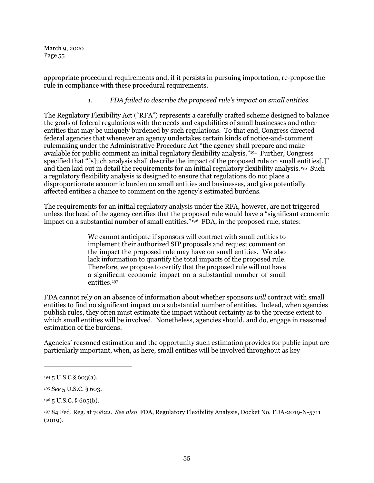appropriate procedural requirements and, if it persists in pursuing importation, re-propose the rule in compliance with these procedural requirements.

## *1. FDA failed to describe the proposed rule's impact on small entities.*

The Regulatory Flexibility Act ("RFA") represents a carefully crafted scheme designed to balance the goals of federal regulations with the needs and capabilities of small businesses and other entities that may be uniquely burdened by such regulations. To that end, Congress directed federal agencies that whenever an agency undertakes certain kinds of notice-and-comment rulemaking under the Administrative Procedure Act "the agency shall prepare and make available for public comment an initial regulatory flexibility analysis."[194](#page-54-0) Further, Congress specified that "[s]uch analysis shall describe the impact of the proposed rule on small entities[,]" and then laid out in detail the requirements for an initial regulatory flexibility analysis.[195](#page-54-1) Such a regulatory flexibility analysis is designed to ensure that regulations do not place a disproportionate economic burden on small entities and businesses, and give potentially affected entities a chance to comment on the agency's estimated burdens.

The requirements for an initial regulatory analysis under the RFA, however, are not triggered unless the head of the agency certifies that the proposed rule would have a "significant economic impact on a substantial number of small entities."<sup>196</sup> FDA, in the proposed rule, states:

> We cannot anticipate if sponsors will contract with small entities to implement their authorized SIP proposals and request comment on the impact the proposed rule may have on small entities. We also lack information to quantify the total impacts of the proposed rule. Therefore, we propose to certify that the proposed rule will not have a significant economic impact on a substantial number of small entities.[197](#page-54-3)

FDA cannot rely on an absence of information about whether sponsors *will* contract with small entities to find no significant impact on a substantial number of entities. Indeed, when agencies publish rules, they often must estimate the impact without certainty as to the precise extent to which small entities will be involved. Nonetheless, agencies should, and do, engage in reasoned estimation of the burdens.

Agencies' reasoned estimation and the opportunity such estimation provides for public input are particularly important, when, as here, small entities will be involved throughout as key

<span id="page-54-0"></span> $194\,5$  U.S.C § 603(a).

<span id="page-54-1"></span><sup>195</sup> *See* 5 U.S.C. § 603.

<span id="page-54-2"></span> $196$  5 U.S.C. § 605(b).

<span id="page-54-3"></span><sup>197</sup> 84 Fed. Reg. at 70822. *See also* FDA, Regulatory Flexibility Analysis, Docket No. FDA-2019-N-5711 (2019).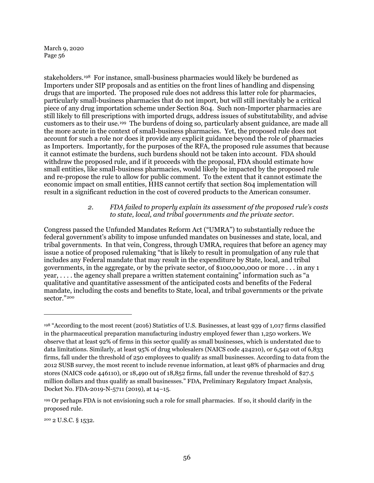stakeholders.[198](#page-55-0) For instance, small-business pharmacies would likely be burdened as Importers under SIP proposals and as entities on the front lines of handling and dispensing drugs that are imported. The proposed rule does not address this latter role for pharmacies, particularly small-business pharmacies that do not import, but will still inevitably be a critical piece of any drug importation scheme under Section 804. Such non-Importer pharmacies are still likely to fill prescriptions with imported drugs, address issues of substitutability, and advise customers as to their use.[199](#page-55-1) The burdens of doing so, particularly absent guidance, are made all the more acute in the context of small-business pharmacies. Yet, the proposed rule does not account for such a role nor does it provide any explicit guidance beyond the role of pharmacies as Importers. Importantly, for the purposes of the RFA, the proposed rule assumes that because it cannot estimate the burdens, such burdens should not be taken into account. FDA should withdraw the proposed rule, and if it proceeds with the proposal, FDA should estimate how small entities, like small-business pharmacies, would likely be impacted by the proposed rule and re-propose the rule to allow for public comment. To the extent that it cannot estimate the economic impact on small entities, HHS cannot certify that section 804 implementation will result in a significant reduction in the cost of covered products to the American consumer.

### *2. FDA failed to properly explain its assessment of the proposed rule's costs to state, local, and tribal governments and the private sector.*

Congress passed the Unfunded Mandates Reform Act ("UMRA") to substantially reduce the federal government's ability to impose unfunded mandates on businesses and state, local, and tribal governments. In that vein, Congress, through UMRA, requires that before an agency may issue a notice of proposed rulemaking "that is likely to result in promulgation of any rule that includes any Federal mandate that may result in the expenditure by State, local, and tribal governments, in the aggregate, or by the private sector, of \$100,000,000 or more . . . in any 1 year, . . . . the agency shall prepare a written statement containing" information such as "a qualitative and quantitative assessment of the anticipated costs and benefits of the Federal mandate, including the costs and benefits to State, local, and tribal governments or the private sector."[200](#page-55-2)

<span id="page-55-2"></span><sup>200</sup> 2 U.S.C. § 1532.

<span id="page-55-0"></span><sup>198</sup> "According to the most recent (2016) Statistics of U.S. Businesses, at least 939 of 1,017 firms classified in the pharmaceutical preparation manufacturing industry employed fewer than 1,250 workers. We observe that at least 92% of firms in this sector qualify as small businesses, which is understated due to data limitations. Similarly, at least 95% of drug wholesalers (NAICS code 424210), or 6,542 out of 6,833 firms, fall under the threshold of 250 employees to qualify as small businesses. According to data from the 2012 SUSB survey, the most recent to include revenue information, at least 98% of pharmacies and drug stores (NAICS code 446110), or 18,490 out of 18,852 firms, fall under the revenue threshold of \$27.5 million dollars and thus qualify as small businesses." FDA, Preliminary Regulatory Impact Analysis, Docket No. FDA-2019-N-5711 (2019), at 14–15.

<span id="page-55-1"></span><sup>199</sup> Or perhaps FDA is not envisioning such a role for small pharmacies. If so, it should clarify in the proposed rule.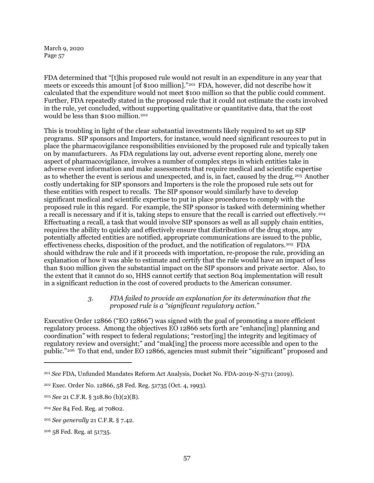FDA determined that "[t]his proposed rule would not result in an expenditure in any year that meets or exceeds this amount [of \$100 million]."[201](#page-56-0) FDA, however, did not describe how it calculated that the expenditure would not meet \$100 million so that the public could comment. Further, FDA repeatedly stated in the proposed rule that it could not estimate the costs involved in the rule, yet concluded, without supporting qualitative or quantitative data, that the cost would be less than \$100 million.[202](#page-56-1)

This is troubling in light of the clear substantial investments likely required to set up SIP programs. SIP sponsors and Importers, for instance, would need significant resources to put in place the pharmacovigilance responsibilities envisioned by the proposed rule and typically taken on by manufacturers. As FDA regulations lay out, adverse event reporting alone, merely one aspect of pharmacovigilance, involves a number of complex steps in which entities take in adverse event information and make assessments that require medical and scientific expertise as to whether the event is serious and unexpected, and is, in fact, caused by the drug.[203](#page-56-2) Another costly undertaking for SIP sponsors and Importers is the role the proposed rule sets out for these entities with respect to recalls. The SIP sponsor would similarly have to develop significant medical and scientific expertise to put in place procedures to comply with the proposed rule in this regard. For example, the SIP sponsor is tasked with determining whether a recall is necessary and if it is, taking steps to ensure that the recall is carried out effectively.<sup>[204](#page-56-3)</sup> Effectuating a recall, a task that would involve SIP sponsors as well as all supply chain entities, requires the ability to quickly and effectively ensure that distribution of the drug stops, any potentially affected entities are notified, appropriate communications are issued to the public, effectiveness checks, disposition of the product, and the notification of regulators.[205](#page-56-4) FDA should withdraw the rule and if it proceeds with importation, re-propose the rule, providing an explanation of how it was able to estimate and certify that the rule would have an impact of less than \$100 million given the substantial impact on the SIP sponsors and private sector. Also, to the extent that it cannot do so, HHS cannot certify that section 804 implementation will result in a significant reduction in the cost of covered products to the American consumer.

#### *3. FDA failed to provide an explanation for its determination that the proposed rule is a "significant regulatory action."*

Executive Order 12866 ("EO 12866") was signed with the goal of promoting a more efficient regulatory process. Among the objectives EO 12866 sets forth are "enhanc[ing] planning and coordination" with respect to federal regulations; "restor[ing] the integrity and legitimacy of regulatory review and oversight;" and "mak[ing] the process more accessible and open to the public."[206](#page-56-5) To that end, under EO 12866, agencies must submit their "significant" proposed and

<span id="page-56-0"></span><sup>201</sup> *See* FDA, Unfunded Mandates Reform Act Analysis, Docket No. FDA-2019-N-5711 (2019).

<span id="page-56-1"></span><sup>202</sup> Exec. Order No. 12866, 58 Fed. Reg. 51735 (Oct. 4, 1993).

<span id="page-56-2"></span><sup>203</sup> *See* 21 C.F.R. § 318.80 (b)(2)(B).

<span id="page-56-3"></span><sup>204</sup> *See* 84 Fed. Reg. at 70802.

<span id="page-56-4"></span><sup>205</sup> *See generally* 21 C.F.R. § 7.42.

<span id="page-56-5"></span><sup>206</sup> 58 Fed. Reg. at 51735.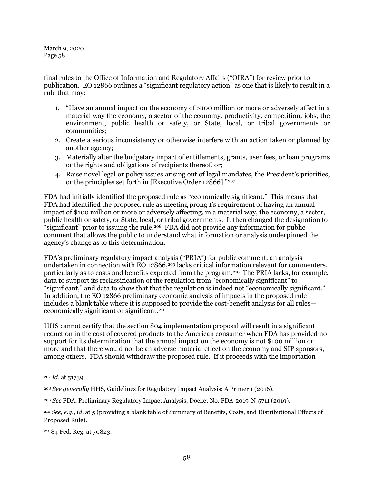final rules to the Office of Information and Regulatory Affairs ("OIRA") for review prior to publication. EO 12866 outlines a "significant regulatory action" as one that is likely to result in a rule that may:

- 1. "Have an annual impact on the economy of \$100 million or more or adversely affect in a material way the economy, a sector of the economy, productivity, competition, jobs, the environment, public health or safety, or State, local, or tribal governments or communities;
- 2. Create a serious inconsistency or otherwise interfere with an action taken or planned by another agency;
- 3. Materially alter the budgetary impact of entitlements, grants, user fees, or loan programs or the rights and obligations of recipients thereof, or;
- 4. Raise novel legal or policy issues arising out of legal mandates, the President's priorities, or the principles set forth in [Executive Order 12866]."[207](#page-57-0)

FDA had initially identified the proposed rule as "economically significant." This means that FDA had identified the proposed rule as meeting prong 1's requirement of having an annual impact of \$100 million or more or adversely affecting, in a material way, the economy, a sector, public health or safety, or State, local, or tribal governments. It then changed the designation to "significant" prior to issuing the rule.<sup>[208](#page-57-1)</sup> FDA did not provide any information for public comment that allows the public to understand what information or analysis underpinned the agency's change as to this determination.

FDA's preliminary regulatory impact analysis ("PRIA") for public comment, an analysis undertaken in connection with EO 12866,<sup>[209](#page-57-2)</sup> lacks critical information relevant for commenters, particularly as to costs and benefits expected from the program.[210](#page-57-3) The PRIA lacks, for example, data to support its reclassification of the regulation from "economically significant" to "significant," and data to show that that the regulation is indeed not "economically significant." In addition, the EO 12866 preliminary economic analysis of impacts in the proposed rule includes a blank table where it is supposed to provide the cost-benefit analysis for all rules— economically significant or significant.<sup>[211](#page-57-4)</sup>

HHS cannot certify that the section 804 implementation proposal will result in a significant reduction in the cost of covered products to the American consumer when FDA has provided no support for its determination that the annual impact on the economy is not \$100 million or more and that there would not be an adverse material effect on the economy and SIP sponsors, among others. FDA should withdraw the proposed rule. If it proceeds with the importation

<span id="page-57-0"></span><sup>207</sup> *Id.* at 51739.

<span id="page-57-1"></span><sup>208</sup> *See generally* HHS, Guidelines for Regulatory Impact Analysis: A Primer 1 (2016).

<span id="page-57-2"></span><sup>209</sup> *See* FDA, Preliminary Regulatory Impact Analysis, Docket No. FDA-2019-N-5711 (2019).

<span id="page-57-3"></span><sup>210</sup> *See, e.g.*, *id.* at 5 (providing a blank table of Summary of Benefits, Costs, and Distributional Effects of Proposed Rule).

<span id="page-57-4"></span><sup>211</sup> 84 Fed. Reg. at 70823.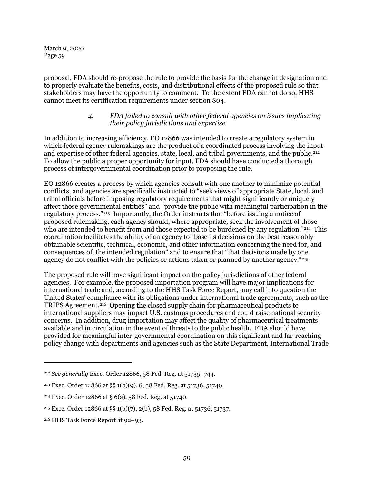proposal, FDA should re-propose the rule to provide the basis for the change in designation and to properly evaluate the benefits, costs, and distributional effects of the proposed rule so that stakeholders may have the opportunity to comment. To the extent FDA cannot do so, HHS cannot meet its certification requirements under section 804.

### *4. FDA failed to consult with other federal agencies on issues implicating their policy jurisdictions and expertise.*

In addition to increasing efficiency, EO 12866 was intended to create a regulatory system in which federal agency rulemakings are the product of a coordinated process involving the input and expertise of other federal agencies, state, local, and tribal governments, and the public.<sup>[212](#page-58-0)</sup> To allow the public a proper opportunity for input, FDA should have conducted a thorough process of intergovernmental coordination prior to proposing the rule.

EO 12866 creates a process by which agencies consult with one another to minimize potential conflicts, and agencies are specifically instructed to "seek views of appropriate State, local, and tribal officials before imposing regulatory requirements that might significantly or uniquely affect those governmental entities" and "provide the public with meaningful participation in the regulatory process."[213](#page-58-1) Importantly, the Order instructs that "before issuing a notice of proposed rulemaking, each agency should, where appropriate, seek the involvement of those who are intended to benefit from and those expected to be burdened by any regulation."<sup>214</sup> This coordination facilitates the ability of an agency to "base its decisions on the best reasonably obtainable scientific, technical, economic, and other information concerning the need for, and consequences of, the intended regulation" and to ensure that "that decisions made by one agency do not conflict with the policies or actions taken or planned by another agency."<sup>[215](#page-58-3)</sup>

The proposed rule will have significant impact on the policy jurisdictions of other federal agencies. For example, the proposed importation program will have major implications for international trade and, according to the HHS Task Force Report, may call into question the United States' compliance with its obligations under international trade agreements, such as the TRIPS Agreement.[216](#page-58-4) Opening the closed supply chain for pharmaceutical products to international suppliers may impact U.S. customs procedures and could raise national security concerns. In addition, drug importation may affect the quality of pharmaceutical treatments available and in circulation in the event of threats to the public health. FDA should have provided for meaningful inter-governmental coordination on this significant and far-reaching policy change with departments and agencies such as the State Department, International Trade

<span id="page-58-0"></span><sup>212</sup> *See generally* Exec. Order 12866, 58 Fed. Reg. at 51735–744.

<span id="page-58-1"></span><sup>213</sup> Exec. Order 12866 at §§ 1(b)(9), 6, 58 Fed. Reg. at 51736, 51740.

<span id="page-58-2"></span><sup>214</sup> Exec. Order 12866 at § 6(a), 58 Fed. Reg. at 51740.

<span id="page-58-3"></span><sup>215</sup> Exec. Order 12866 at §§ 1(b)(7), 2(b), 58 Fed. Reg. at 51736, 51737.

<span id="page-58-4"></span><sup>216</sup> HHS Task Force Report at 92–93.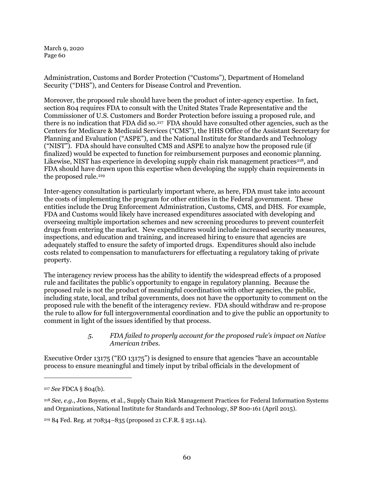Administration, Customs and Border Protection ("Customs"), Department of Homeland Security ("DHS"), and Centers for Disease Control and Prevention.

Moreover, the proposed rule should have been the product of inter-agency expertise. In fact, section 804 requires FDA to consult with the United States Trade Representative and the Commissioner of U.S. Customers and Border Protection before issuing a proposed rule, and there is no indication that FDA did so.[217](#page-59-0) FDA should have consulted other agencies, such as the Centers for Medicare & Medicaid Services ("CMS"), the HHS Office of the Assistant Secretary for Planning and Evaluation ("ASPE"), and the National Institute for Standards and Technology ("NIST"). FDA should have consulted CMS and ASPE to analyze how the proposed rule (if finalized) would be expected to function for reimbursement purposes and economic planning. Likewise, NIST has experience in developing supply chain risk management practices<sup>[218](#page-59-1)</sup>, and FDA should have drawn upon this expertise when developing the supply chain requirements in the proposed rule.<sup>219</sup>

Inter-agency consultation is particularly important where, as here, FDA must take into account the costs of implementing the program for other entities in the Federal government. These entities include the Drug Enforcement Administration, Customs, CMS, and DHS. For example, FDA and Customs would likely have increased expenditures associated with developing and overseeing multiple importation schemes and new screening procedures to prevent counterfeit drugs from entering the market. New expenditures would include increased security measures, inspections, and education and training, and increased hiring to ensure that agencies are adequately staffed to ensure the safety of imported drugs. Expenditures should also include costs related to compensation to manufacturers for effectuating a regulatory taking of private property.

The interagency review process has the ability to identify the widespread effects of a proposed rule and facilitates the public's opportunity to engage in regulatory planning. Because the proposed rule is not the product of meaningful coordination with other agencies, the public, including state, local, and tribal governments, does not have the opportunity to comment on the proposed rule with the benefit of the interagency review. FDA should withdraw and re-propose the rule to allow for full intergovernmental coordination and to give the public an opportunity to comment in light of the issues identified by that process.

## *5. FDA failed to properly account for the proposed rule's impact on Native American tribes.*

Executive Order 13175 ("EO 13175") is designed to ensure that agencies "have an accountable process to ensure meaningful and timely input by tribal officials in the development of

1

<span id="page-59-2"></span><sup>219</sup> 84 Fed. Reg. at 70834–835 (proposed 21 C.F.R. § 251.14).

<span id="page-59-0"></span><sup>217</sup> *See* FDCA § 804(b).

<span id="page-59-1"></span><sup>218</sup> *See, e.g.*, Jon Boyens, et al., Supply Chain Risk Management Practices for Federal Information Systems and Organizations, National Institute for Standards and Technology, SP 800-161 (April 2015).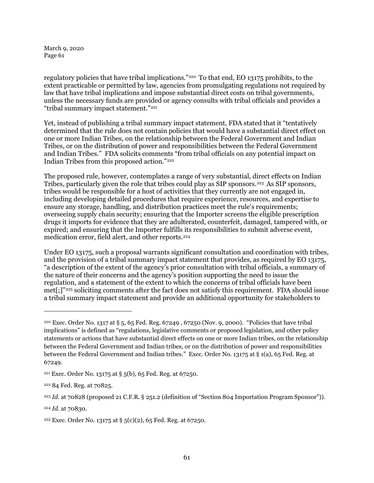regulatory policies that have tribal implications."[220](#page-60-0) To that end, EO 13175 prohibits, to the extent practicable or permitted by law, agencies from promulgating regulations not required by law that have tribal implications and impose substantial direct costs on tribal governments, unless the necessary funds are provided or agency consults with tribal officials and provides a "tribal summary impact statement."[221](#page-60-1)

Yet, instead of publishing a tribal summary impact statement, FDA stated that it "tentatively determined that the rule does not contain policies that would have a substantial direct effect on one or more Indian Tribes, on the relationship between the Federal Government and Indian Tribes, or on the distribution of power and responsibilities between the Federal Government and Indian Tribes." FDA solicits comments "from tribal officials on any potential impact on Indian Tribes from this proposed action."[222](#page-60-2)

The proposed rule, however, contemplates a range of very substantial, direct effects on Indian Tribes, particularly given the role that tribes could play as SIP sponsors.<sup>[223](#page-60-3)</sup> As SIP sponsors, tribes would be responsible for a host of activities that they currently are not engaged in, including developing detailed procedures that require experience, resources, and expertise to ensure any storage, handling, and distribution practices meet the rule's requirements; overseeing supply chain security; ensuring that the Importer screens the eligible prescription drugs it imports for evidence that they are adulterated, counterfeit, damaged, tampered with, or expired; and ensuring that the Importer fulfills its responsibilities to submit adverse event, medication error, field alert, and other reports.[224](#page-60-4)

Under EO 13175, such a proposal warrants significant consultation and coordination with tribes, and the provision of a tribal summary impact statement that provides, as required by EO 13175, "a description of the extent of the agency's prior consultation with tribal officials, a summary of the nature of their concerns and the agency's position supporting the need to issue the regulation, and a statement of the extent to which the concerns of tribal officials have been met[;]"[225](#page-60-5) soliciting comments after the fact does not satisfy this requirement. FDA should issue a tribal summary impact statement and provide an additional opportunity for stakeholders to

<span id="page-60-0"></span><sup>&</sup>lt;sup>220</sup> Exec. Order No. 1317 at § 5, 65 Fed. Reg. 67249, 67250 (Nov. 9, 2000). "Policies that have tribal implications" is defined as "regulations, legislative comments or proposed legislation, and other policy statements or actions that have substantial direct effects on one or more Indian tribes, on the relationship between the Federal Government and Indian tribes, or on the distribution of power and responsibilities between the Federal Government and Indian tribes." Exec. Order No. 13175 at § 1(a), 65 Fed. Reg. at 67249.

<span id="page-60-1"></span><sup>&</sup>lt;sup>221</sup> Exec. Order No. 13175 at § 5(b), 65 Fed. Reg. at 67250.

<span id="page-60-2"></span><sup>222</sup> 84 Fed. Reg. at 70825.

<span id="page-60-3"></span><sup>223</sup> *Id.* at 70828 (proposed 21 C.F.R. § 251.2 (definition of "Section 804 Importation Program Sponsor")).

<span id="page-60-4"></span><sup>224</sup> *Id*. at 70830.

<span id="page-60-5"></span><sup>&</sup>lt;sup>225</sup> Exec. Order No. 13175 at § 5(c)(2), 65 Fed. Reg. at 67250.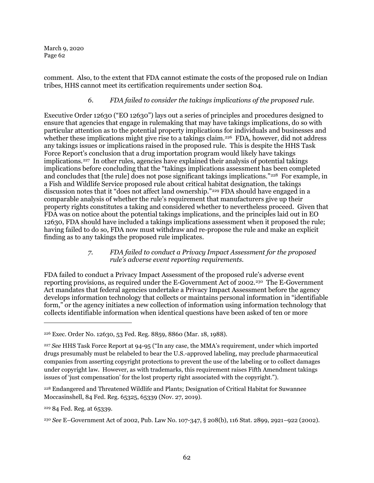comment. Also, to the extent that FDA cannot estimate the costs of the proposed rule on Indian tribes, HHS cannot meet its certification requirements under section 804.

# *6. FDA failed to consider the takings implications of the proposed rule.*

Executive Order 12630 ("EO 12630") lays out a series of principles and procedures designed to ensure that agencies that engage in rulemaking that may have takings implications, do so with particular attention as to the potential property implications for individuals and businesses and whether these implications might give rise to a takings claim.<sup>226</sup> FDA, however, did not address any takings issues or implications raised in the proposed rule. This is despite the HHS Task Force Report's conclusion that a drug importation program would likely have takings implications.<sup>[227](#page-61-1)</sup> In other rules, agencies have explained their analysis of potential takings implications before concluding that the "takings implications assessment has been completed and concludes that [the rule] does not pose significant takings implications."<sup>[228](#page-61-2)</sup> For example, in a Fish and Wildlife Service proposed rule about critical habitat designation, the takings discussion notes that it "does not affect land ownership."[229](#page-61-3) FDA should have engaged in a comparable analysis of whether the rule's requirement that manufacturers give up their property rights constitutes a taking and considered whether to nevertheless proceed. Given that FDA was on notice about the potential takings implications, and the principles laid out in EO 12630, FDA should have included a takings implications assessment when it proposed the rule; having failed to do so, FDA now must withdraw and re-propose the rule and make an explicit finding as to any takings the proposed rule implicates.

#### *7. FDA failed to conduct a Privacy Impact Assessment for the proposed rule's adverse event reporting requirements.*

FDA failed to conduct a Privacy Impact Assessment of the proposed rule's adverse event reporting provisions, as required under the E-Government Act of 2002.[230](#page-61-4) The E-Government Act mandates that federal agencies undertake a Privacy Impact Assessment before the agency develops information technology that collects or maintains personal information in "identifiable form," or the agency initiates a new collection of information using information technology that collects identifiable information when identical questions have been asked of ten or more

<span id="page-61-0"></span><sup>226</sup> Exec. Order No. 12630, 53 Fed. Reg. 8859, 8860 (Mar. 18, 1988).

<span id="page-61-1"></span><sup>227</sup> *See* HHS Task Force Report at 94-95 ("In any case, the MMA's requirement, under which imported drugs presumably must be relabeled to bear the U.S.-approved labeling, may preclude pharmaceutical companies from asserting copyright protections to prevent the use of the labeling or to collect damages under copyright law. However, as with trademarks, this requirement raises Fifth Amendment takings issues of 'just compensation' for the lost property right associated with the copyright.").

<span id="page-61-2"></span><sup>228</sup> Endangered and Threatened Wildlife and Plants; Designation of Critical Habitat for Suwannee Moccasinshell, 84 Fed. Reg. 65325, 65339 (Nov. 27, 2019).

<span id="page-61-3"></span><sup>229</sup> 84 Fed. Reg. at 65339.

<span id="page-61-4"></span><sup>230</sup> *See* E–Government Act of 2002, Pub. Law No. 107-347, § 208(b), 116 Stat. 2899, 2921–922 (2002).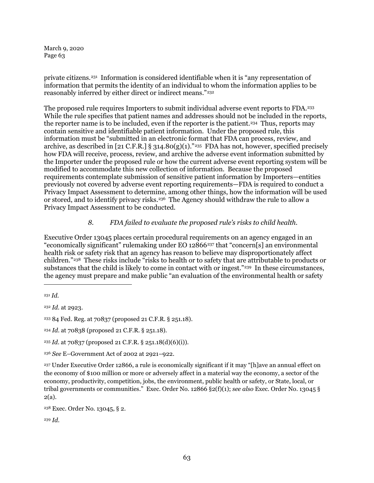private citizens.[231](#page-62-0) Information is considered identifiable when it is "any representation of information that permits the identity of an individual to whom the information applies to be reasonably inferred by either direct or indirect means."[232](#page-62-1) 

The proposed rule requires Importers to submit individual adverse event reports to FDA.[233](#page-62-2)  While the rule specifies that patient names and addresses should not be included in the reports, the reporter name is to be included, even if the reporter is the patient.<sup>234</sup> Thus, reports may contain sensitive and identifiable patient information. Under the proposed rule, this information must be "submitted in an electronic format that FDA can process, review, and archive, as described in [21 C.F.R.] § 314.80(g)(1)."<sup>[235](#page-62-4)</sup> FDA has not, however, specified precisely how FDA will receive, process, review, and archive the adverse event information submitted by the Importer under the proposed rule or how the current adverse event reporting system will be modified to accommodate this new collection of information. Because the proposed requirements contemplate submission of sensitive patient information by Importers—entities previously not covered by adverse event reporting requirements—FDA is required to conduct a Privacy Impact Assessment to determine, among other things, how the information will be used or stored, and to identify privacy risks.<sup>236</sup> The Agency should withdraw the rule to allow a Privacy Impact Assessment to be conducted.

# *8. FDA failed to evaluate the proposed rule's risks to child health.*

Executive Order 13045 places certain procedural requirements on an agency engaged in an "economically significant" rulemaking under EO 12866[237](#page-62-6) that "concern[s] an environmental health risk or safety risk that an agency has reason to believe may disproportionately affect children."[238](#page-62-7) These risks include "risks to health or to safety that are attributable to products or substances that the child is likely to come in contact with or ingest."<sup>239</sup> In these circumstances, the agency must prepare and make public "an evaluation of the environmental health or safety

1

<span id="page-62-1"></span><sup>232</sup> *Id.* at 2923.

<span id="page-62-2"></span><sup>233</sup> 84 Fed. Reg. at 70837 (proposed 21 C.F.R. § 251.18).

<span id="page-62-3"></span><sup>234</sup> *Id.* at 70838 (proposed 21 C.F.R. § 251.18).

<span id="page-62-4"></span><sup>235</sup> *Id*. at 70837 (proposed 21 C.F.R. § 251.18(d)(6)(i)).

<span id="page-62-5"></span><sup>236</sup> *See* E–Government Act of 2002 at 2921–922.

<span id="page-62-6"></span><sup>237</sup> Under Executive Order 12866, a rule is economically significant if it may "[h]ave an annual effect on the economy of \$100 million or more or adversely affect in a material way the economy, a sector of the economy, productivity, competition, jobs, the environment, public health or safety, or State, local, or tribal governments or communities." Exec. Order No. 12866 §2(f)(1); *see also* Exec. Order No. 13045 § 2(a).

<span id="page-62-7"></span><sup>238</sup> Exec. Order No. 13045, § 2.

<span id="page-62-8"></span><sup>239</sup> *Id.*

<span id="page-62-0"></span><sup>231</sup> *Id.*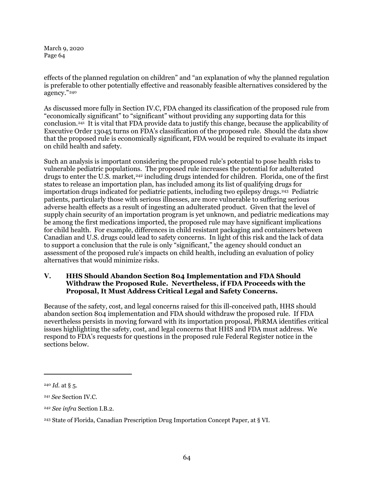effects of the planned regulation on children" and "an explanation of why the planned regulation is preferable to other potentially effective and reasonably feasible alternatives considered by the agency."[240](#page-63-0)

As discussed more fully in Sectio[n IV.C,](#page-53-3) FDA changed its classification of the proposed rule from "economically significant" to "significant" without providing any supporting data for this conclusion.[241](#page-63-1) It is vital that FDA provide data to justify this change, because the applicability of Executive Order 13045 turns on FDA's classification of the proposed rule. Should the data show that the proposed rule is economically significant, FDA would be required to evaluate its impact on child health and safety.

Such an analysis is important considering the proposed rule's potential to pose health risks to vulnerable pediatric populations. The proposed rule increases the potential for adulterated drugs to enter the U.S. market,<sup>[242](#page-63-2)</sup> including drugs intended for children. Florida, one of the first states to release an importation plan, has included among its list of qualifying drugs for importation drugs indicated for pediatric patients, including two epilepsy drugs.[243](#page-63-3) Pediatric patients, particularly those with serious illnesses, are more vulnerable to suffering serious adverse health effects as a result of ingesting an adulterated product. Given that the level of supply chain security of an importation program is yet unknown, and pediatric medications may be among the first medications imported, the proposed rule may have significant implications for child health. For example, differences in child resistant packaging and containers between Canadian and U.S. drugs could lead to safety concerns. In light of this risk and the lack of data to support a conclusion that the rule is only "significant," the agency should conduct an assessment of the proposed rule's impacts on child health, including an evaluation of policy alternatives that would minimize risks.

# **V. HHS Should Abandon Section 804 Implementation and FDA Should Withdraw the Proposed Rule. Nevertheless, if FDA Proceeds with the Proposal, It Must Address Critical Legal and Safety Concerns.**

Because of the safety, cost, and legal concerns raised for this ill-conceived path, HHS should abandon section 804 implementation and FDA should withdraw the proposed rule. If FDA nevertheless persists in moving forward with its importation proposal, PhRMA identifies critical issues highlighting the safety, cost, and legal concerns that HHS and FDA must address. We respond to FDA's requests for questions in the proposed rule Federal Register notice in the sections below.

<span id="page-63-0"></span><sup>240</sup> *Id.* at § 5.

<span id="page-63-1"></span><sup>241</sup> *See* Section [IV.C.](#page-53-3)

<span id="page-63-2"></span><sup>242</sup> *See infra* Section [I.B.2.](#page-13-0)

<span id="page-63-3"></span><sup>243</sup> State of Florida, Canadian Prescription Drug Importation Concept Paper, at § VI.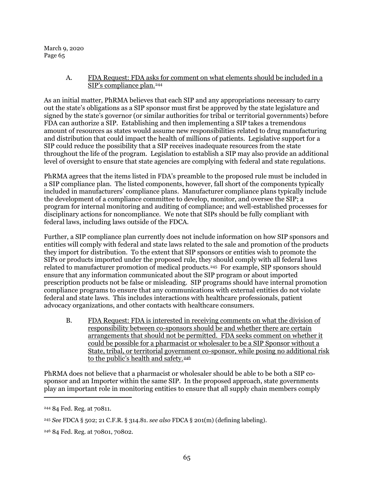# A. FDA Request: FDA asks for comment on what elements should be included in a SIP's compliance plan.<sup>[244](#page-64-0)</sup>

As an initial matter, PhRMA believes that each SIP and any appropriations necessary to carry out the state's obligations as a SIP sponsor must first be approved by the state legislature and signed by the state's governor (or similar authorities for tribal or territorial governments) before FDA can authorize a SIP. Establishing and then implementing a SIP takes a tremendous amount of resources as states would assume new responsibilities related to drug manufacturing and distribution that could impact the health of millions of patients. Legislative support for a SIP could reduce the possibility that a SIP receives inadequate resources from the state throughout the life of the program. Legislation to establish a SIP may also provide an additional level of oversight to ensure that state agencies are complying with federal and state regulations.

PhRMA agrees that the items listed in FDA's preamble to the proposed rule must be included in a SIP compliance plan. The listed components, however, fall short of the components typically included in manufacturers' compliance plans. Manufacturer compliance plans typically include the development of a compliance committee to develop, monitor, and oversee the SIP; a program for internal monitoring and auditing of compliance; and well-established processes for disciplinary actions for noncompliance. We note that SIPs should be fully compliant with federal laws, including laws outside of the FDCA.

Further, a SIP compliance plan currently does not include information on how SIP sponsors and entities will comply with federal and state laws related to the sale and promotion of the products they import for distribution. To the extent that SIP sponsors or entities wish to promote the SIPs or products imported under the proposed rule, they should comply with all federal laws related to manufacturer promotion of medical products.[245](#page-64-1) For example, SIP sponsors should ensure that any information communicated about the SIP program or about imported prescription products not be false or misleading. SIP programs should have internal promotion compliance programs to ensure that any communications with external entities do not violate federal and state laws. This includes interactions with healthcare professionals, patient advocacy organizations, and other contacts with healthcare consumers.

B. FDA Request: FDA is interested in receiving comments on what the division of responsibility between co-sponsors should be and whether there are certain arrangements that should not be permitted. FDA seeks comment on whether it could be possible for a pharmacist or wholesaler to be a SIP Sponsor without a State, tribal, or territorial government co-sponsor, while posing no additional risk to the public's health and safety.<sup>[246](#page-64-2)</sup>

PhRMA does not believe that a pharmacist or wholesaler should be able to be both a SIP cosponsor and an Importer within the same SIP. In the proposed approach, state governments play an important role in monitoring entities to ensure that all supply chain members comply

<span id="page-64-0"></span><sup>244</sup> 84 Fed. Reg. at 70811.

<span id="page-64-1"></span><sup>245</sup> *See* FDCA § 502; 21 C.F.R. § 314.81. *see also* FDCA § 201(m) (defining labeling).

<span id="page-64-2"></span><sup>246</sup> 84 Fed. Reg. at 70801, 70802.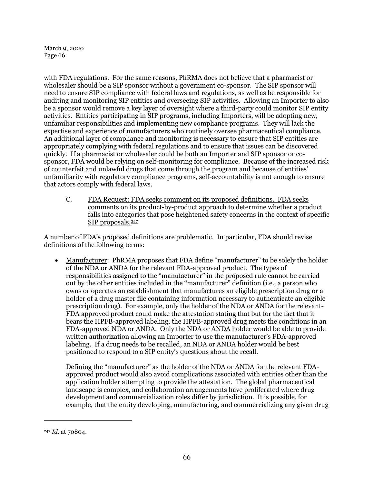with FDA regulations. For the same reasons, PhRMA does not believe that a pharmacist or wholesaler should be a SIP sponsor without a government co-sponsor. The SIP sponsor will need to ensure SIP compliance with federal laws and regulations, as well as be responsible for auditing and monitoring SIP entities and overseeing SIP activities. Allowing an Importer to also be a sponsor would remove a key layer of oversight where a third-party could monitor SIP entity activities. Entities participating in SIP programs, including Importers, will be adopting new, unfamiliar responsibilities and implementing new compliance programs. They will lack the expertise and experience of manufacturers who routinely oversee pharmaceutical compliance. An additional layer of compliance and monitoring is necessary to ensure that SIP entities are appropriately complying with federal regulations and to ensure that issues can be discovered quickly. If a pharmacist or wholesaler could be both an Importer and SIP sponsor or cosponsor, FDA would be relying on self-monitoring for compliance. Because of the increased risk of counterfeit and unlawful drugs that come through the program and because of entities' unfamiliarity with regulatory compliance programs, self-accountability is not enough to ensure that actors comply with federal laws.

C. FDA Request: FDA seeks comment on its proposed definitions. FDA seeks comments on its product-by-product approach to determine whether a product falls into categories that pose heightened safety concerns in the context of specific SIP proposals.<sup>247</sup>

A number of FDA's proposed definitions are problematic. In particular, FDA should revise definitions of the following terms:

• Manufacturer: PhRMA proposes that FDA define "manufacturer" to be solely the holder of the NDA or ANDA for the relevant FDA-approved product. The types of responsibilities assigned to the "manufacturer" in the proposed rule cannot be carried out by the other entities included in the "manufacturer" definition (i.e., a person who owns or operates an establishment that manufactures an eligible prescription drug or a holder of a drug master file containing information necessary to authenticate an eligible prescription drug). For example, only the holder of the NDA or ANDA for the relevant-FDA approved product could make the attestation stating that but for the fact that it bears the HPFB-approved labeling, the HPFB-approved drug meets the conditions in an FDA-approved NDA or ANDA. Only the NDA or ANDA holder would be able to provide written authorization allowing an Importer to use the manufacturer's FDA-approved labeling. If a drug needs to be recalled, an NDA or ANDA holder would be best positioned to respond to a SIP entity's questions about the recall.

Defining the "manufacturer" as the holder of the NDA or ANDA for the relevant FDAapproved product would also avoid complications associated with entities other than the application holder attempting to provide the attestation. The global pharmaceutical landscape is complex, and collaboration arrangements have proliferated where drug development and commercialization roles differ by jurisdiction. It is possible, for example, that the entity developing, manufacturing, and commercializing any given drug

<span id="page-65-0"></span><sup>247</sup> *Id.* at 70804.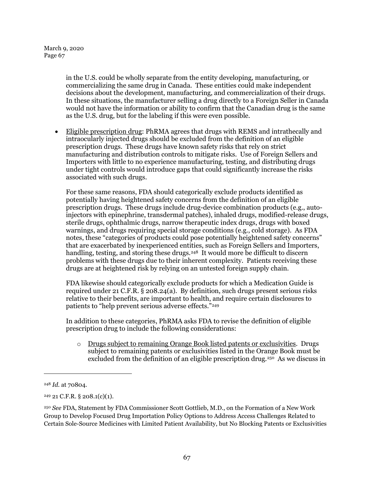> in the U.S. could be wholly separate from the entity developing, manufacturing, or commercializing the same drug in Canada. These entities could make independent decisions about the development, manufacturing, and commercialization of their drugs. In these situations, the manufacturer selling a drug directly to a Foreign Seller in Canada would not have the information or ability to confirm that the Canadian drug is the same as the U.S. drug, but for the labeling if this were even possible.

• Eligible prescription drug: PhRMA agrees that drugs with REMS and intrathecally and intraocularly injected drugs should be excluded from the definition of an eligible prescription drugs. These drugs have known safety risks that rely on strict manufacturing and distribution controls to mitigate risks. Use of Foreign Sellers and Importers with little to no experience manufacturing, testing, and distributing drugs under tight controls would introduce gaps that could significantly increase the risks associated with such drugs.

For these same reasons, FDA should categorically exclude products identified as potentially having heightened safety concerns from the definition of an eligible prescription drugs. These drugs include drug-device combination products (e.g., autoinjectors with epinephrine, transdermal patches), inhaled drugs, modified-release drugs, sterile drugs, ophthalmic drugs, narrow therapeutic index drugs, drugs with boxed warnings, and drugs requiring special storage conditions (e.g., cold storage). As FDA notes, these "categories of products could pose potentially heightened safety concerns" that are exacerbated by inexperienced entities, such as Foreign Sellers and Importers, handling, testing, and storing these drugs.<sup>[248](#page-66-0)</sup> It would more be difficult to discern problems with these drugs due to their inherent complexity. Patients receiving these drugs are at heightened risk by relying on an untested foreign supply chain.

FDA likewise should categorically exclude products for which a Medication Guide is required under 21 C.F.R. § 208.24(a). By definition, such drugs present serious risks relative to their benefits, are important to health, and require certain disclosures to patients to "help prevent serious adverse effects."<sup>249</sup>

In addition to these categories, PhRMA asks FDA to revise the definition of eligible prescription drug to include the following considerations:

o Drugs subject to remaining Orange Book listed patents or exclusivities. Drugs subject to remaining patents or exclusivities listed in the Orange Book must be excluded from the definition of an eligible prescription drug.<sup>[250](#page-66-2)</sup> As we discuss in

<span id="page-66-0"></span><sup>248</sup> *Id.* at 70804.

<span id="page-66-1"></span> $249$  21 C.F.R. § 208.1(c)(1).

<span id="page-66-2"></span><sup>250</sup> *See* FDA, Statement by FDA Commissioner Scott Gottlieb, M.D., on the Formation of a New Work Group to Develop Focused Drug Importation Policy Options to Address Access Challenges Related to Certain Sole-Source Medicines with Limited Patient Availability, but No Blocking Patents or Exclusivities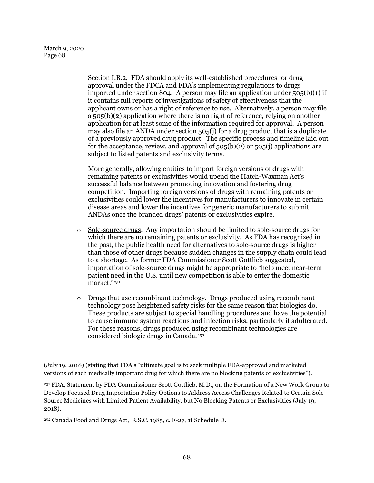1

Sectio[n I.B.2,](#page-13-0) FDA should apply its well-established procedures for drug approval under the FDCA and FDA's implementing regulations to drugs imported under section 804. A person may file an application under 505(b)(1) if it contains full reports of investigations of safety of effectiveness that the applicant owns or has a right of reference to use. Alternatively, a person may file  $a$  505(b)(2) application where there is no right of reference, relying on another application for at least some of the information required for approval. A person may also file an ANDA under section 505(j) for a drug product that is a duplicate of a previously approved drug product. The specific process and timeline laid out for the acceptance, review, and approval of  $505(b)(2)$  or  $505(j)$  applications are subject to listed patents and exclusivity terms.

More generally, allowing entities to import foreign versions of drugs with remaining patents or exclusivities would upend the Hatch-Waxman Act's successful balance between promoting innovation and fostering drug competition. Importing foreign versions of drugs with remaining patents or exclusivities could lower the incentives for manufacturers to innovate in certain disease areas and lower the incentives for generic manufacturers to submit ANDAs once the branded drugs' patents or exclusivities expire.

- o Sole-source drugs. Any importation should be limited to sole-source drugs for which there are no remaining patents or exclusivity. As FDA has recognized in the past, the public health need for alternatives to sole-source drugs is higher than those of other drugs because sudden changes in the supply chain could lead to a shortage. As former FDA Commissioner Scott Gottlieb suggested, importation of sole-source drugs might be appropriate to "help meet near-term patient need in the U.S. until new competition is able to enter the domestic market."[251](#page-67-0)
- o Drugs that use recombinant technology. Drugs produced using recombinant technology pose heightened safety risks for the same reason that biologics do. These products are subject to special handling procedures and have the potential to cause immune system reactions and infection risks, particularly if adulterated. For these reasons, drugs produced using recombinant technologies are considered biologic drugs in Canada.[252](#page-67-1)

<sup>(</sup>July 19, 2018) (stating that FDA's "ultimate goal is to seek multiple FDA-approved and marketed versions of each medically important drug for which there are no blocking patents or exclusivities").

<span id="page-67-0"></span><sup>251</sup> FDA, Statement by FDA Commissioner Scott Gottlieb, M.D., on the Formation of a New Work Group to Develop Focused Drug Importation Policy Options to Address Access Challenges Related to Certain Sole-Source Medicines with Limited Patient Availability, but No Blocking Patents or Exclusivities (July 19, 2018).

<span id="page-67-1"></span><sup>252</sup> Canada Food and Drugs Act, R.S.C. 1985, c. F-27, at Schedule D.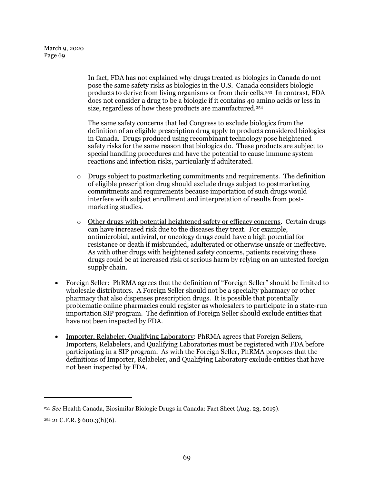In fact, FDA has not explained why drugs treated as biologics in Canada do not pose the same safety risks as biologics in the U.S. Canada considers biologic products to derive from living organisms or from their cells.[253](#page-68-0) In contrast, FDA does not consider a drug to be a biologic if it contains 40 amino acids or less in size, regardless of how these products are manufactured.<sup>254</sup>

The same safety concerns that led Congress to exclude biologics from the definition of an eligible prescription drug apply to products considered biologics in Canada. Drugs produced using recombinant technology pose heightened safety risks for the same reason that biologics do. These products are subject to special handling procedures and have the potential to cause immune system reactions and infection risks, particularly if adulterated.

- $\circ$  Drugs subject to postmarketing commitments and requirements. The definition of eligible prescription drug should exclude drugs subject to postmarketing commitments and requirements because importation of such drugs would interfere with subject enrollment and interpretation of results from postmarketing studies.
- $\circ$  Other drugs with potential heightened safety or efficacy concerns. Certain drugs can have increased risk due to the diseases they treat. For example, antimicrobial, antiviral, or oncology drugs could have a high potential for resistance or death if misbranded, adulterated or otherwise unsafe or ineffective. As with other drugs with heightened safety concerns, patients receiving these drugs could be at increased risk of serious harm by relying on an untested foreign supply chain.
- Foreign Seller: PhRMA agrees that the definition of "Foreign Seller" should be limited to wholesale distributors. A Foreign Seller should not be a specialty pharmacy or other pharmacy that also dispenses prescription drugs. It is possible that potentially problematic online pharmacies could register as wholesalers to participate in a state-run importation SIP program. The definition of Foreign Seller should exclude entities that have not been inspected by FDA.
- Importer, Relabeler, Qualifying Laboratory: PhRMA agrees that Foreign Sellers, Importers, Relabelers, and Qualifying Laboratories must be registered with FDA before participating in a SIP program. As with the Foreign Seller, PhRMA proposes that the definitions of Importer, Relabeler, and Qualifying Laboratory exclude entities that have not been inspected by FDA.

<span id="page-68-0"></span><sup>253</sup> *See* Health Canada, Biosimilar Biologic Drugs in Canada: Fact Sheet (Aug. 23, 2019).

<span id="page-68-1"></span> $254$  21 C.F.R. § 600.3(h)(6).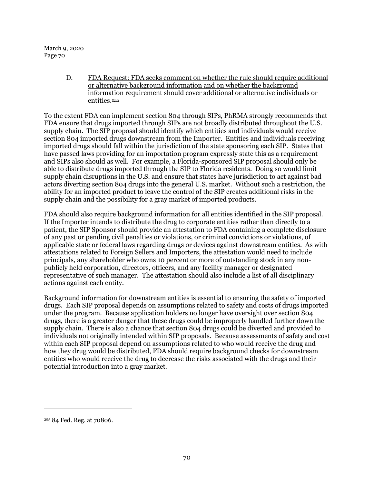> D. FDA Request: FDA seeks comment on whether the rule should require additional or alternative background information and on whether the background information requirement should cover additional or alternative individuals or entities.[255](#page-69-0)

To the extent FDA can implement section 804 through SIPs, PhRMA strongly recommends that FDA ensure that drugs imported through SIPs are not broadly distributed throughout the U.S. supply chain. The SIP proposal should identify which entities and individuals would receive section 804 imported drugs downstream from the Importer. Entities and individuals receiving imported drugs should fall within the jurisdiction of the state sponsoring each SIP. States that have passed laws providing for an importation program expressly state this as a requirement and SIPs also should as well. For example, a Florida-sponsored SIP proposal should only be able to distribute drugs imported through the SIP to Florida residents. Doing so would limit supply chain disruptions in the U.S. and ensure that states have jurisdiction to act against bad actors diverting section 804 drugs into the general U.S. market. Without such a restriction, the ability for an imported product to leave the control of the SIP creates additional risks in the supply chain and the possibility for a gray market of imported products.

FDA should also require background information for all entities identified in the SIP proposal. If the Importer intends to distribute the drug to corporate entities rather than directly to a patient, the SIP Sponsor should provide an attestation to FDA containing a complete disclosure of any past or pending civil penalties or violations, or criminal convictions or violations, of applicable state or federal laws regarding drugs or devices against downstream entities. As with attestations related to Foreign Sellers and Importers, the attestation would need to include principals, any shareholder who owns 10 percent or more of outstanding stock in any nonpublicly held corporation, directors, officers, and any facility manager or designated representative of such manager. The attestation should also include a list of all disciplinary actions against each entity.

Background information for downstream entities is essential to ensuring the safety of imported drugs. Each SIP proposal depends on assumptions related to safety and costs of drugs imported under the program. Because application holders no longer have oversight over section 804 drugs, there is a greater danger that these drugs could be improperly handled further down the supply chain. There is also a chance that section 804 drugs could be diverted and provided to individuals not originally intended within SIP proposals. Because assessments of safety and cost within each SIP proposal depend on assumptions related to who would receive the drug and how they drug would be distributed, FDA should require background checks for downstream entities who would receive the drug to decrease the risks associated with the drugs and their potential introduction into a gray market.

<span id="page-69-0"></span><sup>255</sup> 84 Fed. Reg. at 70806.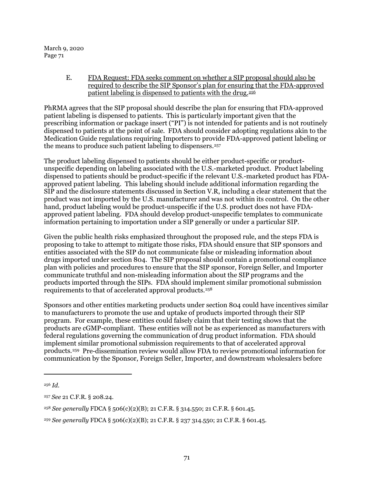> E. FDA Request: FDA seeks comment on whether a SIP proposal should also be required to describe the SIP Sponsor's plan for ensuring that the FDA-approved patient labeling is dispensed to patients with the drug.[256](#page-70-0)

PhRMA agrees that the SIP proposal should describe the plan for ensuring that FDA-approved patient labeling is dispensed to patients. This is particularly important given that the prescribing information or package insert ("PI") is not intended for patients and is not routinely dispensed to patients at the point of sale. FDA should consider adopting regulations akin to the Medication Guide regulations requiring Importers to provide FDA-approved patient labeling or the means to produce such patient labeling to dispensers.<sup>[257](#page-70-1)</sup>

The product labeling dispensed to patients should be either product-specific or productunspecific depending on labeling associated with the U.S.-marketed product. Product labeling dispensed to patients should be product-specific if the relevant U.S.-marketed product has FDAapproved patient labeling. This labeling should include additional information regarding the SIP and the disclosure statements discussed in Section [V.R,](#page-78-0) including a clear statement that the product was not imported by the U.S. manufacturer and was not within its control. On the other hand, product labeling would be product-unspecific if the U.S. product does not have FDAapproved patient labeling. FDA should develop product-unspecific templates to communicate information pertaining to importation under a SIP generally or under a particular SIP.

Given the public health risks emphasized throughout the proposed rule, and the steps FDA is proposing to take to attempt to mitigate those risks, FDA should ensure that SIP sponsors and entities associated with the SIP do not communicate false or misleading information about drugs imported under section 804. The SIP proposal should contain a promotional compliance plan with policies and procedures to ensure that the SIP sponsor, Foreign Seller, and Importer communicate truthful and non-misleading information about the SIP programs and the products imported through the SIPs. FDA should implement similar promotional submission requirements to that of accelerated approval products.[258](#page-70-2) 

Sponsors and other entities marketing products under section 804 could have incentives similar to manufacturers to promote the use and uptake of products imported through their SIP program. For example, these entities could falsely claim that their testing shows that the products are cGMP-compliant. These entities will not be as experienced as manufacturers with federal regulations governing the communication of drug product information. FDA should implement similar promotional submission requirements to that of accelerated approval products.[259](#page-70-3) Pre-dissemination review would allow FDA to review promotional information for communication by the Sponsor, Foreign Seller, Importer, and downstream wholesalers before

<span id="page-70-0"></span><sup>256</sup> *Id.*

<span id="page-70-1"></span><sup>257</sup> *See* 21 C.F.R. § 208.24.

<span id="page-70-2"></span><sup>258</sup> *See generally* FDCA § 506(c)(2)(B); 21 C.F.R. § 314.550; 21 C.F.R. § 601.45.

<span id="page-70-3"></span><sup>259</sup> *See generally* FDCA § 506(c)(2)(B); 21 C.F.R. § 237 314.550; 21 C.F.R. § 601.45.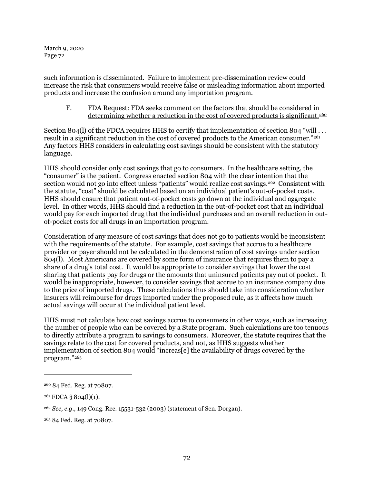such information is disseminated. Failure to implement pre-dissemination review could increase the risk that consumers would receive false or misleading information about imported products and increase the confusion around any importation program.

F. FDA Request: FDA seeks comment on the factors that should be considered in determining whether a reduction in the cost of covered products is significant.<sup>[260](#page-71-0)</sup>

Section 804(I) of the FDCA requires HHS to certify that implementation of section 804 "will . . . result in a significant reduction in the cost of covered products to the American consumer."[261](#page-71-1) Any factors HHS considers in calculating cost savings should be consistent with the statutory language.

HHS should consider only cost savings that go to consumers. In the healthcare setting, the "consumer" is the patient. Congress enacted section 804 with the clear intention that the section would not go into effect unless "patients" would realize cost savings.<sup>[262](#page-71-2)</sup> Consistent with the statute, "cost" should be calculated based on an individual patient's out-of-pocket costs. HHS should ensure that patient out-of-pocket costs go down at the individual and aggregate level. In other words, HHS should find a reduction in the out-of-pocket cost that an individual would pay for each imported drug that the individual purchases and an overall reduction in outof-pocket costs for all drugs in an importation program.

Consideration of any measure of cost savings that does not go to patients would be inconsistent with the requirements of the statute. For example, cost savings that accrue to a healthcare provider or payer should not be calculated in the demonstration of cost savings under section 804(l). Most Americans are covered by some form of insurance that requires them to pay a share of a drug's total cost. It would be appropriate to consider savings that lower the cost sharing that patients pay for drugs or the amounts that uninsured patients pay out of pocket. It would be inappropriate, however, to consider savings that accrue to an insurance company due to the price of imported drugs. These calculations thus should take into consideration whether insurers will reimburse for drugs imported under the proposed rule, as it affects how much actual savings will occur at the individual patient level.

HHS must not calculate how cost savings accrue to consumers in other ways, such as increasing the number of people who can be covered by a State program. Such calculations are too tenuous to directly attribute a program to savings to consumers. Moreover, the statute requires that the savings relate to the cost for covered products, and not, as HHS suggests whether implementation of section 804 would "increas[e] the availability of drugs covered by the program."[263](#page-71-3)

<span id="page-71-0"></span><sup>260</sup> 84 Fed. Reg. at 70807.

<span id="page-71-1"></span> $261$  FDCA § 804(l)(1).

<span id="page-71-2"></span><sup>262</sup> *See, e.g.,* 149 Cong. Rec. 15531-532 (2003) (statement of Sen. Dorgan).

<span id="page-71-3"></span><sup>263</sup> 84 Fed. Reg. at 70807.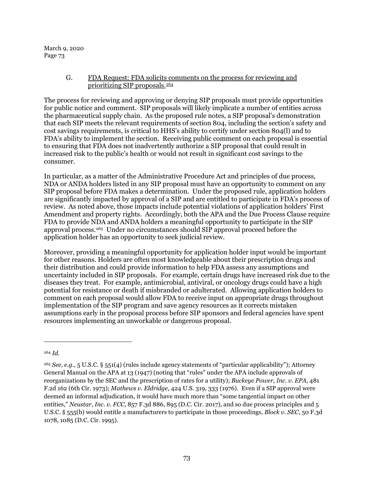## G. FDA Request: FDA solicits comments on the process for reviewing and prioritizing SIP proposals.[264](#page-72-0)

The process for reviewing and approving or denying SIP proposals must provide opportunities for public notice and comment. SIP proposals will likely implicate a number of entities across the pharmaceutical supply chain. As the proposed rule notes, a SIP proposal's demonstration that each SIP meets the relevant requirements of section 804, including the section's safety and cost savings requirements, is critical to HHS's ability to certify under section 804(l) and to FDA's ability to implement the section. Receiving public comment on each proposal is essential to ensuring that FDA does not inadvertently authorize a SIP proposal that could result in increased risk to the public's health or would not result in significant cost savings to the consumer.

In particular, as a matter of the Administrative Procedure Act and principles of due process, NDA or ANDA holders listed in any SIP proposal must have an opportunity to comment on any SIP proposal before FDA makes a determination. Under the proposed rule, application holders are significantly impacted by approval of a SIP and are entitled to participate in FDA's process of review. As noted above, those impacts include potential violations of application holders' First Amendment and property rights. Accordingly, both the APA and the Due Process Clause require FDA to provide NDA and ANDA holders a meaningful opportunity to participate in the SIP approval process.[265](#page-72-1) Under no circumstances should SIP approval proceed before the application holder has an opportunity to seek judicial review.

Moreover, providing a meaningful opportunity for application holder input would be important for other reasons. Holders are often most knowledgeable about their prescription drugs and their distribution and could provide information to help FDA assess any assumptions and uncertainty included in SIP proposals. For example, certain drugs have increased risk due to the diseases they treat. For example, antimicrobial, antiviral, or oncology drugs could have a high potential for resistance or death if misbranded or adulterated. Allowing application holders to comment on each proposal would allow FDA to receive input on appropriate drugs throughout implementation of the SIP program and save agency resources as it corrects mistaken assumptions early in the proposal process before SIP sponsors and federal agencies have spent resources implementing an unworkable or dangerous proposal.

<span id="page-72-0"></span><sup>264</sup> *Id.*

<span id="page-72-1"></span><sup>265</sup> *See, e.g.*, 5 U.S.C. § 551(4) (rules include agency statements of "particular applicability"); Attorney General Manual on the APA at 13 (1947) (noting that "rules" under the APA include approvals of reorganizations by the SEC and the prescription of rates for a utility); *Buckeye Power, Inc. v. EPA*, 481 F.2d 162 (6th Cir. 1973); *Mathews v. Eldridge*, 424 U.S. 319, 333 (1976). Even if a SIP approval were deemed an informal adjudication, it would have much more than "some tangential impact on other entities," *Neustar, Inc. v. FCC*, 857 F.3d 886, 895 (D.C. Cir. 2017), and so due process principles and 5 U.S.C. § 555(b) would entitle a manufacturers to participate in those proceedings, *Block v. SEC*, 50 F.3d 1078, 1085 (D.C. Cir. 1995).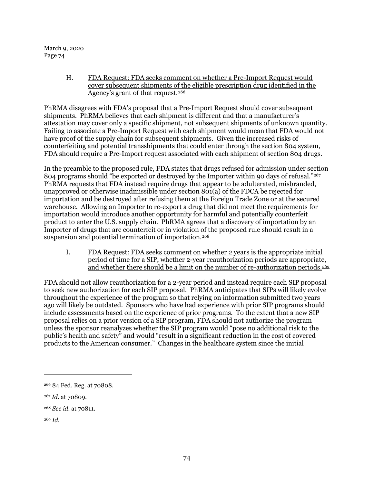> H. FDA Request: FDA seeks comment on whether a Pre-Import Request would cover subsequent shipments of the eligible prescription drug identified in the Agency's grant of that request.<sup>[266](#page-73-0)</sup>

PhRMA disagrees with FDA's proposal that a Pre-Import Request should cover subsequent shipments. PhRMA believes that each shipment is different and that a manufacturer's attestation may cover only a specific shipment, not subsequent shipments of unknown quantity. Failing to associate a Pre-Import Request with each shipment would mean that FDA would not have proof of the supply chain for subsequent shipments. Given the increased risks of counterfeiting and potential transshipments that could enter through the section 804 system, FDA should require a Pre-Import request associated with each shipment of section 804 drugs.

In the preamble to the proposed rule, FDA states that drugs refused for admission under section 804 programs should "be exported or destroyed by the Importer within 90 days of refusal."<sup>[267](#page-73-1)</sup> PhRMA requests that FDA instead require drugs that appear to be adulterated, misbranded, unapproved or otherwise inadmissible under section 801(a) of the FDCA be rejected for importation and be destroyed after refusing them at the Foreign Trade Zone or at the secured warehouse. Allowing an Importer to re-export a drug that did not meet the requirements for importation would introduce another opportunity for harmful and potentially counterfeit product to enter the U.S. supply chain. PhRMA agrees that a discovery of importation by an Importer of drugs that are counterfeit or in violation of the proposed rule should result in a suspension and potential termination of importation.<sup>[268](#page-73-2)</sup>

I. FDA Request: FDA seeks comment on whether 2 years is the appropriate initial period of time for a SIP, whether 2-year reauthorization periods are appropriate, and whether there should be a limit on the number of re-authorization periods.<sup>[269](#page-73-3)</sup>

FDA should not allow reauthorization for a 2-year period and instead require each SIP proposal to seek new authorization for each SIP proposal. PhRMA anticipates that SIPs will likely evolve throughout the experience of the program so that relying on information submitted two years ago will likely be outdated. Sponsors who have had experience with prior SIP programs should include assessments based on the experience of prior programs. To the extent that a new SIP proposal relies on a prior version of a SIP program, FDA should not authorize the program unless the sponsor reanalyzes whether the SIP program would "pose no additional risk to the public's health and safety" and would "result in a significant reduction in the cost of covered products to the American consumer." Changes in the healthcare system since the initial

<span id="page-73-0"></span><sup>266</sup> 84 Fed. Reg. at 70808.

<span id="page-73-1"></span><sup>267</sup> *Id.* at 70809.

<span id="page-73-2"></span><sup>268</sup> *See id.* at 70811.

<span id="page-73-3"></span><sup>269</sup> *Id.*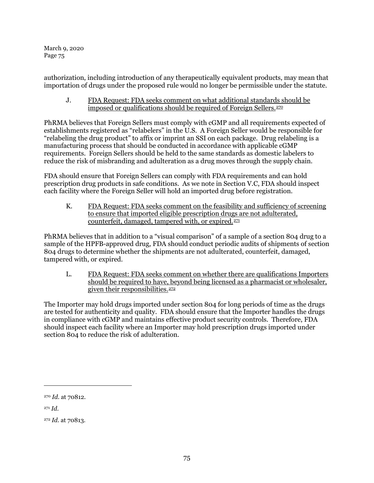authorization, including introduction of any therapeutically equivalent products, may mean that importation of drugs under the proposed rule would no longer be permissible under the statute.

## J. FDA Request: FDA seeks comment on what additional standards should be imposed or qualifications should be required of Foreign Sellers.<sup>[270](#page-74-0)</sup>

PhRMA believes that Foreign Sellers must comply with cGMP and all requirements expected of establishments registered as "relabelers" in the U.S. A Foreign Seller would be responsible for "relabeling the drug product" to affix or imprint an SSI on each package. Drug relabeling is a manufacturing process that should be conducted in accordance with applicable cGMP requirements. Foreign Sellers should be held to the same standards as domestic labelers to reduce the risk of misbranding and adulteration as a drug moves through the supply chain.

FDA should ensure that Foreign Sellers can comply with FDA requirements and can hold prescription drug products in safe conditions. As we note in Sectio[n V.C,](#page-65-0) FDA should inspect each facility where the Foreign Seller will hold an imported drug before registration.

K. FDA Request: FDA seeks comment on the feasibility and sufficiency of screening to ensure that imported eligible prescription drugs are not adulterated, counterfeit, damaged, tampered with, or expired.[271](#page-74-1)

PhRMA believes that in addition to a "visual comparison" of a sample of a section 804 drug to a sample of the HPFB-approved drug, FDA should conduct periodic audits of shipments of section 804 drugs to determine whether the shipments are not adulterated, counterfeit, damaged, tampered with, or expired.

L. FDA Request: FDA seeks comment on whether there are qualifications Importers should be required to have, beyond being licensed as a pharmacist or wholesaler, given their responsibilities.[272](#page-74-2)

The Importer may hold drugs imported under section 804 for long periods of time as the drugs are tested for authenticity and quality. FDA should ensure that the Importer handles the drugs in compliance with cGMP and maintains effective product security controls. Therefore, FDA should inspect each facility where an Importer may hold prescription drugs imported under section 804 to reduce the risk of adulteration.

<span id="page-74-0"></span><sup>270</sup> *Id.* at 70812.

<span id="page-74-1"></span><sup>271</sup> *Id.*

<span id="page-74-2"></span><sup>272</sup> *Id.* at 70813.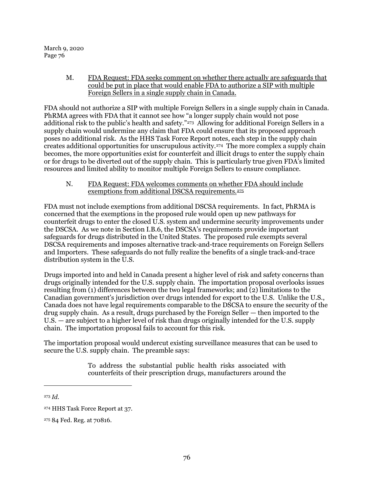> M. FDA Request: FDA seeks comment on whether there actually are safeguards that could be put in place that would enable FDA to authorize a SIP with multiple Foreign Sellers in a single supply chain in Canada.

FDA should not authorize a SIP with multiple Foreign Sellers in a single supply chain in Canada. PhRMA agrees with FDA that it cannot see how "a longer supply chain would not pose additional risk to the public's health and safety."<sup>273</sup> Allowing for additional Foreign Sellers in a supply chain would undermine any claim that FDA could ensure that its proposed approach poses no additional risk. As the HHS Task Force Report notes, each step in the supply chain creates additional opportunities for unscrupulous activity.[274](#page-75-1) The more complex a supply chain becomes, the more opportunities exist for counterfeit and illicit drugs to enter the supply chain or for drugs to be diverted out of the supply chain. This is particularly true given FDA's limited resources and limited ability to monitor multiple Foreign Sellers to ensure compliance.

N. FDA Request: FDA welcomes comments on whether FDA should include exemptions from additional DSCSA requirements.[275](#page-75-2)

FDA must not include exemptions from additional DSCSA requirements. In fact, PhRMA is concerned that the exemptions in the proposed rule would open up new pathways for counterfeit drugs to enter the closed U.S. system and undermine security improvements under the DSCSA. As we note in Section [I.B.6,](#page-22-0) the DSCSA's requirements provide important safeguards for drugs distributed in the United States. The proposed rule exempts several DSCSA requirements and imposes alternative track-and-trace requirements on Foreign Sellers and Importers. These safeguards do not fully realize the benefits of a single track-and-trace distribution system in the U.S.

Drugs imported into and held in Canada present a higher level of risk and safety concerns than drugs originally intended for the U.S. supply chain. The importation proposal overlooks issues resulting from (1) differences between the two legal frameworks; and (2) limitations to the Canadian government's jurisdiction over drugs intended for export to the U.S. Unlike the U.S., Canada does not have legal requirements comparable to the DSCSA to ensure the security of the drug supply chain. As a result, drugs purchased by the Foreign Seller — then imported to the U.S. — are subject to a higher level of risk than drugs originally intended for the U.S. supply chain. The importation proposal fails to account for this risk.

The importation proposal would undercut existing surveillance measures that can be used to secure the U.S. supply chain. The preamble says:

> To address the substantial public health risks associated with counterfeits of their prescription drugs, manufacturers around the

<span id="page-75-0"></span><sup>273</sup> *Id.*

<span id="page-75-1"></span><sup>274</sup> HHS Task Force Report at 37.

<span id="page-75-2"></span><sup>275</sup> 84 Fed. Reg. at 70816.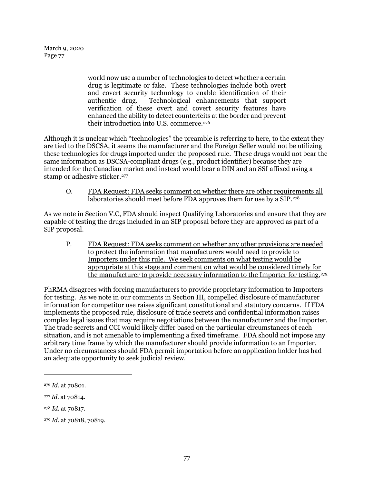> world now use a number of technologies to detect whether a certain drug is legitimate or fake. These technologies include both overt and covert security technology to enable identification of their authentic drug. Technological enhancements that support verification of these overt and covert security features have enhanced the ability to detect counterfeits at the border and prevent their introduction into U.S. commerce.[276](#page-76-0)

Although it is unclear which "technologies" the preamble is referring to here, to the extent they are tied to the DSCSA, it seems the manufacturer and the Foreign Seller would not be utilizing these technologies for drugs imported under the proposed rule. These drugs would not bear the same information as DSCSA-compliant drugs (e.g., product identifier) because they are intended for the Canadian market and instead would bear a DIN and an SSI affixed using a stamp or adhesive sticker.<sup>277</sup>

O. FDA Request: FDA seeks comment on whether there are other requirements all laboratories should meet before FDA approves them for use by a  $\overline{SIP}$ .<sup>[278](#page-76-2)</sup>

As we note in Section [V.C,](#page-65-0) FDA should inspect Qualifying Laboratories and ensure that they are capable of testing the drugs included in an SIP proposal before they are approved as part of a SIP proposal.

P. FDA Request: FDA seeks comment on whether any other provisions are needed to protect the information that manufacturers would need to provide to Importers under this rule. We seek comments on what testing would be appropriate at this stage and comment on what would be considered timely for the manufacturer to provide necessary information to the Importer for testing.<sup>[279](#page-76-3)</sup>

PhRMA disagrees with forcing manufacturers to provide proprietary information to Importers for testing. As we note in our comments in Section [III,](#page-37-0) compelled disclosure of manufacturer information for competitor use raises significant constitutional and statutory concerns. If FDA implements the proposed rule, disclosure of trade secrets and confidential information raises complex legal issues that may require negotiations between the manufacturer and the Importer. The trade secrets and CCI would likely differ based on the particular circumstances of each situation, and is not amenable to implementing a fixed timeframe. FDA should not impose any arbitrary time frame by which the manufacturer should provide information to an Importer. Under no circumstances should FDA permit importation before an application holder has had an adequate opportunity to seek judicial review.

<span id="page-76-0"></span><sup>276</sup> *Id.* at 70801.

<span id="page-76-1"></span><sup>277</sup> *Id.* at 70814.

<span id="page-76-2"></span><sup>278</sup> *Id.* at 70817.

<span id="page-76-3"></span><sup>279</sup> *Id.* at 70818, 70819.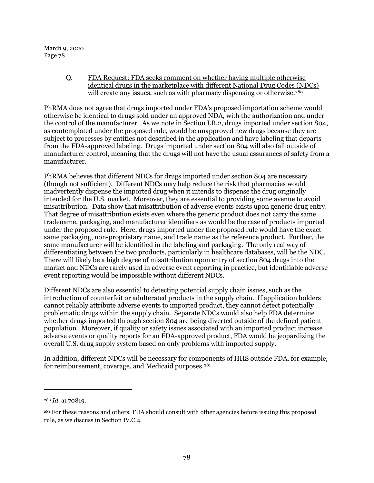> <span id="page-77-2"></span>Q. FDA Request: FDA seeks comment on whether having multiple otherwise identical drugs in the marketplace with different National Drug Codes (NDCs) will create any issues, such as with pharmacy dispensing or otherwise.<sup>[280](#page-77-0)</sup>

PhRMA does not agree that drugs imported under FDA's proposed importation scheme would otherwise be identical to drugs sold under an approved NDA, with the authorization and under the control of the manufacturer. As we note in Section [I.B.2,](#page-13-0) drugs imported under section 804, as contemplated under the proposed rule, would be unapproved new drugs because they are subject to processes by entities not described in the application and have labeling that departs from the FDA-approved labeling. Drugs imported under section 804 will also fall outside of manufacturer control, meaning that the drugs will not have the usual assurances of safety from a manufacturer.

PhRMA believes that different NDCs for drugs imported under section 804 are necessary (though not sufficient). Different NDCs may help reduce the risk that pharmacies would inadvertently dispense the imported drug when it intends to dispense the drug originally intended for the U.S. market. Moreover, they are essential to providing some avenue to avoid misattribution. Data show that misattribution of adverse events exists upon generic drug entry. That degree of misattribution exists even where the generic product does not carry the same tradename, packaging, and manufacturer identifiers as would be the case of products imported under the proposed rule. Here, drugs imported under the proposed rule would have the exact same packaging, non-proprietary name, and trade name as the reference product. Further, the same manufacturer will be identified in the labeling and packaging. The only real way of differentiating between the two products, particularly in healthcare databases, will be the NDC. There will likely be a high degree of misattribution upon entry of section 804 drugs into the market and NDCs are rarely used in adverse event reporting in practice, but identifiable adverse event reporting would be impossible without different NDCs.

Different NDCs are also essential to detecting potential supply chain issues, such as the introduction of counterfeit or adulterated products in the supply chain. If application holders cannot reliably attribute adverse events to imported product, they cannot detect potentially problematic drugs within the supply chain. Separate NDCs would also help FDA determine whether drugs imported through section 804 are being diverted outside of the defined patient population. Moreover, if quality or safety issues associated with an imported product increase adverse events or quality reports for an FDA-approved product, FDA would be jeopardizing the overall U.S. drug supply system based on only problems with imported supply.

In addition, different NDCs will be necessary for components of HHS outside FDA, for example, for reimbursement, coverage, and Medicaid purposes.<sup>[281](#page-77-1)</sup>

<span id="page-77-0"></span><sup>280</sup> *Id*. at 70819.

<span id="page-77-1"></span><sup>281</sup> For these reasons and others, FDA should consult with other agencies before issuing this proposed rule, as we discuss in Sectio[n IV.C.4.](#page-58-0)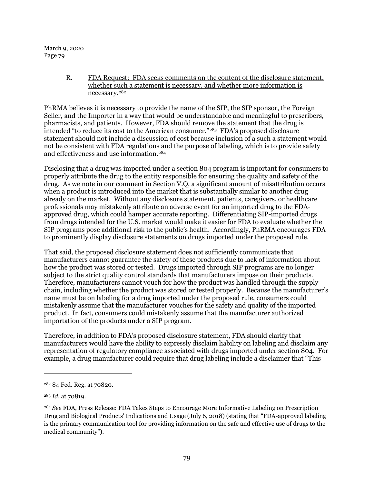> R. FDA Request: FDA seeks comments on the content of the disclosure statement, whether such a statement is necessary, and whether more information is necessary.[282](#page-78-0)

PhRMA believes it is necessary to provide the name of the SIP, the SIP sponsor, the Foreign Seller, and the Importer in a way that would be understandable and meaningful to prescribers, pharmacists, and patients. However, FDA should remove the statement that the drug is intended "to reduce its cost to the American consumer."[283](#page-78-1) FDA's proposed disclosure statement should not include a discussion of cost because inclusion of a such a statement would not be consistent with FDA regulations and the purpose of labeling, which is to provide safety and effectiveness and use information.[284](#page-78-2)

Disclosing that a drug was imported under a section 804 program is important for consumers to properly attribute the drug to the entity responsible for ensuring the quality and safety of the drug. As we note in our comment in Section [V.Q,](#page-77-2) a significant amount of misattribution occurs when a product is introduced into the market that is substantially similar to another drug already on the market. Without any disclosure statement, patients, caregivers, or healthcare professionals may mistakenly attribute an adverse event for an imported drug to the FDAapproved drug, which could hamper accurate reporting. Differentiating SIP-imported drugs from drugs intended for the U.S. market would make it easier for FDA to evaluate whether the SIP programs pose additional risk to the public's health. Accordingly, PhRMA encourages FDA to prominently display disclosure statements on drugs imported under the proposed rule.

That said, the proposed disclosure statement does not sufficiently communicate that manufacturers cannot guarantee the safety of these products due to lack of information about how the product was stored or tested. Drugs imported through SIP programs are no longer subject to the strict quality control standards that manufacturers impose on their products. Therefore, manufacturers cannot vouch for how the product was handled through the supply chain, including whether the product was stored or tested properly. Because the manufacturer's name must be on labeling for a drug imported under the proposed rule, consumers could mistakenly assume that the manufacturer vouches for the safety and quality of the imported product. In fact, consumers could mistakenly assume that the manufacturer authorized importation of the products under a SIP program.

Therefore, in addition to FDA's proposed disclosure statement, FDA should clarify that manufacturers would have the ability to expressly disclaim liability on labeling and disclaim any representation of regulatory compliance associated with drugs imported under section 804. For example, a drug manufacturer could require that drug labeling include a disclaimer that "This

 $\overline{a}$ 

<span id="page-78-0"></span><sup>282</sup> 84 Fed. Reg. at 70820.

<span id="page-78-1"></span><sup>283</sup> *Id.* at 70819.

<span id="page-78-2"></span><sup>284</sup> *See* FDA, Press Release: FDA Takes Steps to Encourage More Informative Labeling on Prescription Drug and Biological Products' Indications and Usage (July 6, 2018) (stating that "FDA-approved labeling is the primary communication tool for providing information on the safe and effective use of drugs to the medical community").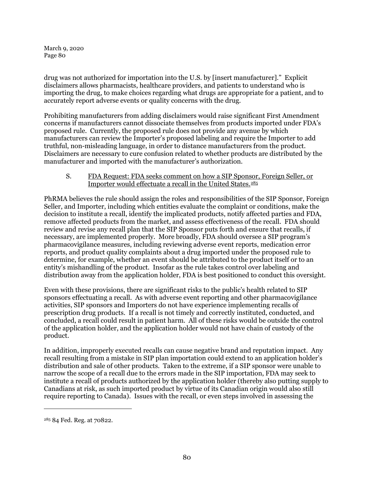drug was not authorized for importation into the U.S. by [insert manufacturer]." Explicit disclaimers allows pharmacists, healthcare providers, and patients to understand who is importing the drug, to make choices regarding what drugs are appropriate for a patient, and to accurately report adverse events or quality concerns with the drug.

Prohibiting manufacturers from adding disclaimers would raise significant First Amendment concerns if manufacturers cannot dissociate themselves from products imported under FDA's proposed rule. Currently, the proposed rule does not provide any avenue by which manufacturers can review the Importer's proposed labeling and require the Importer to add truthful, non-misleading language, in order to distance manufacturers from the product. Disclaimers are necessary to cure confusion related to whether products are distributed by the manufacturer and imported with the manufacturer's authorization.

## S. FDA Request: FDA seeks comment on how a SIP Sponsor, Foreign Seller, or Importer would effectuate a recall in the United States.<sup>[285](#page-79-0)</sup>

PhRMA believes the rule should assign the roles and responsibilities of the SIP Sponsor, Foreign Seller, and Importer, including which entities evaluate the complaint or conditions, make the decision to institute a recall, identify the implicated products, notify affected parties and FDA, remove affected products from the market, and assess effectiveness of the recall. FDA should review and revise any recall plan that the SIP Sponsor puts forth and ensure that recalls, if necessary, are implemented properly. More broadly, FDA should oversee a SIP program's pharmacovigilance measures, including reviewing adverse event reports, medication error reports, and product quality complaints about a drug imported under the proposed rule to determine, for example, whether an event should be attributed to the product itself or to an entity's mishandling of the product. Insofar as the rule takes control over labeling and distribution away from the application holder, FDA is best positioned to conduct this oversight.

Even with these provisions, there are significant risks to the public's health related to SIP sponsors effectuating a recall. As with adverse event reporting and other pharmacovigilance activities, SIP sponsors and Importers do not have experience implementing recalls of prescription drug products. If a recall is not timely and correctly instituted, conducted, and concluded, a recall could result in patient harm. All of these risks would be outside the control of the application holder, and the application holder would not have chain of custody of the product.

In addition, improperly executed recalls can cause negative brand and reputation impact. Any recall resulting from a mistake in SIP plan importation could extend to an application holder's distribution and sale of other products. Taken to the extreme, if a SIP sponsor were unable to narrow the scope of a recall due to the errors made in the SIP importation, FDA may seek to institute a recall of products authorized by the application holder (thereby also putting supply to Canadians at risk, as such imported product by virtue of its Canadian origin would also still require reporting to Canada). Issues with the recall, or even steps involved in assessing the

<span id="page-79-0"></span><sup>285</sup> 84 Fed. Reg. at 70822.